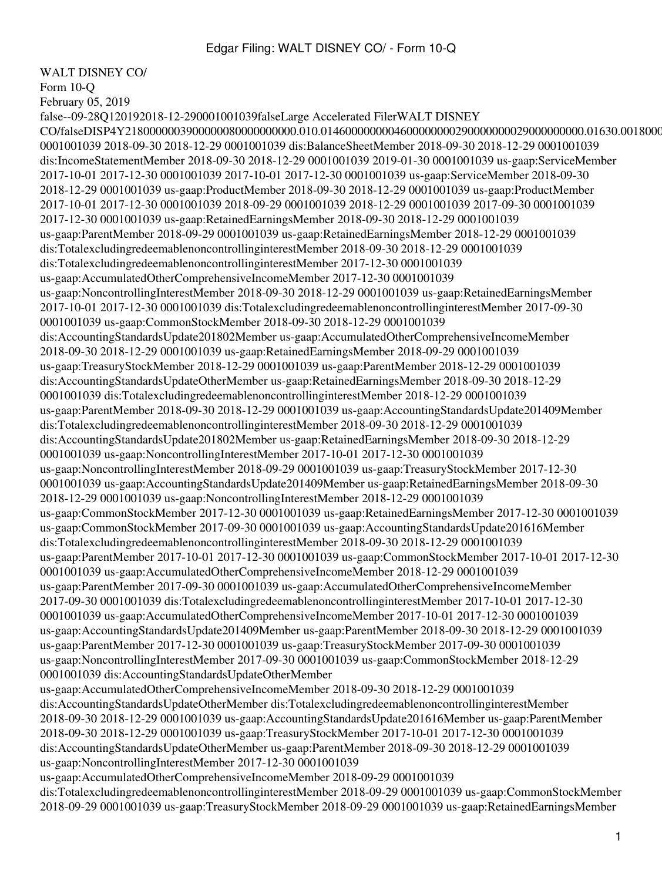WALT DISNEY CO/

Form 10-Q

February 05, 2019

false--09-28Q120192018-12-290001001039falseLarge Accelerated FilerWALT DISNEY  $CO/falseDISP4Y218000000390000080000000000.010.0146000000004600000002900000002900000000.01630.018000$ 0001001039 2018-09-30 2018-12-29 0001001039 dis:BalanceSheetMember 2018-09-30 2018-12-29 0001001039 dis:IncomeStatementMember 2018-09-30 2018-12-29 0001001039 2019-01-30 0001001039 us-gaap:ServiceMember 2017-10-01 2017-12-30 0001001039 2017-10-01 2017-12-30 0001001039 us-gaap:ServiceMember 2018-09-30 2018-12-29 0001001039 us-gaap:ProductMember 2018-09-30 2018-12-29 0001001039 us-gaap:ProductMember 2017-10-01 2017-12-30 0001001039 2018-09-29 0001001039 2018-12-29 0001001039 2017-09-30 0001001039 2017-12-30 0001001039 us-gaap:RetainedEarningsMember 2018-09-30 2018-12-29 0001001039 us-gaap:ParentMember 2018-09-29 0001001039 us-gaap:RetainedEarningsMember 2018-12-29 0001001039 dis:TotalexcludingredeemablenoncontrollinginterestMember 2018-09-30 2018-12-29 0001001039 dis:TotalexcludingredeemablenoncontrollinginterestMember 2017-12-30 0001001039 us-gaap:AccumulatedOtherComprehensiveIncomeMember 2017-12-30 0001001039 us-gaap:NoncontrollingInterestMember 2018-09-30 2018-12-29 0001001039 us-gaap:RetainedEarningsMember 2017-10-01 2017-12-30 0001001039 dis:TotalexcludingredeemablenoncontrollinginterestMember 2017-09-30 0001001039 us-gaap:CommonStockMember 2018-09-30 2018-12-29 0001001039 dis:AccountingStandardsUpdate201802Member us-gaap:AccumulatedOtherComprehensiveIncomeMember 2018-09-30 2018-12-29 0001001039 us-gaap:RetainedEarningsMember 2018-09-29 0001001039 us-gaap:TreasuryStockMember 2018-12-29 0001001039 us-gaap:ParentMember 2018-12-29 0001001039 dis:AccountingStandardsUpdateOtherMember us-gaap:RetainedEarningsMember 2018-09-30 2018-12-29 0001001039 dis:TotalexcludingredeemablenoncontrollinginterestMember 2018-12-29 0001001039 us-gaap:ParentMember 2018-09-30 2018-12-29 0001001039 us-gaap:AccountingStandardsUpdate201409Member dis:TotalexcludingredeemablenoncontrollinginterestMember 2018-09-30 2018-12-29 0001001039 dis:AccountingStandardsUpdate201802Member us-gaap:RetainedEarningsMember 2018-09-30 2018-12-29 0001001039 us-gaap:NoncontrollingInterestMember 2017-10-01 2017-12-30 0001001039 us-gaap:NoncontrollingInterestMember 2018-09-29 0001001039 us-gaap:TreasuryStockMember 2017-12-30 0001001039 us-gaap:AccountingStandardsUpdate201409Member us-gaap:RetainedEarningsMember 2018-09-30 2018-12-29 0001001039 us-gaap:NoncontrollingInterestMember 2018-12-29 0001001039 us-gaap:CommonStockMember 2017-12-30 0001001039 us-gaap:RetainedEarningsMember 2017-12-30 0001001039 us-gaap:CommonStockMember 2017-09-30 0001001039 us-gaap:AccountingStandardsUpdate201616Member dis:TotalexcludingredeemablenoncontrollinginterestMember 2018-09-30 2018-12-29 0001001039 us-gaap:ParentMember 2017-10-01 2017-12-30 0001001039 us-gaap:CommonStockMember 2017-10-01 2017-12-30 0001001039 us-gaap:AccumulatedOtherComprehensiveIncomeMember 2018-12-29 0001001039 us-gaap:ParentMember 2017-09-30 0001001039 us-gaap:AccumulatedOtherComprehensiveIncomeMember 2017-09-30 0001001039 dis:TotalexcludingredeemablenoncontrollinginterestMember 2017-10-01 2017-12-30 0001001039 us-gaap:AccumulatedOtherComprehensiveIncomeMember 2017-10-01 2017-12-30 0001001039 us-gaap:AccountingStandardsUpdate201409Member us-gaap:ParentMember 2018-09-30 2018-12-29 0001001039 us-gaap:ParentMember 2017-12-30 0001001039 us-gaap:TreasuryStockMember 2017-09-30 0001001039 us-gaap:NoncontrollingInterestMember 2017-09-30 0001001039 us-gaap:CommonStockMember 2018-12-29 0001001039 dis:AccountingStandardsUpdateOtherMember us-gaap:AccumulatedOtherComprehensiveIncomeMember 2018-09-30 2018-12-29 0001001039 dis:AccountingStandardsUpdateOtherMember dis:TotalexcludingredeemablenoncontrollinginterestMember 2018-09-30 2018-12-29 0001001039 us-gaap:AccountingStandardsUpdate201616Member us-gaap:ParentMember 2018-09-30 2018-12-29 0001001039 us-gaap:TreasuryStockMember 2017-10-01 2017-12-30 0001001039 dis:AccountingStandardsUpdateOtherMember us-gaap:ParentMember 2018-09-30 2018-12-29 0001001039 us-gaap:NoncontrollingInterestMember 2017-12-30 0001001039 us-gaap:AccumulatedOtherComprehensiveIncomeMember 2018-09-29 0001001039 dis:TotalexcludingredeemablenoncontrollinginterestMember 2018-09-29 0001001039 us-gaap:CommonStockMember 2018-09-29 0001001039 us-gaap:TreasuryStockMember 2018-09-29 0001001039 us-gaap:RetainedEarningsMember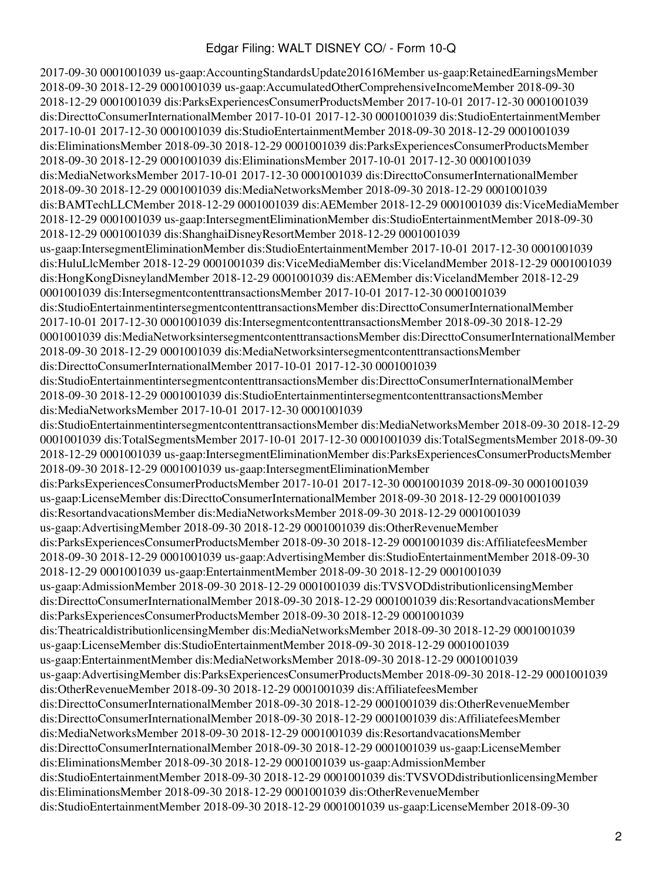2017-09-30 0001001039 us-gaap:AccountingStandardsUpdate201616Member us-gaap:RetainedEarningsMember 2018-09-30 2018-12-29 0001001039 us-gaap:AccumulatedOtherComprehensiveIncomeMember 2018-09-30 2018-12-29 0001001039 dis:ParksExperiencesConsumerProductsMember 2017-10-01 2017-12-30 0001001039 dis:DirecttoConsumerInternationalMember 2017-10-01 2017-12-30 0001001039 dis:StudioEntertainmentMember 2017-10-01 2017-12-30 0001001039 dis:StudioEntertainmentMember 2018-09-30 2018-12-29 0001001039 dis:EliminationsMember 2018-09-30 2018-12-29 0001001039 dis:ParksExperiencesConsumerProductsMember 2018-09-30 2018-12-29 0001001039 dis:EliminationsMember 2017-10-01 2017-12-30 0001001039 dis:MediaNetworksMember 2017-10-01 2017-12-30 0001001039 dis:DirecttoConsumerInternationalMember 2018-09-30 2018-12-29 0001001039 dis:MediaNetworksMember 2018-09-30 2018-12-29 0001001039 dis:BAMTechLLCMember 2018-12-29 0001001039 dis:AEMember 2018-12-29 0001001039 dis:ViceMediaMember 2018-12-29 0001001039 us-gaap:IntersegmentEliminationMember dis:StudioEntertainmentMember 2018-09-30 2018-12-29 0001001039 dis:ShanghaiDisneyResortMember 2018-12-29 0001001039 us-gaap:IntersegmentEliminationMember dis:StudioEntertainmentMember 2017-10-01 2017-12-30 0001001039 dis:HuluLlcMember 2018-12-29 0001001039 dis:ViceMediaMember dis:VicelandMember 2018-12-29 0001001039 dis:HongKongDisneylandMember 2018-12-29 0001001039 dis:AEMember dis:VicelandMember 2018-12-29 0001001039 dis:IntersegmentcontenttransactionsMember 2017-10-01 2017-12-30 0001001039 dis:StudioEntertainmentintersegmentcontenttransactionsMember dis:DirecttoConsumerInternationalMember 2017-10-01 2017-12-30 0001001039 dis:IntersegmentcontenttransactionsMember 2018-09-30 2018-12-29 0001001039 dis:MediaNetworksintersegmentcontenttransactionsMember dis:DirecttoConsumerInternationalMember 2018-09-30 2018-12-29 0001001039 dis:MediaNetworksintersegmentcontenttransactionsMember dis:DirecttoConsumerInternationalMember 2017-10-01 2017-12-30 0001001039 dis:StudioEntertainmentintersegmentcontenttransactionsMember dis:DirecttoConsumerInternationalMember 2018-09-30 2018-12-29 0001001039 dis:StudioEntertainmentintersegmentcontenttransactionsMember dis:MediaNetworksMember 2017-10-01 2017-12-30 0001001039 dis:StudioEntertainmentintersegmentcontenttransactionsMember dis:MediaNetworksMember 2018-09-30 2018-12-29 0001001039 dis:TotalSegmentsMember 2017-10-01 2017-12-30 0001001039 dis:TotalSegmentsMember 2018-09-30 2018-12-29 0001001039 us-gaap:IntersegmentEliminationMember dis:ParksExperiencesConsumerProductsMember 2018-09-30 2018-12-29 0001001039 us-gaap:IntersegmentEliminationMember dis:ParksExperiencesConsumerProductsMember 2017-10-01 2017-12-30 0001001039 2018-09-30 0001001039 us-gaap:LicenseMember dis:DirecttoConsumerInternationalMember 2018-09-30 2018-12-29 0001001039 dis:ResortandvacationsMember dis:MediaNetworksMember 2018-09-30 2018-12-29 0001001039 us-gaap:AdvertisingMember 2018-09-30 2018-12-29 0001001039 dis:OtherRevenueMember dis:ParksExperiencesConsumerProductsMember 2018-09-30 2018-12-29 0001001039 dis:AffiliatefeesMember 2018-09-30 2018-12-29 0001001039 us-gaap:AdvertisingMember dis:StudioEntertainmentMember 2018-09-30 2018-12-29 0001001039 us-gaap:EntertainmentMember 2018-09-30 2018-12-29 0001001039 us-gaap:AdmissionMember 2018-09-30 2018-12-29 0001001039 dis:TVSVODdistributionlicensingMember dis:DirecttoConsumerInternationalMember 2018-09-30 2018-12-29 0001001039 dis:ResortandvacationsMember dis:ParksExperiencesConsumerProductsMember 2018-09-30 2018-12-29 0001001039 dis:TheatricaldistributionlicensingMember dis:MediaNetworksMember 2018-09-30 2018-12-29 0001001039 us-gaap:LicenseMember dis:StudioEntertainmentMember 2018-09-30 2018-12-29 0001001039 us-gaap:EntertainmentMember dis:MediaNetworksMember 2018-09-30 2018-12-29 0001001039 us-gaap:AdvertisingMember dis:ParksExperiencesConsumerProductsMember 2018-09-30 2018-12-29 0001001039 dis:OtherRevenueMember 2018-09-30 2018-12-29 0001001039 dis:AffiliatefeesMember dis:DirecttoConsumerInternationalMember 2018-09-30 2018-12-29 0001001039 dis:OtherRevenueMember dis:DirecttoConsumerInternationalMember 2018-09-30 2018-12-29 0001001039 dis:AffiliatefeesMember dis:MediaNetworksMember 2018-09-30 2018-12-29 0001001039 dis:ResortandvacationsMember dis:DirecttoConsumerInternationalMember 2018-09-30 2018-12-29 0001001039 us-gaap:LicenseMember dis:EliminationsMember 2018-09-30 2018-12-29 0001001039 us-gaap:AdmissionMember dis:StudioEntertainmentMember 2018-09-30 2018-12-29 0001001039 dis:TVSVODdistributionlicensingMember dis:EliminationsMember 2018-09-30 2018-12-29 0001001039 dis:OtherRevenueMember dis:StudioEntertainmentMember 2018-09-30 2018-12-29 0001001039 us-gaap:LicenseMember 2018-09-30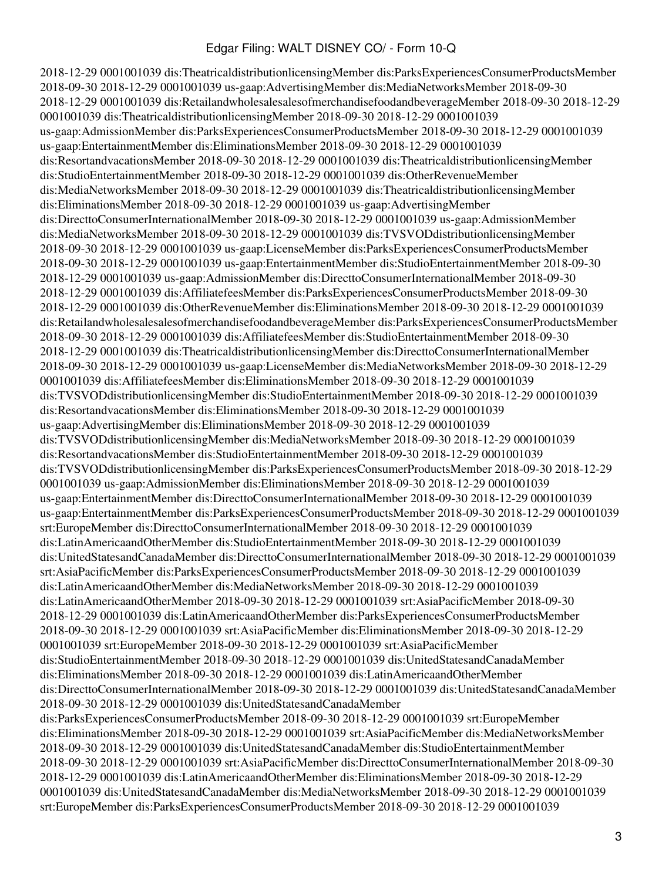2018-12-29 0001001039 dis:TheatricaldistributionlicensingMember dis:ParksExperiencesConsumerProductsMember 2018-09-30 2018-12-29 0001001039 us-gaap:AdvertisingMember dis:MediaNetworksMember 2018-09-30 2018-12-29 0001001039 dis:RetailandwholesalesalesofmerchandisefoodandbeverageMember 2018-09-30 2018-12-29 0001001039 dis:TheatricaldistributionlicensingMember 2018-09-30 2018-12-29 0001001039 us-gaap:AdmissionMember dis:ParksExperiencesConsumerProductsMember 2018-09-30 2018-12-29 0001001039 us-gaap:EntertainmentMember dis:EliminationsMember 2018-09-30 2018-12-29 0001001039 dis:ResortandvacationsMember 2018-09-30 2018-12-29 0001001039 dis:TheatricaldistributionlicensingMember dis:StudioEntertainmentMember 2018-09-30 2018-12-29 0001001039 dis:OtherRevenueMember dis:MediaNetworksMember 2018-09-30 2018-12-29 0001001039 dis:TheatricaldistributionlicensingMember dis:EliminationsMember 2018-09-30 2018-12-29 0001001039 us-gaap:AdvertisingMember dis:DirecttoConsumerInternationalMember 2018-09-30 2018-12-29 0001001039 us-gaap:AdmissionMember dis:MediaNetworksMember 2018-09-30 2018-12-29 0001001039 dis:TVSVODdistributionlicensingMember 2018-09-30 2018-12-29 0001001039 us-gaap:LicenseMember dis:ParksExperiencesConsumerProductsMember 2018-09-30 2018-12-29 0001001039 us-gaap:EntertainmentMember dis:StudioEntertainmentMember 2018-09-30 2018-12-29 0001001039 us-gaap:AdmissionMember dis:DirecttoConsumerInternationalMember 2018-09-30 2018-12-29 0001001039 dis:AffiliatefeesMember dis:ParksExperiencesConsumerProductsMember 2018-09-30 2018-12-29 0001001039 dis:OtherRevenueMember dis:EliminationsMember 2018-09-30 2018-12-29 0001001039 dis:RetailandwholesalesalesofmerchandisefoodandbeverageMember dis:ParksExperiencesConsumerProductsMember 2018-09-30 2018-12-29 0001001039 dis:AffiliatefeesMember dis:StudioEntertainmentMember 2018-09-30 2018-12-29 0001001039 dis:TheatricaldistributionlicensingMember dis:DirecttoConsumerInternationalMember 2018-09-30 2018-12-29 0001001039 us-gaap:LicenseMember dis:MediaNetworksMember 2018-09-30 2018-12-29 0001001039 dis:AffiliatefeesMember dis:EliminationsMember 2018-09-30 2018-12-29 0001001039 dis:TVSVODdistributionlicensingMember dis:StudioEntertainmentMember 2018-09-30 2018-12-29 0001001039 dis:ResortandvacationsMember dis:EliminationsMember 2018-09-30 2018-12-29 0001001039 us-gaap:AdvertisingMember dis:EliminationsMember 2018-09-30 2018-12-29 0001001039 dis:TVSVODdistributionlicensingMember dis:MediaNetworksMember 2018-09-30 2018-12-29 0001001039 dis:ResortandvacationsMember dis:StudioEntertainmentMember 2018-09-30 2018-12-29 0001001039 dis:TVSVODdistributionlicensingMember dis:ParksExperiencesConsumerProductsMember 2018-09-30 2018-12-29 0001001039 us-gaap:AdmissionMember dis:EliminationsMember 2018-09-30 2018-12-29 0001001039 us-gaap:EntertainmentMember dis:DirecttoConsumerInternationalMember 2018-09-30 2018-12-29 0001001039 us-gaap:EntertainmentMember dis:ParksExperiencesConsumerProductsMember 2018-09-30 2018-12-29 0001001039 srt:EuropeMember dis:DirecttoConsumerInternationalMember 2018-09-30 2018-12-29 0001001039 dis:LatinAmericaandOtherMember dis:StudioEntertainmentMember 2018-09-30 2018-12-29 0001001039 dis:UnitedStatesandCanadaMember dis:DirecttoConsumerInternationalMember 2018-09-30 2018-12-29 0001001039 srt:AsiaPacificMember dis:ParksExperiencesConsumerProductsMember 2018-09-30 2018-12-29 0001001039 dis:LatinAmericaandOtherMember dis:MediaNetworksMember 2018-09-30 2018-12-29 0001001039 dis:LatinAmericaandOtherMember 2018-09-30 2018-12-29 0001001039 srt:AsiaPacificMember 2018-09-30 2018-12-29 0001001039 dis:LatinAmericaandOtherMember dis:ParksExperiencesConsumerProductsMember 2018-09-30 2018-12-29 0001001039 srt:AsiaPacificMember dis:EliminationsMember 2018-09-30 2018-12-29 0001001039 srt:EuropeMember 2018-09-30 2018-12-29 0001001039 srt:AsiaPacificMember dis:StudioEntertainmentMember 2018-09-30 2018-12-29 0001001039 dis:UnitedStatesandCanadaMember dis:EliminationsMember 2018-09-30 2018-12-29 0001001039 dis:LatinAmericaandOtherMember dis:DirecttoConsumerInternationalMember 2018-09-30 2018-12-29 0001001039 dis:UnitedStatesandCanadaMember 2018-09-30 2018-12-29 0001001039 dis:UnitedStatesandCanadaMember dis:ParksExperiencesConsumerProductsMember 2018-09-30 2018-12-29 0001001039 srt:EuropeMember dis:EliminationsMember 2018-09-30 2018-12-29 0001001039 srt:AsiaPacificMember dis:MediaNetworksMember 2018-09-30 2018-12-29 0001001039 dis:UnitedStatesandCanadaMember dis:StudioEntertainmentMember 2018-09-30 2018-12-29 0001001039 srt:AsiaPacificMember dis:DirecttoConsumerInternationalMember 2018-09-30 2018-12-29 0001001039 dis:LatinAmericaandOtherMember dis:EliminationsMember 2018-09-30 2018-12-29 0001001039 dis:UnitedStatesandCanadaMember dis:MediaNetworksMember 2018-09-30 2018-12-29 0001001039 srt:EuropeMember dis:ParksExperiencesConsumerProductsMember 2018-09-30 2018-12-29 0001001039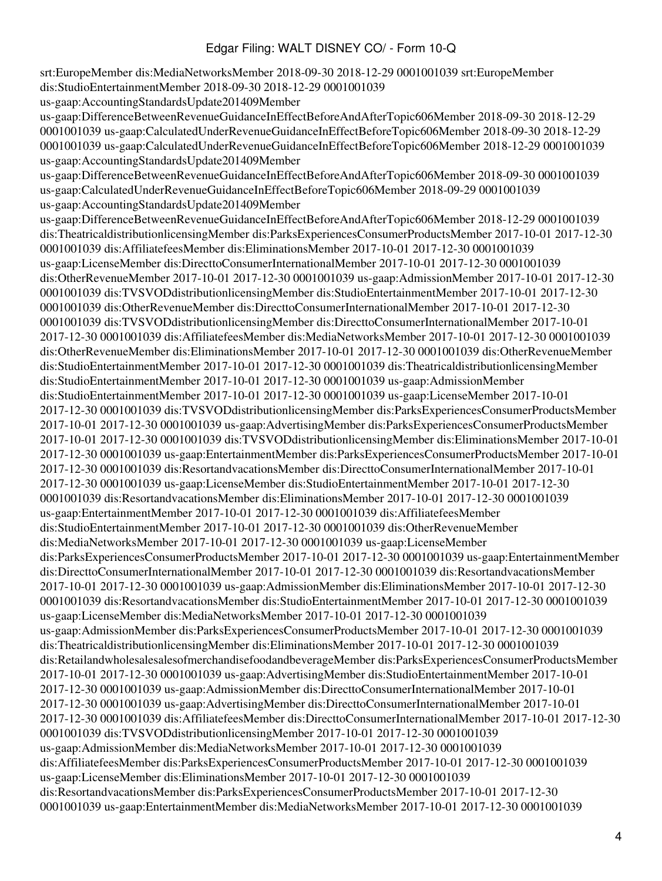srt:EuropeMember dis:MediaNetworksMember 2018-09-30 2018-12-29 0001001039 srt:EuropeMember dis:StudioEntertainmentMember 2018-09-30 2018-12-29 0001001039 us-gaap:AccountingStandardsUpdate201409Member us-gaap:DifferenceBetweenRevenueGuidanceInEffectBeforeAndAfterTopic606Member 2018-09-30 2018-12-29 0001001039 us-gaap:CalculatedUnderRevenueGuidanceInEffectBeforeTopic606Member 2018-09-30 2018-12-29 0001001039 us-gaap:CalculatedUnderRevenueGuidanceInEffectBeforeTopic606Member 2018-12-29 0001001039 us-gaap:AccountingStandardsUpdate201409Member us-gaap:DifferenceBetweenRevenueGuidanceInEffectBeforeAndAfterTopic606Member 2018-09-30 0001001039 us-gaap:CalculatedUnderRevenueGuidanceInEffectBeforeTopic606Member 2018-09-29 0001001039 us-gaap:AccountingStandardsUpdate201409Member us-gaap:DifferenceBetweenRevenueGuidanceInEffectBeforeAndAfterTopic606Member 2018-12-29 0001001039 dis:TheatricaldistributionlicensingMember dis:ParksExperiencesConsumerProductsMember 2017-10-01 2017-12-30 0001001039 dis:AffiliatefeesMember dis:EliminationsMember 2017-10-01 2017-12-30 0001001039 us-gaap:LicenseMember dis:DirecttoConsumerInternationalMember 2017-10-01 2017-12-30 0001001039 dis:OtherRevenueMember 2017-10-01 2017-12-30 0001001039 us-gaap:AdmissionMember 2017-10-01 2017-12-30 0001001039 dis:TVSVODdistributionlicensingMember dis:StudioEntertainmentMember 2017-10-01 2017-12-30 0001001039 dis:OtherRevenueMember dis:DirecttoConsumerInternationalMember 2017-10-01 2017-12-30 0001001039 dis:TVSVODdistributionlicensingMember dis:DirecttoConsumerInternationalMember 2017-10-01 2017-12-30 0001001039 dis:AffiliatefeesMember dis:MediaNetworksMember 2017-10-01 2017-12-30 0001001039 dis:OtherRevenueMember dis:EliminationsMember 2017-10-01 2017-12-30 0001001039 dis:OtherRevenueMember dis:StudioEntertainmentMember 2017-10-01 2017-12-30 0001001039 dis:TheatricaldistributionlicensingMember dis:StudioEntertainmentMember 2017-10-01 2017-12-30 0001001039 us-gaap:AdmissionMember dis:StudioEntertainmentMember 2017-10-01 2017-12-30 0001001039 us-gaap:LicenseMember 2017-10-01 2017-12-30 0001001039 dis:TVSVODdistributionlicensingMember dis:ParksExperiencesConsumerProductsMember 2017-10-01 2017-12-30 0001001039 us-gaap:AdvertisingMember dis:ParksExperiencesConsumerProductsMember 2017-10-01 2017-12-30 0001001039 dis:TVSVODdistributionlicensingMember dis:EliminationsMember 2017-10-01 2017-12-30 0001001039 us-gaap:EntertainmentMember dis:ParksExperiencesConsumerProductsMember 2017-10-01 2017-12-30 0001001039 dis:ResortandvacationsMember dis:DirecttoConsumerInternationalMember 2017-10-01 2017-12-30 0001001039 us-gaap:LicenseMember dis:StudioEntertainmentMember 2017-10-01 2017-12-30 0001001039 dis:ResortandvacationsMember dis:EliminationsMember 2017-10-01 2017-12-30 0001001039 us-gaap:EntertainmentMember 2017-10-01 2017-12-30 0001001039 dis:AffiliatefeesMember dis:StudioEntertainmentMember 2017-10-01 2017-12-30 0001001039 dis:OtherRevenueMember dis:MediaNetworksMember 2017-10-01 2017-12-30 0001001039 us-gaap:LicenseMember dis:ParksExperiencesConsumerProductsMember 2017-10-01 2017-12-30 0001001039 us-gaap:EntertainmentMember dis:DirecttoConsumerInternationalMember 2017-10-01 2017-12-30 0001001039 dis:ResortandvacationsMember 2017-10-01 2017-12-30 0001001039 us-gaap:AdmissionMember dis:EliminationsMember 2017-10-01 2017-12-30 0001001039 dis:ResortandvacationsMember dis:StudioEntertainmentMember 2017-10-01 2017-12-30 0001001039 us-gaap:LicenseMember dis:MediaNetworksMember 2017-10-01 2017-12-30 0001001039 us-gaap:AdmissionMember dis:ParksExperiencesConsumerProductsMember 2017-10-01 2017-12-30 0001001039 dis:TheatricaldistributionlicensingMember dis:EliminationsMember 2017-10-01 2017-12-30 0001001039 dis:RetailandwholesalesalesofmerchandisefoodandbeverageMember dis:ParksExperiencesConsumerProductsMember 2017-10-01 2017-12-30 0001001039 us-gaap:AdvertisingMember dis:StudioEntertainmentMember 2017-10-01 2017-12-30 0001001039 us-gaap:AdmissionMember dis:DirecttoConsumerInternationalMember 2017-10-01 2017-12-30 0001001039 us-gaap:AdvertisingMember dis:DirecttoConsumerInternationalMember 2017-10-01 2017-12-30 0001001039 dis:AffiliatefeesMember dis:DirecttoConsumerInternationalMember 2017-10-01 2017-12-30 0001001039 dis:TVSVODdistributionlicensingMember 2017-10-01 2017-12-30 0001001039 us-gaap:AdmissionMember dis:MediaNetworksMember 2017-10-01 2017-12-30 0001001039 dis:AffiliatefeesMember dis:ParksExperiencesConsumerProductsMember 2017-10-01 2017-12-30 0001001039 us-gaap:LicenseMember dis:EliminationsMember 2017-10-01 2017-12-30 0001001039 dis:ResortandvacationsMember dis:ParksExperiencesConsumerProductsMember 2017-10-01 2017-12-30 0001001039 us-gaap:EntertainmentMember dis:MediaNetworksMember 2017-10-01 2017-12-30 0001001039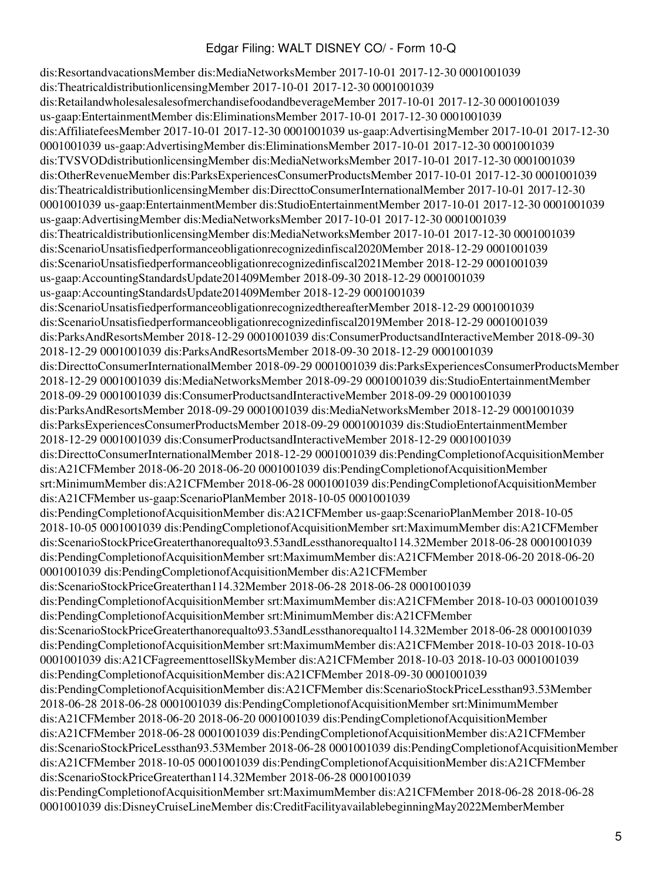dis:ResortandvacationsMember dis:MediaNetworksMember 2017-10-01 2017-12-30 0001001039 dis:TheatricaldistributionlicensingMember 2017-10-01 2017-12-30 0001001039 dis:RetailandwholesalesalesofmerchandisefoodandbeverageMember 2017-10-01 2017-12-30 0001001039 us-gaap:EntertainmentMember dis:EliminationsMember 2017-10-01 2017-12-30 0001001039 dis:AffiliatefeesMember 2017-10-01 2017-12-30 0001001039 us-gaap:AdvertisingMember 2017-10-01 2017-12-30 0001001039 us-gaap:AdvertisingMember dis:EliminationsMember 2017-10-01 2017-12-30 0001001039 dis:TVSVODdistributionlicensingMember dis:MediaNetworksMember 2017-10-01 2017-12-30 0001001039 dis:OtherRevenueMember dis:ParksExperiencesConsumerProductsMember 2017-10-01 2017-12-30 0001001039 dis:TheatricaldistributionlicensingMember dis:DirecttoConsumerInternationalMember 2017-10-01 2017-12-30 0001001039 us-gaap:EntertainmentMember dis:StudioEntertainmentMember 2017-10-01 2017-12-30 0001001039 us-gaap:AdvertisingMember dis:MediaNetworksMember 2017-10-01 2017-12-30 0001001039 dis:TheatricaldistributionlicensingMember dis:MediaNetworksMember 2017-10-01 2017-12-30 0001001039 dis:ScenarioUnsatisfiedperformanceobligationrecognizedinfiscal2020Member 2018-12-29 0001001039 dis:ScenarioUnsatisfiedperformanceobligationrecognizedinfiscal2021Member 2018-12-29 0001001039 us-gaap:AccountingStandardsUpdate201409Member 2018-09-30 2018-12-29 0001001039 us-gaap:AccountingStandardsUpdate201409Member 2018-12-29 0001001039 dis:ScenarioUnsatisfiedperformanceobligationrecognizedthereafterMember 2018-12-29 0001001039 dis:ScenarioUnsatisfiedperformanceobligationrecognizedinfiscal2019Member 2018-12-29 0001001039 dis:ParksAndResortsMember 2018-12-29 0001001039 dis:ConsumerProductsandInteractiveMember 2018-09-30 2018-12-29 0001001039 dis:ParksAndResortsMember 2018-09-30 2018-12-29 0001001039 dis:DirecttoConsumerInternationalMember 2018-09-29 0001001039 dis:ParksExperiencesConsumerProductsMember 2018-12-29 0001001039 dis:MediaNetworksMember 2018-09-29 0001001039 dis:StudioEntertainmentMember 2018-09-29 0001001039 dis:ConsumerProductsandInteractiveMember 2018-09-29 0001001039 dis:ParksAndResortsMember 2018-09-29 0001001039 dis:MediaNetworksMember 2018-12-29 0001001039 dis:ParksExperiencesConsumerProductsMember 2018-09-29 0001001039 dis:StudioEntertainmentMember 2018-12-29 0001001039 dis:ConsumerProductsandInteractiveMember 2018-12-29 0001001039 dis:DirecttoConsumerInternationalMember 2018-12-29 0001001039 dis:PendingCompletionofAcquisitionMember dis:A21CFMember 2018-06-20 2018-06-20 0001001039 dis:PendingCompletionofAcquisitionMember srt:MinimumMember dis:A21CFMember 2018-06-28 0001001039 dis:PendingCompletionofAcquisitionMember dis:A21CFMember us-gaap:ScenarioPlanMember 2018-10-05 0001001039 dis:PendingCompletionofAcquisitionMember dis:A21CFMember us-gaap:ScenarioPlanMember 2018-10-05 2018-10-05 0001001039 dis:PendingCompletionofAcquisitionMember srt:MaximumMember dis:A21CFMember dis:ScenarioStockPriceGreaterthanorequalto93.53andLessthanorequalto114.32Member 2018-06-28 0001001039 dis:PendingCompletionofAcquisitionMember srt:MaximumMember dis:A21CFMember 2018-06-20 2018-06-20 0001001039 dis:PendingCompletionofAcquisitionMember dis:A21CFMember dis:ScenarioStockPriceGreaterthan114.32Member 2018-06-28 2018-06-28 0001001039 dis:PendingCompletionofAcquisitionMember srt:MaximumMember dis:A21CFMember 2018-10-03 0001001039 dis:PendingCompletionofAcquisitionMember srt:MinimumMember dis:A21CFMember dis:ScenarioStockPriceGreaterthanorequalto93.53andLessthanorequalto114.32Member 2018-06-28 0001001039 dis:PendingCompletionofAcquisitionMember srt:MaximumMember dis:A21CFMember 2018-10-03 2018-10-03 0001001039 dis:A21CFagreementtosellSkyMember dis:A21CFMember 2018-10-03 2018-10-03 0001001039 dis:PendingCompletionofAcquisitionMember dis:A21CFMember 2018-09-30 0001001039 dis:PendingCompletionofAcquisitionMember dis:A21CFMember dis:ScenarioStockPriceLessthan93.53Member 2018-06-28 2018-06-28 0001001039 dis:PendingCompletionofAcquisitionMember srt:MinimumMember dis:A21CFMember 2018-06-20 2018-06-20 0001001039 dis:PendingCompletionofAcquisitionMember dis:A21CFMember 2018-06-28 0001001039 dis:PendingCompletionofAcquisitionMember dis:A21CFMember dis:ScenarioStockPriceLessthan93.53Member 2018-06-28 0001001039 dis:PendingCompletionofAcquisitionMember dis:A21CFMember 2018-10-05 0001001039 dis:PendingCompletionofAcquisitionMember dis:A21CFMember dis:ScenarioStockPriceGreaterthan114.32Member 2018-06-28 0001001039 dis:PendingCompletionofAcquisitionMember srt:MaximumMember dis:A21CFMember 2018-06-28 2018-06-28 0001001039 dis:DisneyCruiseLineMember dis:CreditFacilityavailablebeginningMay2022MemberMember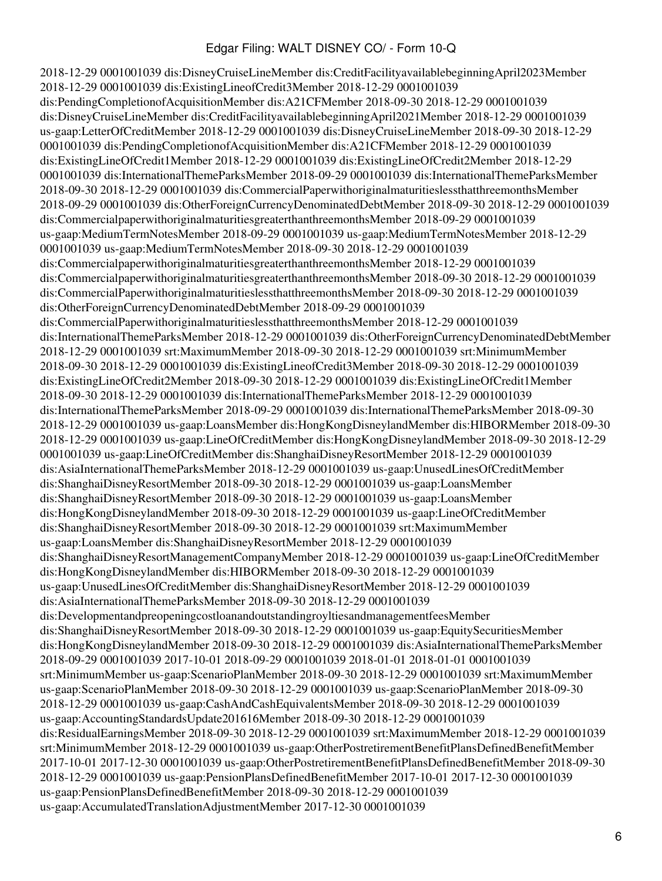2018-12-29 0001001039 dis:DisneyCruiseLineMember dis:CreditFacilityavailablebeginningApril2023Member 2018-12-29 0001001039 dis:ExistingLineofCredit3Member 2018-12-29 0001001039 dis:PendingCompletionofAcquisitionMember dis:A21CFMember 2018-09-30 2018-12-29 0001001039 dis:DisneyCruiseLineMember dis:CreditFacilityavailablebeginningApril2021Member 2018-12-29 0001001039 us-gaap:LetterOfCreditMember 2018-12-29 0001001039 dis:DisneyCruiseLineMember 2018-09-30 2018-12-29 0001001039 dis:PendingCompletionofAcquisitionMember dis:A21CFMember 2018-12-29 0001001039 dis:ExistingLineOfCredit1Member 2018-12-29 0001001039 dis:ExistingLineOfCredit2Member 2018-12-29 0001001039 dis:InternationalThemeParksMember 2018-09-29 0001001039 dis:InternationalThemeParksMember 2018-09-30 2018-12-29 0001001039 dis:CommercialPaperwithoriginalmaturitieslessthatthreemonthsMember 2018-09-29 0001001039 dis:OtherForeignCurrencyDenominatedDebtMember 2018-09-30 2018-12-29 0001001039 dis:CommercialpaperwithoriginalmaturitiesgreaterthanthreemonthsMember 2018-09-29 0001001039 us-gaap:MediumTermNotesMember 2018-09-29 0001001039 us-gaap:MediumTermNotesMember 2018-12-29 0001001039 us-gaap:MediumTermNotesMember 2018-09-30 2018-12-29 0001001039 dis:CommercialpaperwithoriginalmaturitiesgreaterthanthreemonthsMember 2018-12-29 0001001039 dis:CommercialpaperwithoriginalmaturitiesgreaterthanthreemonthsMember 2018-09-30 2018-12-29 0001001039 dis:CommercialPaperwithoriginalmaturitieslessthatthreemonthsMember 2018-09-30 2018-12-29 0001001039 dis:OtherForeignCurrencyDenominatedDebtMember 2018-09-29 0001001039 dis:CommercialPaperwithoriginalmaturitieslessthatthreemonthsMember 2018-12-29 0001001039 dis:InternationalThemeParksMember 2018-12-29 0001001039 dis:OtherForeignCurrencyDenominatedDebtMember 2018-12-29 0001001039 srt:MaximumMember 2018-09-30 2018-12-29 0001001039 srt:MinimumMember 2018-09-30 2018-12-29 0001001039 dis:ExistingLineofCredit3Member 2018-09-30 2018-12-29 0001001039 dis:ExistingLineOfCredit2Member 2018-09-30 2018-12-29 0001001039 dis:ExistingLineOfCredit1Member 2018-09-30 2018-12-29 0001001039 dis:InternationalThemeParksMember 2018-12-29 0001001039 dis:InternationalThemeParksMember 2018-09-29 0001001039 dis:InternationalThemeParksMember 2018-09-30 2018-12-29 0001001039 us-gaap:LoansMember dis:HongKongDisneylandMember dis:HIBORMember 2018-09-30 2018-12-29 0001001039 us-gaap:LineOfCreditMember dis:HongKongDisneylandMember 2018-09-30 2018-12-29 0001001039 us-gaap:LineOfCreditMember dis:ShanghaiDisneyResortMember 2018-12-29 0001001039 dis:AsiaInternationalThemeParksMember 2018-12-29 0001001039 us-gaap:UnusedLinesOfCreditMember dis:ShanghaiDisneyResortMember 2018-09-30 2018-12-29 0001001039 us-gaap:LoansMember dis:ShanghaiDisneyResortMember 2018-09-30 2018-12-29 0001001039 us-gaap:LoansMember dis:HongKongDisneylandMember 2018-09-30 2018-12-29 0001001039 us-gaap:LineOfCreditMember dis:ShanghaiDisneyResortMember 2018-09-30 2018-12-29 0001001039 srt:MaximumMember us-gaap:LoansMember dis:ShanghaiDisneyResortMember 2018-12-29 0001001039 dis:ShanghaiDisneyResortManagementCompanyMember 2018-12-29 0001001039 us-gaap:LineOfCreditMember dis:HongKongDisneylandMember dis:HIBORMember 2018-09-30 2018-12-29 0001001039 us-gaap:UnusedLinesOfCreditMember dis:ShanghaiDisneyResortMember 2018-12-29 0001001039 dis:AsiaInternationalThemeParksMember 2018-09-30 2018-12-29 0001001039 dis:DevelopmentandpreopeningcostloanandoutstandingroyltiesandmanagementfeesMember dis:ShanghaiDisneyResortMember 2018-09-30 2018-12-29 0001001039 us-gaap:EquitySecuritiesMember dis:HongKongDisneylandMember 2018-09-30 2018-12-29 0001001039 dis:AsiaInternationalThemeParksMember 2018-09-29 0001001039 2017-10-01 2018-09-29 0001001039 2018-01-01 2018-01-01 0001001039 srt:MinimumMember us-gaap:ScenarioPlanMember 2018-09-30 2018-12-29 0001001039 srt:MaximumMember us-gaap:ScenarioPlanMember 2018-09-30 2018-12-29 0001001039 us-gaap:ScenarioPlanMember 2018-09-30 2018-12-29 0001001039 us-gaap:CashAndCashEquivalentsMember 2018-09-30 2018-12-29 0001001039 us-gaap:AccountingStandardsUpdate201616Member 2018-09-30 2018-12-29 0001001039 dis:ResidualEarningsMember 2018-09-30 2018-12-29 0001001039 srt:MaximumMember 2018-12-29 0001001039 srt:MinimumMember 2018-12-29 0001001039 us-gaap:OtherPostretirementBenefitPlansDefinedBenefitMember 2017-10-01 2017-12-30 0001001039 us-gaap:OtherPostretirementBenefitPlansDefinedBenefitMember 2018-09-30 2018-12-29 0001001039 us-gaap:PensionPlansDefinedBenefitMember 2017-10-01 2017-12-30 0001001039 us-gaap:PensionPlansDefinedBenefitMember 2018-09-30 2018-12-29 0001001039 us-gaap:AccumulatedTranslationAdjustmentMember 2017-12-30 0001001039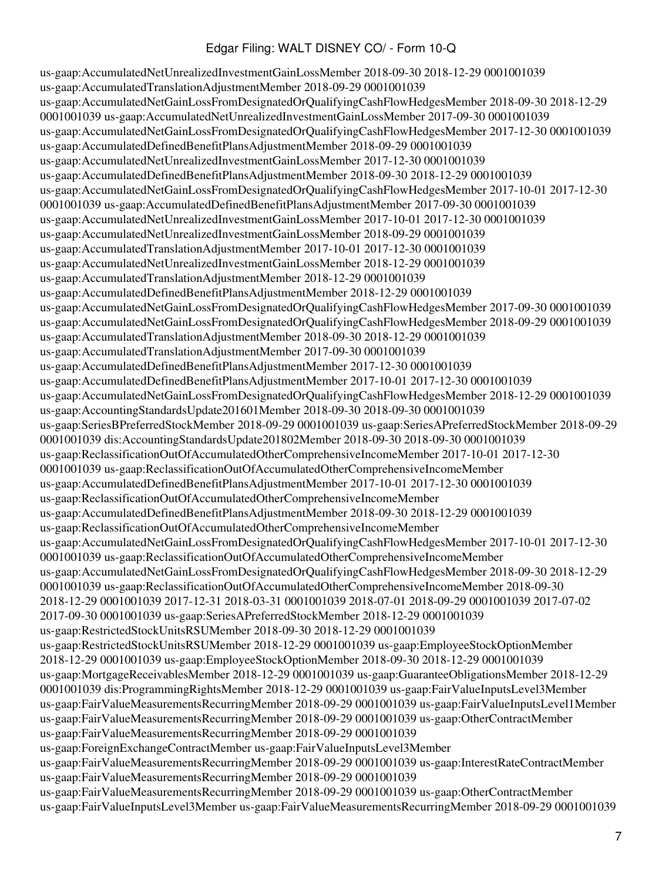us-gaap:AccumulatedNetUnrealizedInvestmentGainLossMember 2018-09-30 2018-12-29 0001001039 us-gaap:AccumulatedTranslationAdjustmentMember 2018-09-29 0001001039 us-gaap:AccumulatedNetGainLossFromDesignatedOrQualifyingCashFlowHedgesMember 2018-09-30 2018-12-29 0001001039 us-gaap:AccumulatedNetUnrealizedInvestmentGainLossMember 2017-09-30 0001001039 us-gaap:AccumulatedNetGainLossFromDesignatedOrQualifyingCashFlowHedgesMember 2017-12-30 0001001039 us-gaap:AccumulatedDefinedBenefitPlansAdjustmentMember 2018-09-29 0001001039 us-gaap:AccumulatedNetUnrealizedInvestmentGainLossMember 2017-12-30 0001001039 us-gaap:AccumulatedDefinedBenefitPlansAdjustmentMember 2018-09-30 2018-12-29 0001001039 us-gaap:AccumulatedNetGainLossFromDesignatedOrQualifyingCashFlowHedgesMember 2017-10-01 2017-12-30 0001001039 us-gaap:AccumulatedDefinedBenefitPlansAdjustmentMember 2017-09-30 0001001039 us-gaap:AccumulatedNetUnrealizedInvestmentGainLossMember 2017-10-01 2017-12-30 0001001039 us-gaap:AccumulatedNetUnrealizedInvestmentGainLossMember 2018-09-29 0001001039 us-gaap:AccumulatedTranslationAdjustmentMember 2017-10-01 2017-12-30 0001001039 us-gaap:AccumulatedNetUnrealizedInvestmentGainLossMember 2018-12-29 0001001039 us-gaap:AccumulatedTranslationAdjustmentMember 2018-12-29 0001001039 us-gaap:AccumulatedDefinedBenefitPlansAdjustmentMember 2018-12-29 0001001039 us-gaap:AccumulatedNetGainLossFromDesignatedOrQualifyingCashFlowHedgesMember 2017-09-30 0001001039 us-gaap:AccumulatedNetGainLossFromDesignatedOrQualifyingCashFlowHedgesMember 2018-09-29 0001001039 us-gaap:AccumulatedTranslationAdjustmentMember 2018-09-30 2018-12-29 0001001039 us-gaap:AccumulatedTranslationAdjustmentMember 2017-09-30 0001001039 us-gaap:AccumulatedDefinedBenefitPlansAdjustmentMember 2017-12-30 0001001039 us-gaap:AccumulatedDefinedBenefitPlansAdjustmentMember 2017-10-01 2017-12-30 0001001039 us-gaap:AccumulatedNetGainLossFromDesignatedOrQualifyingCashFlowHedgesMember 2018-12-29 0001001039 us-gaap:AccountingStandardsUpdate201601Member 2018-09-30 2018-09-30 0001001039 us-gaap:SeriesBPreferredStockMember 2018-09-29 0001001039 us-gaap:SeriesAPreferredStockMember 2018-09-29 0001001039 dis:AccountingStandardsUpdate201802Member 2018-09-30 2018-09-30 0001001039 us-gaap:ReclassificationOutOfAccumulatedOtherComprehensiveIncomeMember 2017-10-01 2017-12-30 0001001039 us-gaap:ReclassificationOutOfAccumulatedOtherComprehensiveIncomeMember us-gaap:AccumulatedDefinedBenefitPlansAdjustmentMember 2017-10-01 2017-12-30 0001001039 us-gaap:ReclassificationOutOfAccumulatedOtherComprehensiveIncomeMember us-gaap:AccumulatedDefinedBenefitPlansAdjustmentMember 2018-09-30 2018-12-29 0001001039 us-gaap:ReclassificationOutOfAccumulatedOtherComprehensiveIncomeMember us-gaap:AccumulatedNetGainLossFromDesignatedOrQualifyingCashFlowHedgesMember 2017-10-01 2017-12-30 0001001039 us-gaap:ReclassificationOutOfAccumulatedOtherComprehensiveIncomeMember us-gaap:AccumulatedNetGainLossFromDesignatedOrQualifyingCashFlowHedgesMember 2018-09-30 2018-12-29 0001001039 us-gaap:ReclassificationOutOfAccumulatedOtherComprehensiveIncomeMember 2018-09-30 2018-12-29 0001001039 2017-12-31 2018-03-31 0001001039 2018-07-01 2018-09-29 0001001039 2017-07-02 2017-09-30 0001001039 us-gaap:SeriesAPreferredStockMember 2018-12-29 0001001039 us-gaap:RestrictedStockUnitsRSUMember 2018-09-30 2018-12-29 0001001039 us-gaap:RestrictedStockUnitsRSUMember 2018-12-29 0001001039 us-gaap:EmployeeStockOptionMember 2018-12-29 0001001039 us-gaap:EmployeeStockOptionMember 2018-09-30 2018-12-29 0001001039 us-gaap:MortgageReceivablesMember 2018-12-29 0001001039 us-gaap:GuaranteeObligationsMember 2018-12-29 0001001039 dis:ProgrammingRightsMember 2018-12-29 0001001039 us-gaap:FairValueInputsLevel3Member us-gaap:FairValueMeasurementsRecurringMember 2018-09-29 0001001039 us-gaap:FairValueInputsLevel1Member us-gaap:FairValueMeasurementsRecurringMember 2018-09-29 0001001039 us-gaap:OtherContractMember us-gaap:FairValueMeasurementsRecurringMember 2018-09-29 0001001039 us-gaap:ForeignExchangeContractMember us-gaap:FairValueInputsLevel3Member us-gaap:FairValueMeasurementsRecurringMember 2018-09-29 0001001039 us-gaap:InterestRateContractMember us-gaap:FairValueMeasurementsRecurringMember 2018-09-29 0001001039 us-gaap:FairValueMeasurementsRecurringMember 2018-09-29 0001001039 us-gaap:OtherContractMember us-gaap:FairValueInputsLevel3Member us-gaap:FairValueMeasurementsRecurringMember 2018-09-29 0001001039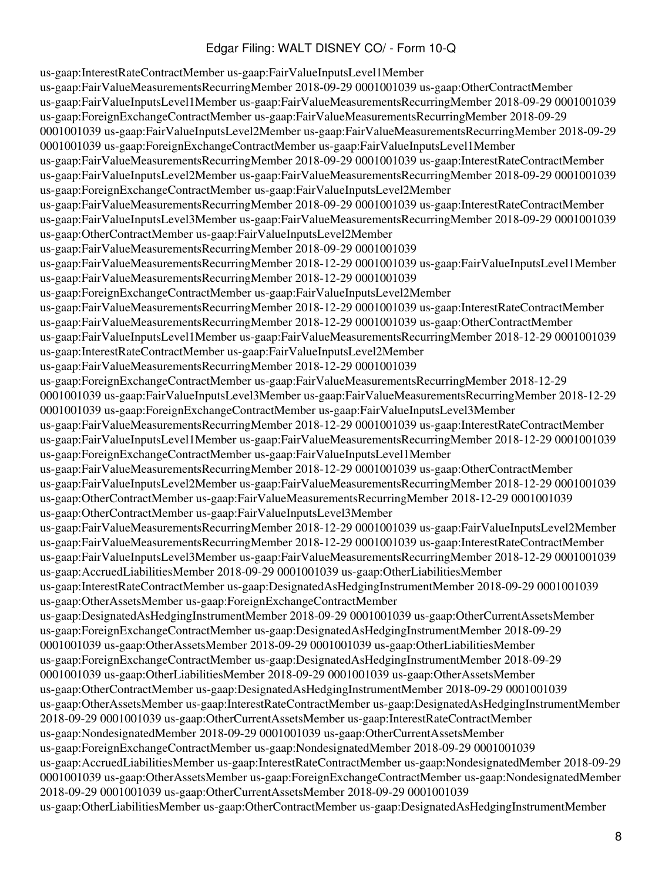us-gaap:InterestRateContractMember us-gaap:FairValueInputsLevel1Member us-gaap:FairValueMeasurementsRecurringMember 2018-09-29 0001001039 us-gaap:OtherContractMember us-gaap:FairValueInputsLevel1Member us-gaap:FairValueMeasurementsRecurringMember 2018-09-29 0001001039 us-gaap:ForeignExchangeContractMember us-gaap:FairValueMeasurementsRecurringMember 2018-09-29 0001001039 us-gaap:FairValueInputsLevel2Member us-gaap:FairValueMeasurementsRecurringMember 2018-09-29 0001001039 us-gaap:ForeignExchangeContractMember us-gaap:FairValueInputsLevel1Member us-gaap:FairValueMeasurementsRecurringMember 2018-09-29 0001001039 us-gaap:InterestRateContractMember us-gaap:FairValueInputsLevel2Member us-gaap:FairValueMeasurementsRecurringMember 2018-09-29 0001001039 us-gaap:ForeignExchangeContractMember us-gaap:FairValueInputsLevel2Member us-gaap:FairValueMeasurementsRecurringMember 2018-09-29 0001001039 us-gaap:InterestRateContractMember us-gaap:FairValueInputsLevel3Member us-gaap:FairValueMeasurementsRecurringMember 2018-09-29 0001001039 us-gaap:OtherContractMember us-gaap:FairValueInputsLevel2Member us-gaap:FairValueMeasurementsRecurringMember 2018-09-29 0001001039 us-gaap:FairValueMeasurementsRecurringMember 2018-12-29 0001001039 us-gaap:FairValueInputsLevel1Member us-gaap:FairValueMeasurementsRecurringMember 2018-12-29 0001001039 us-gaap:ForeignExchangeContractMember us-gaap:FairValueInputsLevel2Member us-gaap:FairValueMeasurementsRecurringMember 2018-12-29 0001001039 us-gaap:InterestRateContractMember us-gaap:FairValueMeasurementsRecurringMember 2018-12-29 0001001039 us-gaap:OtherContractMember us-gaap:FairValueInputsLevel1Member us-gaap:FairValueMeasurementsRecurringMember 2018-12-29 0001001039 us-gaap:InterestRateContractMember us-gaap:FairValueInputsLevel2Member us-gaap:FairValueMeasurementsRecurringMember 2018-12-29 0001001039 us-gaap:ForeignExchangeContractMember us-gaap:FairValueMeasurementsRecurringMember 2018-12-29 0001001039 us-gaap:FairValueInputsLevel3Member us-gaap:FairValueMeasurementsRecurringMember 2018-12-29 0001001039 us-gaap:ForeignExchangeContractMember us-gaap:FairValueInputsLevel3Member us-gaap:FairValueMeasurementsRecurringMember 2018-12-29 0001001039 us-gaap:InterestRateContractMember us-gaap:FairValueInputsLevel1Member us-gaap:FairValueMeasurementsRecurringMember 2018-12-29 0001001039 us-gaap:ForeignExchangeContractMember us-gaap:FairValueInputsLevel1Member us-gaap:FairValueMeasurementsRecurringMember 2018-12-29 0001001039 us-gaap:OtherContractMember us-gaap:FairValueInputsLevel2Member us-gaap:FairValueMeasurementsRecurringMember 2018-12-29 0001001039 us-gaap:OtherContractMember us-gaap:FairValueMeasurementsRecurringMember 2018-12-29 0001001039 us-gaap:OtherContractMember us-gaap:FairValueInputsLevel3Member us-gaap:FairValueMeasurementsRecurringMember 2018-12-29 0001001039 us-gaap:FairValueInputsLevel2Member us-gaap:FairValueMeasurementsRecurringMember 2018-12-29 0001001039 us-gaap:InterestRateContractMember us-gaap:FairValueInputsLevel3Member us-gaap:FairValueMeasurementsRecurringMember 2018-12-29 0001001039 us-gaap:AccruedLiabilitiesMember 2018-09-29 0001001039 us-gaap:OtherLiabilitiesMember us-gaap:InterestRateContractMember us-gaap:DesignatedAsHedgingInstrumentMember 2018-09-29 0001001039 us-gaap:OtherAssetsMember us-gaap:ForeignExchangeContractMember us-gaap:DesignatedAsHedgingInstrumentMember 2018-09-29 0001001039 us-gaap:OtherCurrentAssetsMember us-gaap:ForeignExchangeContractMember us-gaap:DesignatedAsHedgingInstrumentMember 2018-09-29 0001001039 us-gaap:OtherAssetsMember 2018-09-29 0001001039 us-gaap:OtherLiabilitiesMember us-gaap:ForeignExchangeContractMember us-gaap:DesignatedAsHedgingInstrumentMember 2018-09-29 0001001039 us-gaap:OtherLiabilitiesMember 2018-09-29 0001001039 us-gaap:OtherAssetsMember us-gaap:OtherContractMember us-gaap:DesignatedAsHedgingInstrumentMember 2018-09-29 0001001039 us-gaap:OtherAssetsMember us-gaap:InterestRateContractMember us-gaap:DesignatedAsHedgingInstrumentMember 2018-09-29 0001001039 us-gaap:OtherCurrentAssetsMember us-gaap:InterestRateContractMember us-gaap:NondesignatedMember 2018-09-29 0001001039 us-gaap:OtherCurrentAssetsMember us-gaap:ForeignExchangeContractMember us-gaap:NondesignatedMember 2018-09-29 0001001039 us-gaap:AccruedLiabilitiesMember us-gaap:InterestRateContractMember us-gaap:NondesignatedMember 2018-09-29 0001001039 us-gaap:OtherAssetsMember us-gaap:ForeignExchangeContractMember us-gaap:NondesignatedMember 2018-09-29 0001001039 us-gaap:OtherCurrentAssetsMember 2018-09-29 0001001039 us-gaap:OtherLiabilitiesMember us-gaap:OtherContractMember us-gaap:DesignatedAsHedgingInstrumentMember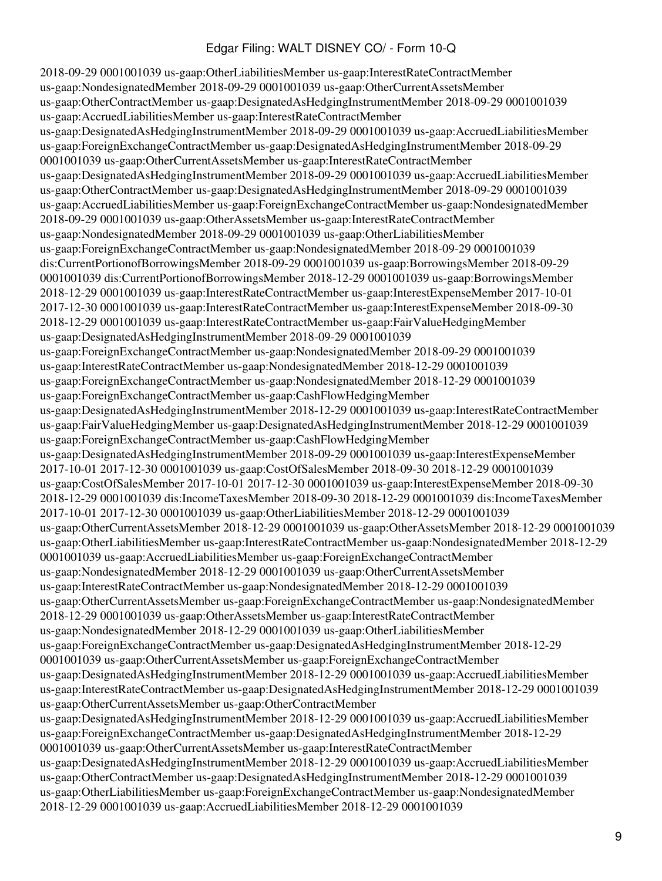2018-09-29 0001001039 us-gaap:OtherLiabilitiesMember us-gaap:InterestRateContractMember us-gaap:NondesignatedMember 2018-09-29 0001001039 us-gaap:OtherCurrentAssetsMember us-gaap:OtherContractMember us-gaap:DesignatedAsHedgingInstrumentMember 2018-09-29 0001001039 us-gaap:AccruedLiabilitiesMember us-gaap:InterestRateContractMember us-gaap:DesignatedAsHedgingInstrumentMember 2018-09-29 0001001039 us-gaap:AccruedLiabilitiesMember us-gaap:ForeignExchangeContractMember us-gaap:DesignatedAsHedgingInstrumentMember 2018-09-29 0001001039 us-gaap:OtherCurrentAssetsMember us-gaap:InterestRateContractMember us-gaap:DesignatedAsHedgingInstrumentMember 2018-09-29 0001001039 us-gaap:AccruedLiabilitiesMember us-gaap:OtherContractMember us-gaap:DesignatedAsHedgingInstrumentMember 2018-09-29 0001001039 us-gaap:AccruedLiabilitiesMember us-gaap:ForeignExchangeContractMember us-gaap:NondesignatedMember 2018-09-29 0001001039 us-gaap:OtherAssetsMember us-gaap:InterestRateContractMember us-gaap:NondesignatedMember 2018-09-29 0001001039 us-gaap:OtherLiabilitiesMember us-gaap:ForeignExchangeContractMember us-gaap:NondesignatedMember 2018-09-29 0001001039 dis:CurrentPortionofBorrowingsMember 2018-09-29 0001001039 us-gaap:BorrowingsMember 2018-09-29 0001001039 dis:CurrentPortionofBorrowingsMember 2018-12-29 0001001039 us-gaap:BorrowingsMember 2018-12-29 0001001039 us-gaap:InterestRateContractMember us-gaap:InterestExpenseMember 2017-10-01 2017-12-30 0001001039 us-gaap:InterestRateContractMember us-gaap:InterestExpenseMember 2018-09-30 2018-12-29 0001001039 us-gaap:InterestRateContractMember us-gaap:FairValueHedgingMember us-gaap:DesignatedAsHedgingInstrumentMember 2018-09-29 0001001039 us-gaap:ForeignExchangeContractMember us-gaap:NondesignatedMember 2018-09-29 0001001039 us-gaap:InterestRateContractMember us-gaap:NondesignatedMember 2018-12-29 0001001039 us-gaap:ForeignExchangeContractMember us-gaap:NondesignatedMember 2018-12-29 0001001039 us-gaap:ForeignExchangeContractMember us-gaap:CashFlowHedgingMember us-gaap:DesignatedAsHedgingInstrumentMember 2018-12-29 0001001039 us-gaap:InterestRateContractMember us-gaap:FairValueHedgingMember us-gaap:DesignatedAsHedgingInstrumentMember 2018-12-29 0001001039 us-gaap:ForeignExchangeContractMember us-gaap:CashFlowHedgingMember us-gaap:DesignatedAsHedgingInstrumentMember 2018-09-29 0001001039 us-gaap:InterestExpenseMember 2017-10-01 2017-12-30 0001001039 us-gaap:CostOfSalesMember 2018-09-30 2018-12-29 0001001039 us-gaap:CostOfSalesMember 2017-10-01 2017-12-30 0001001039 us-gaap:InterestExpenseMember 2018-09-30 2018-12-29 0001001039 dis:IncomeTaxesMember 2018-09-30 2018-12-29 0001001039 dis:IncomeTaxesMember 2017-10-01 2017-12-30 0001001039 us-gaap:OtherLiabilitiesMember 2018-12-29 0001001039 us-gaap:OtherCurrentAssetsMember 2018-12-29 0001001039 us-gaap:OtherAssetsMember 2018-12-29 0001001039 us-gaap:OtherLiabilitiesMember us-gaap:InterestRateContractMember us-gaap:NondesignatedMember 2018-12-29 0001001039 us-gaap:AccruedLiabilitiesMember us-gaap:ForeignExchangeContractMember us-gaap:NondesignatedMember 2018-12-29 0001001039 us-gaap:OtherCurrentAssetsMember us-gaap:InterestRateContractMember us-gaap:NondesignatedMember 2018-12-29 0001001039 us-gaap:OtherCurrentAssetsMember us-gaap:ForeignExchangeContractMember us-gaap:NondesignatedMember 2018-12-29 0001001039 us-gaap:OtherAssetsMember us-gaap:InterestRateContractMember us-gaap:NondesignatedMember 2018-12-29 0001001039 us-gaap:OtherLiabilitiesMember us-gaap:ForeignExchangeContractMember us-gaap:DesignatedAsHedgingInstrumentMember 2018-12-29 0001001039 us-gaap:OtherCurrentAssetsMember us-gaap:ForeignExchangeContractMember us-gaap:DesignatedAsHedgingInstrumentMember 2018-12-29 0001001039 us-gaap:AccruedLiabilitiesMember us-gaap:InterestRateContractMember us-gaap:DesignatedAsHedgingInstrumentMember 2018-12-29 0001001039 us-gaap:OtherCurrentAssetsMember us-gaap:OtherContractMember us-gaap:DesignatedAsHedgingInstrumentMember 2018-12-29 0001001039 us-gaap:AccruedLiabilitiesMember us-gaap:ForeignExchangeContractMember us-gaap:DesignatedAsHedgingInstrumentMember 2018-12-29 0001001039 us-gaap:OtherCurrentAssetsMember us-gaap:InterestRateContractMember us-gaap:DesignatedAsHedgingInstrumentMember 2018-12-29 0001001039 us-gaap:AccruedLiabilitiesMember us-gaap:OtherContractMember us-gaap:DesignatedAsHedgingInstrumentMember 2018-12-29 0001001039 us-gaap:OtherLiabilitiesMember us-gaap:ForeignExchangeContractMember us-gaap:NondesignatedMember 2018-12-29 0001001039 us-gaap:AccruedLiabilitiesMember 2018-12-29 0001001039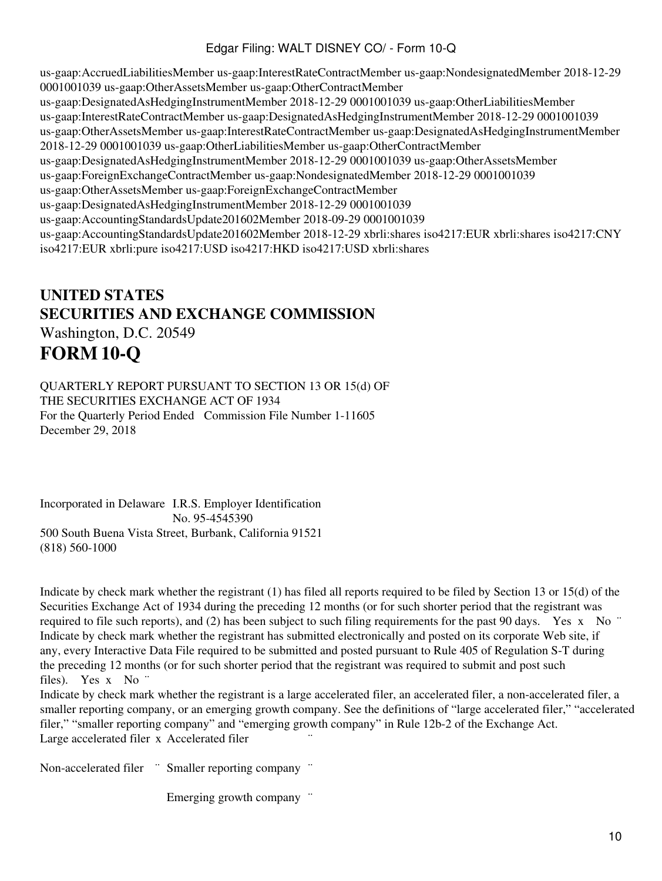us-gaap:AccruedLiabilitiesMember us-gaap:InterestRateContractMember us-gaap:NondesignatedMember 2018-12-29 0001001039 us-gaap:OtherAssetsMember us-gaap:OtherContractMember us-gaap:DesignatedAsHedgingInstrumentMember 2018-12-29 0001001039 us-gaap:OtherLiabilitiesMember us-gaap:InterestRateContractMember us-gaap:DesignatedAsHedgingInstrumentMember 2018-12-29 0001001039 us-gaap:OtherAssetsMember us-gaap:InterestRateContractMember us-gaap:DesignatedAsHedgingInstrumentMember 2018-12-29 0001001039 us-gaap:OtherLiabilitiesMember us-gaap:OtherContractMember us-gaap:DesignatedAsHedgingInstrumentMember 2018-12-29 0001001039 us-gaap:OtherAssetsMember us-gaap:ForeignExchangeContractMember us-gaap:NondesignatedMember 2018-12-29 0001001039 us-gaap:OtherAssetsMember us-gaap:ForeignExchangeContractMember us-gaap:DesignatedAsHedgingInstrumentMember 2018-12-29 0001001039 us-gaap:AccountingStandardsUpdate201602Member 2018-09-29 0001001039 us-gaap:AccountingStandardsUpdate201602Member 2018-12-29 xbrli:shares iso4217:EUR xbrli:shares iso4217:CNY iso4217:EUR xbrli:pure iso4217:USD iso4217:HKD iso4217:USD xbrli:shares

# **UNITED STATES SECURITIES AND EXCHANGE COMMISSION** Washington, D.C. 20549 **FORM 10-Q**

QUARTERLY REPORT PURSUANT TO SECTION 13 OR 15(d) OF THE SECURITIES EXCHANGE ACT OF 1934 For the Quarterly Period Ended Commission File Number 1-11605 December 29, 2018

Incorporated in Delaware I.R.S. Employer Identification No. 95-4545390 500 South Buena Vista Street, Burbank, California 91521 (818) 560-1000

Indicate by check mark whether the registrant (1) has filed all reports required to be filed by Section 13 or 15(d) of the Securities Exchange Act of 1934 during the preceding 12 months (or for such shorter period that the registrant was required to file such reports), and (2) has been subject to such filing requirements for the past 90 days. Yes x No  $\degree$ Indicate by check mark whether the registrant has submitted electronically and posted on its corporate Web site, if any, every Interactive Data File required to be submitted and posted pursuant to Rule 405 of Regulation S-T during the preceding 12 months (or for such shorter period that the registrant was required to submit and post such files). Yes x No ¨

Indicate by check mark whether the registrant is a large accelerated filer, an accelerated filer, a non-accelerated filer, a smaller reporting company, or an emerging growth company. See the definitions of "large accelerated filer," "accelerated filer," "smaller reporting company" and "emerging growth company" in Rule 12b-2 of the Exchange Act. Large accelerated filer x Accelerated filer

Non-accelerated filer <sup>"</sup> Smaller reporting company "

Emerging growth company  $\dddot{\,}$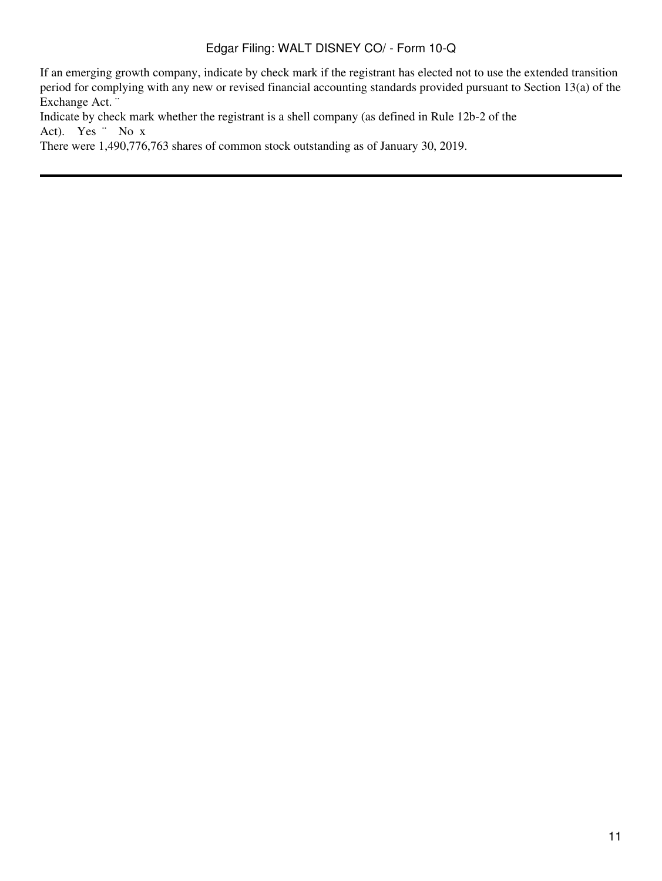If an emerging growth company, indicate by check mark if the registrant has elected not to use the extended transition period for complying with any new or revised financial accounting standards provided pursuant to Section 13(a) of the Exchange Act. ¨

Indicate by check mark whether the registrant is a shell company (as defined in Rule 12b-2 of the Act). Yes ¨ No x

There were 1,490,776,763 shares of common stock outstanding as of January 30, 2019.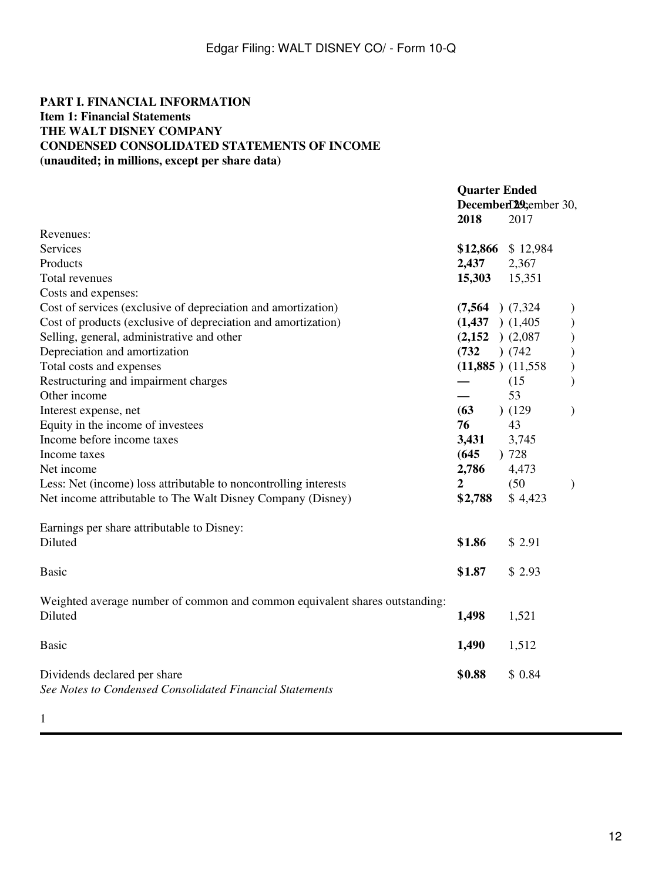### **PART I. FINANCIAL INFORMATION Item 1: Financial Statements THE WALT DISNEY COMPANY CONDENSED CONSOLIDATED STATEMENTS OF INCOME (unaudited; in millions, except per share data)**

|                                                                                          | <b>Quarter Ended</b><br>2018 | 2017                  | December 29cember 30, |  |  |
|------------------------------------------------------------------------------------------|------------------------------|-----------------------|-----------------------|--|--|
| Revenues:                                                                                |                              |                       |                       |  |  |
| Services                                                                                 |                              | \$12,866 \$12,984     |                       |  |  |
| Products                                                                                 | 2,437                        | 2,367                 |                       |  |  |
| Total revenues                                                                           | 15,303                       | 15,351                |                       |  |  |
| Costs and expenses:                                                                      |                              |                       |                       |  |  |
| Cost of services (exclusive of depreciation and amortization)                            | $(7,564)$ $(7,324)$          |                       |                       |  |  |
| Cost of products (exclusive of depreciation and amortization)                            | $(1,437)$ $(1,405)$          |                       | $\big)$               |  |  |
| Selling, general, administrative and other                                               | $(2,152)$ $(2,087)$          |                       | $\big)$               |  |  |
| Depreciation and amortization                                                            | (732)                        | ) (742)               |                       |  |  |
| Total costs and expenses                                                                 |                              | $(11,885)$ $(11,558)$ | $\mathcal{E}$         |  |  |
| Restructuring and impairment charges                                                     |                              | (15)                  |                       |  |  |
| Other income                                                                             |                              | 53                    |                       |  |  |
| Interest expense, net                                                                    | (63)                         | (129)                 | $\mathcal{E}$         |  |  |
| Equity in the income of investees                                                        | 76                           | 43                    |                       |  |  |
| Income before income taxes                                                               | 3,431                        | 3,745                 |                       |  |  |
| Income taxes                                                                             | (645)                        | )728                  |                       |  |  |
| Net income                                                                               | 2,786                        | 4,473                 |                       |  |  |
| Less: Net (income) loss attributable to noncontrolling interests                         | 2                            | (50)                  | $\lambda$             |  |  |
| Net income attributable to The Walt Disney Company (Disney)                              | \$2,788                      | \$4,423               |                       |  |  |
| Earnings per share attributable to Disney:                                               |                              |                       |                       |  |  |
| Diluted                                                                                  | \$1.86                       | \$2.91                |                       |  |  |
| <b>Basic</b>                                                                             | \$1.87                       | \$2.93                |                       |  |  |
| Weighted average number of common and common equivalent shares outstanding:<br>Diluted   | 1,498                        | 1,521                 |                       |  |  |
|                                                                                          |                              |                       |                       |  |  |
| <b>Basic</b>                                                                             | 1,490                        | 1,512                 |                       |  |  |
| Dividends declared per share<br>See Notes to Condensed Consolidated Financial Statements | \$0.88                       | \$0.84                |                       |  |  |
|                                                                                          |                              |                       |                       |  |  |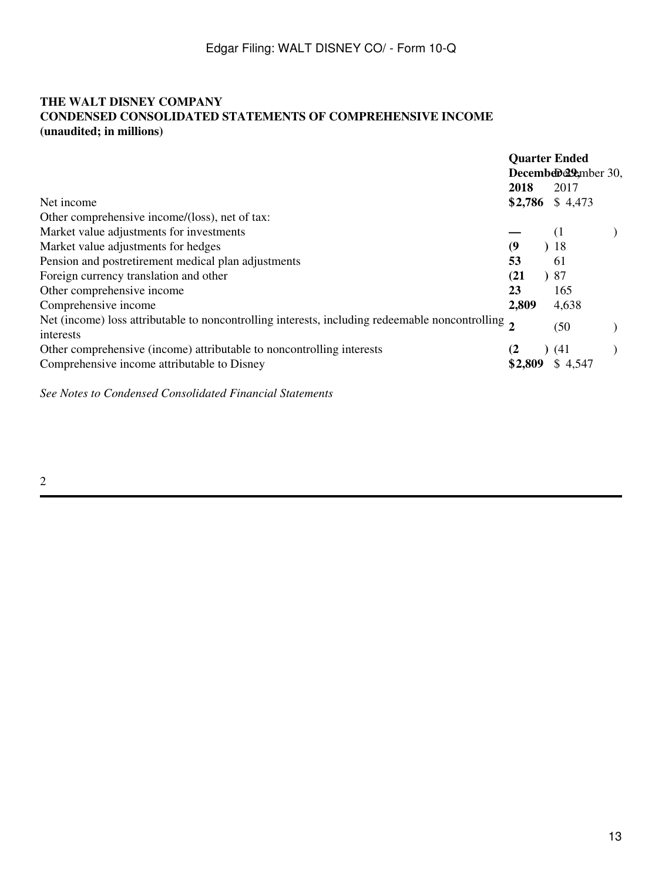## **THE WALT DISNEY COMPANY CONDENSED CONSOLIDATED STATEMENTS OF COMPREHENSIVE INCOME (unaudited; in millions)**

|                                                                                                                             | <b>Quarter Ended</b><br>December 20, |  |         |  |
|-----------------------------------------------------------------------------------------------------------------------------|--------------------------------------|--|---------|--|
|                                                                                                                             |                                      |  |         |  |
|                                                                                                                             | 2018                                 |  | 2017    |  |
| Net income                                                                                                                  | \$2,786                              |  | \$4,473 |  |
| Other comprehensive income/(loss), net of tax:                                                                              |                                      |  |         |  |
| Market value adjustments for investments                                                                                    |                                      |  | (1)     |  |
| Market value adjustments for hedges                                                                                         | $\boldsymbol{\theta}$                |  | )18     |  |
| Pension and postretirement medical plan adjustments                                                                         | 53                                   |  | 61      |  |
| Foreign currency translation and other                                                                                      | (21)                                 |  | )87     |  |
| Other comprehensive income                                                                                                  | 23                                   |  | 165     |  |
| Comprehensive income                                                                                                        | 2,809                                |  | 4,638   |  |
| Net (income) loss attributable to noncontrolling interests, including redeemable noncontrolling $\overline{2}$<br>interests |                                      |  | (50     |  |
| Other comprehensive (income) attributable to noncontrolling interests                                                       |                                      |  | (41)    |  |
| Comprehensive income attributable to Disney                                                                                 | \$2,809                              |  | \$4,547 |  |

*See Notes to Condensed Consolidated Financial Statements*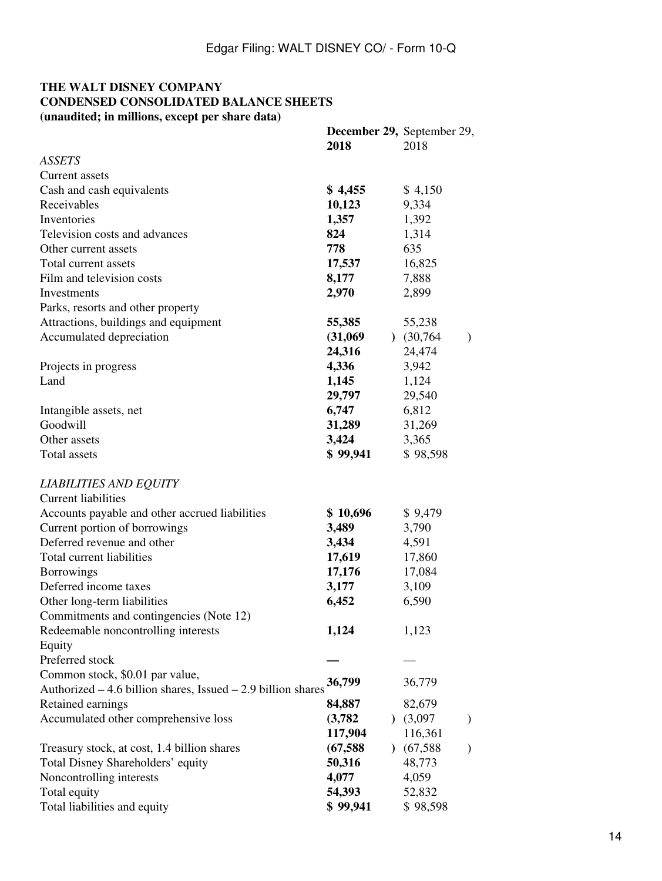## **THE WALT DISNEY COMPANY CONDENSED CONSOLIDATED BALANCE SHEETS (unaudited; in millions, except per share data)**

|                                                              | <b>December 29, September 29,</b> |                            |  |
|--------------------------------------------------------------|-----------------------------------|----------------------------|--|
|                                                              | 2018                              | 2018                       |  |
| <b>ASSETS</b>                                                |                                   |                            |  |
| Current assets                                               |                                   |                            |  |
| Cash and cash equivalents                                    | \$4,455                           | \$4,150                    |  |
| Receivables                                                  | 10,123                            | 9,334                      |  |
| Inventories                                                  | 1,357                             | 1,392                      |  |
| Television costs and advances                                | 824                               | 1,314                      |  |
| Other current assets                                         | 778                               | 635                        |  |
| Total current assets                                         | 17,537                            | 16,825                     |  |
| Film and television costs                                    | 8,177                             | 7,888                      |  |
| Investments                                                  | 2,970                             | 2,899                      |  |
| Parks, resorts and other property                            |                                   |                            |  |
| Attractions, buildings and equipment                         | 55,385                            | 55,238                     |  |
| Accumulated depreciation                                     | (31,069)                          | (30, 764)<br>$\mathcal{E}$ |  |
|                                                              | 24,316                            | 24,474                     |  |
| Projects in progress                                         | 4,336                             | 3,942                      |  |
| Land                                                         | 1,145                             | 1,124                      |  |
|                                                              | 29,797                            | 29,540                     |  |
| Intangible assets, net                                       | 6,747                             | 6,812                      |  |
| Goodwill                                                     | 31,289                            | 31,269                     |  |
| Other assets                                                 | 3,424                             | 3,365                      |  |
| Total assets                                                 | \$99,941                          | \$98,598                   |  |
| <b>LIABILITIES AND EQUITY</b>                                |                                   |                            |  |
| <b>Current liabilities</b>                                   |                                   |                            |  |
| Accounts payable and other accrued liabilities               | \$10,696                          | \$9,479                    |  |
| Current portion of borrowings                                | 3,489                             | 3,790                      |  |
| Deferred revenue and other                                   | 3,434                             | 4,591                      |  |
| Total current liabilities                                    |                                   |                            |  |
| <b>Borrowings</b>                                            | 17,619<br>17,176                  | 17,860<br>17,084           |  |
| Deferred income taxes                                        | 3,177                             |                            |  |
|                                                              |                                   | 3,109                      |  |
| Other long-term liabilities                                  | 6,452                             | 6,590                      |  |
| Commitments and contingencies (Note 12)                      |                                   |                            |  |
| Redeemable noncontrolling interests                          | 1,124                             | 1,123                      |  |
| Equity                                                       |                                   |                            |  |
| Preferred stock                                              |                                   |                            |  |
| Common stock, \$0.01 par value,                              | 36,799                            | 36,779                     |  |
| Authorized – 4.6 billion shares, Issued – 2.9 billion shares |                                   |                            |  |
| Retained earnings                                            | 84,887                            | 82,679                     |  |
| Accumulated other comprehensive loss                         | (3,782)                           | )(3,097)<br>$\mathcal{E}$  |  |
|                                                              | 117,904                           | 116,361                    |  |
| Treasury stock, at cost, 1.4 billion shares                  | (67, 588)<br>$\mathcal{L}$        | (67, 588)<br>$\mathcal{E}$ |  |
| Total Disney Shareholders' equity                            | 50,316                            | 48,773                     |  |
| Noncontrolling interests                                     | 4,077                             | 4,059                      |  |
| Total equity                                                 | 54,393                            | 52,832                     |  |
| Total liabilities and equity                                 | \$99,941                          | \$98,598                   |  |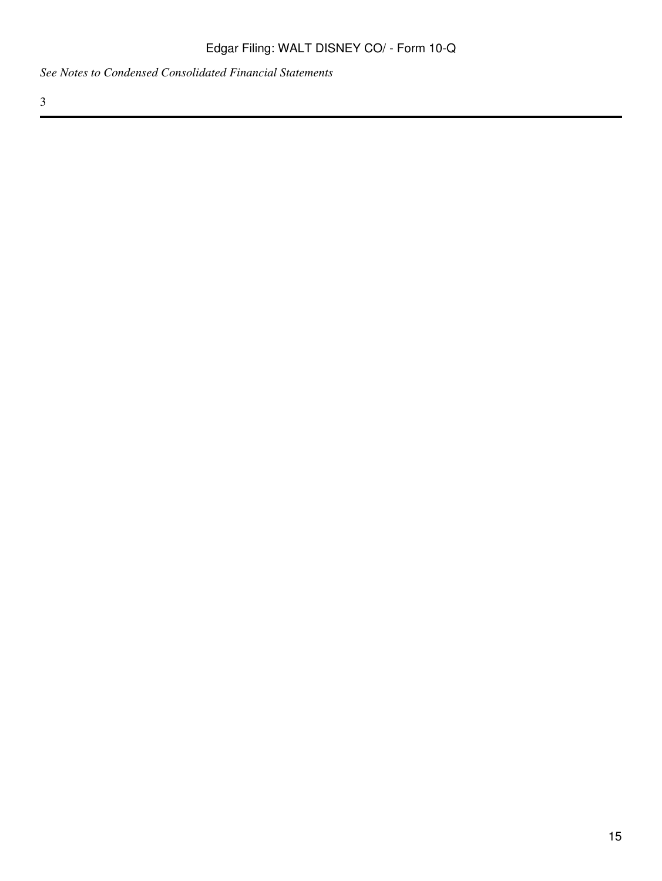*See Notes to Condensed Consolidated Financial Statements*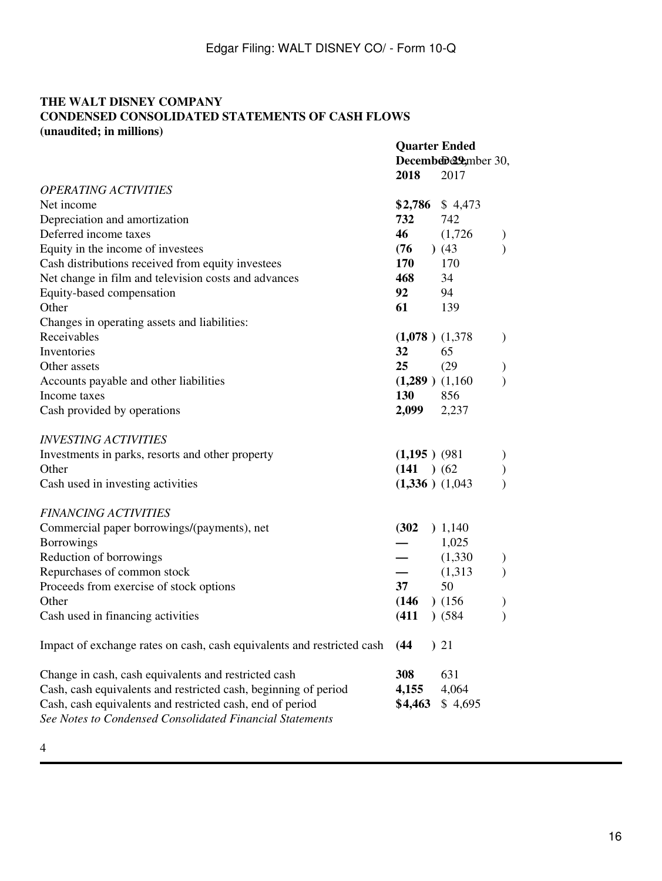#### **THE WALT DISNEY COMPANY CONDENSED CONSOLIDATED STATEMENTS OF CASH FLOWS (unaudited; in millions)**

|                                                                                                                       | <b>Quarter Ended</b><br>December 29 <sub>cmber</sub> 30, |         |               |
|-----------------------------------------------------------------------------------------------------------------------|----------------------------------------------------------|---------|---------------|
|                                                                                                                       | 2018                                                     | 2017    |               |
| <b>OPERATING ACTIVITIES</b>                                                                                           |                                                          |         |               |
| Net income                                                                                                            | \$2,786                                                  | \$4,473 |               |
| Depreciation and amortization                                                                                         | 732                                                      | 742     |               |
| Deferred income taxes                                                                                                 | 46                                                       | (1,726) | $\mathcal{L}$ |
| Equity in the income of investees                                                                                     | $(76)$ (43)                                              |         | $\mathcal{E}$ |
| Cash distributions received from equity investees                                                                     | 170                                                      | 170     |               |
| Net change in film and television costs and advances                                                                  | 468                                                      | 34      |               |
| Equity-based compensation                                                                                             | 92 — 10                                                  | 94      |               |
| Other                                                                                                                 | 61 — 10                                                  | 139     |               |
| Changes in operating assets and liabilities:                                                                          |                                                          |         |               |
| Receivables                                                                                                           | $(1,078)$ $(1,378)$                                      |         | $\mathcal{L}$ |
| Inventories                                                                                                           | 32                                                       | 65      |               |
| Other assets                                                                                                          | 25                                                       | (29)    | $\mathcal{Y}$ |
| Accounts payable and other liabilities                                                                                | $(1,289)$ $(1,160)$                                      |         | $\mathcal{E}$ |
| Income taxes                                                                                                          | <b>130</b>                                               | 856     |               |
| Cash provided by operations                                                                                           | 2,099 2,237                                              |         |               |
| <b>INVESTING ACTIVITIES</b>                                                                                           |                                                          |         |               |
| Investments in parks, resorts and other property                                                                      | $(1,195)$ (981)                                          |         | $\mathcal{E}$ |
| Other                                                                                                                 | (141) (62)                                               |         | $\big)$       |
| Cash used in investing activities                                                                                     | $(1,336)$ $(1,043)$                                      |         |               |
|                                                                                                                       |                                                          |         |               |
| <b>FINANCING ACTIVITIES</b>                                                                                           |                                                          |         |               |
| Commercial paper borrowings/(payments), net                                                                           | (302)                                                    | ) 1,140 |               |
| Borrowings                                                                                                            |                                                          | 1,025   |               |
| Reduction of borrowings                                                                                               |                                                          | (1,330) | $\mathcal{E}$ |
| Repurchases of common stock                                                                                           |                                                          | (1,313) | $\mathcal{E}$ |
| Proceeds from exercise of stock options                                                                               | 37                                                       | 50      |               |
| Other                                                                                                                 | $(146)$ $(156)$                                          |         | $\mathcal{E}$ |
| Cash used in financing activities                                                                                     | (411)                                                    | ) (584) | $\mathcal{E}$ |
| Impact of exchange rates on cash, cash equivalents and restricted cash                                                | (44)                                                     | 21      |               |
| Change in cash, cash equivalents and restricted cash                                                                  | 308                                                      | 631     |               |
| Cash, cash equivalents and restricted cash, beginning of period                                                       | 4,155                                                    | 4,064   |               |
| Cash, cash equivalents and restricted cash, end of period<br>See Notes to Condensed Consolidated Financial Statements | \$4,463                                                  | \$4,695 |               |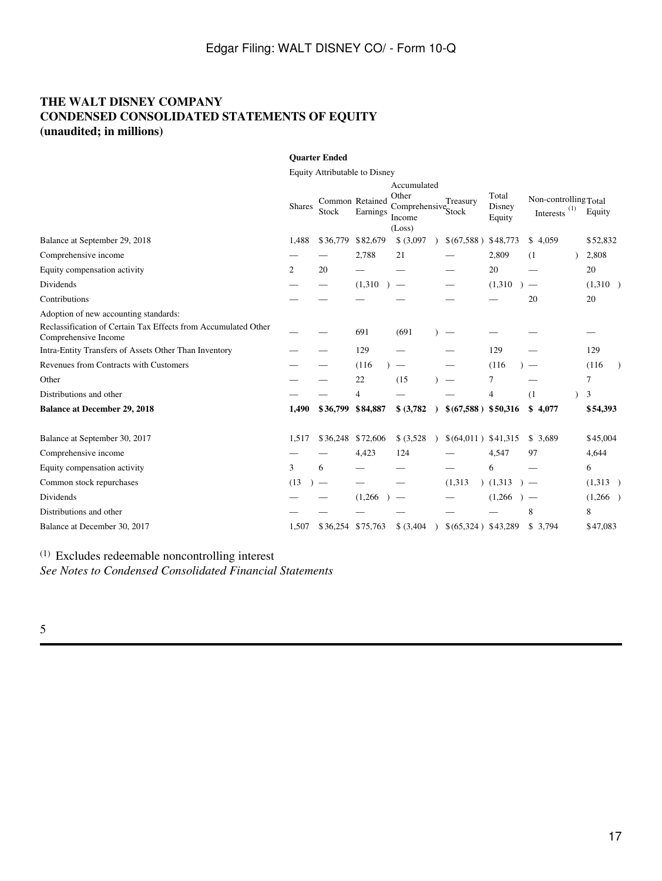## **THE WALT DISNEY COMPANY CONDENSED CONSOLIDATED STATEMENTS OF EQUITY (unaudited; in millions)**

|                                                                                        |               | <b>Quarter Ended</b>          |                             |                                                                            |                      |                           |                                          |          |
|----------------------------------------------------------------------------------------|---------------|-------------------------------|-----------------------------|----------------------------------------------------------------------------|----------------------|---------------------------|------------------------------------------|----------|
|                                                                                        |               | Equity Attributable to Disney |                             |                                                                            |                      |                           |                                          |          |
|                                                                                        | <b>Shares</b> | Stock                         | Common Retained<br>Earnings | Accumulated<br>Other<br>Comprehensive <sub>Stock</sub><br>Income<br>(Loss) | Treasury             | Total<br>Disney<br>Equity | Non-controlling Total<br>Interests $(1)$ | Equity   |
| Balance at September 29, 2018                                                          | 1,488         | \$36,779                      | \$82,679                    | \$ (3,097)                                                                 | \$(67,588)           | \$48,773                  | \$4,059                                  | \$52,832 |
| Comprehensive income                                                                   |               |                               | 2,788                       | 21                                                                         |                      | 2,809                     | (1)                                      | 2,808    |
| Equity compensation activity                                                           | 2             | 20                            |                             |                                                                            |                      | 20                        |                                          | 20       |
| Dividends                                                                              |               |                               | (1,310)                     | $\hspace{0.1mm}-\hspace{0.1mm}$                                            |                      | (1,310)                   |                                          | (1,310)  |
| Contributions                                                                          |               |                               |                             |                                                                            |                      |                           | 20                                       | 20       |
| Adoption of new accounting standards:                                                  |               |                               |                             |                                                                            |                      |                           |                                          |          |
| Reclassification of Certain Tax Effects from Accumulated Other<br>Comprehensive Income |               |                               | 691                         | (691)                                                                      |                      |                           |                                          |          |
| Intra-Entity Transfers of Assets Other Than Inventory                                  |               |                               | 129                         |                                                                            |                      | 129                       |                                          | 129      |
| Revenues from Contracts with Customers                                                 |               |                               | (116)                       |                                                                            |                      | (116)                     |                                          | (116)    |
| Other                                                                                  |               |                               | 22                          | (15)                                                                       |                      | 7                         |                                          | 7        |
| Distributions and other                                                                |               |                               | 4                           |                                                                            |                      | 4                         | (1)                                      | 3        |
| <b>Balance at December 29, 2018</b>                                                    | 1.490         | \$36,799                      | \$84,887                    | \$ (3,782)                                                                 | $$(67,588)$ \$50,316 |                           | \$<br>4,077                              | \$54,393 |
| Balance at September 30, 2017                                                          | 1,517         | \$36,248                      | \$72,606                    | \$ (3,528)                                                                 | $$(64,011)$ \$41,315 |                           | \$3,689                                  | \$45,004 |
| Comprehensive income                                                                   |               |                               | 4,423                       | 124                                                                        |                      | 4,547                     | 97                                       | 4,644    |
| Equity compensation activity                                                           | 3             | 6                             |                             |                                                                            |                      | 6                         |                                          | 6        |
| Common stock repurchases                                                               | (13)          |                               |                             |                                                                            | (1,313)              | (1,313)                   |                                          | (1,313)  |
| Dividends                                                                              |               |                               | (1,266)                     |                                                                            |                      | (1,266)                   | $\overline{\phantom{0}}$                 | (1,266)  |
| Distributions and other                                                                |               |                               |                             |                                                                            |                      |                           | 8                                        | 8        |
| Balance at December 30, 2017                                                           | 1,507         | \$36,254 \$75,763             |                             | \$ (3,404)                                                                 | \$(65,324) \$43,289  |                           | \$3,794                                  | \$47,083 |

(1) Excludes redeemable noncontrolling interest

*See Notes to Condensed Consolidated Financial Statements*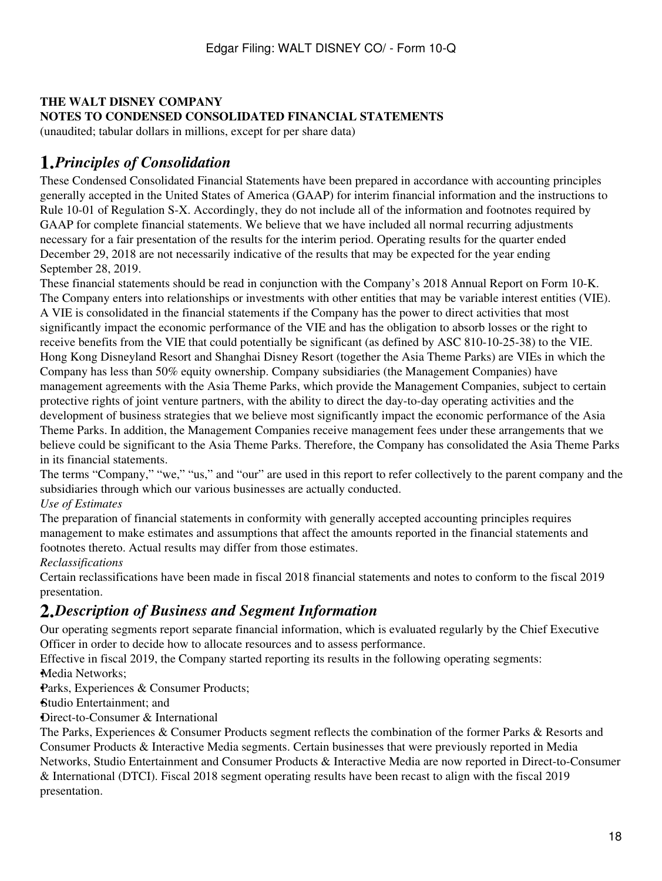## **THE WALT DISNEY COMPANY NOTES TO CONDENSED CONSOLIDATED FINANCIAL STATEMENTS**

(unaudited; tabular dollars in millions, except for per share data)

# **1.***Principles of Consolidation*

These Condensed Consolidated Financial Statements have been prepared in accordance with accounting principles generally accepted in the United States of America (GAAP) for interim financial information and the instructions to Rule 10-01 of Regulation S-X. Accordingly, they do not include all of the information and footnotes required by GAAP for complete financial statements. We believe that we have included all normal recurring adjustments necessary for a fair presentation of the results for the interim period. Operating results for the quarter ended December 29, 2018 are not necessarily indicative of the results that may be expected for the year ending September 28, 2019.

These financial statements should be read in conjunction with the Company's 2018 Annual Report on Form 10-K. The Company enters into relationships or investments with other entities that may be variable interest entities (VIE). A VIE is consolidated in the financial statements if the Company has the power to direct activities that most significantly impact the economic performance of the VIE and has the obligation to absorb losses or the right to receive benefits from the VIE that could potentially be significant (as defined by ASC 810-10-25-38) to the VIE. Hong Kong Disneyland Resort and Shanghai Disney Resort (together the Asia Theme Parks) are VIEs in which the Company has less than 50% equity ownership. Company subsidiaries (the Management Companies) have management agreements with the Asia Theme Parks, which provide the Management Companies, subject to certain protective rights of joint venture partners, with the ability to direct the day-to-day operating activities and the development of business strategies that we believe most significantly impact the economic performance of the Asia Theme Parks. In addition, the Management Companies receive management fees under these arrangements that we believe could be significant to the Asia Theme Parks. Therefore, the Company has consolidated the Asia Theme Parks in its financial statements.

The terms "Company," "we," "us," and "our" are used in this report to refer collectively to the parent company and the subsidiaries through which our various businesses are actually conducted.

*Use of Estimates*

The preparation of financial statements in conformity with generally accepted accounting principles requires management to make estimates and assumptions that affect the amounts reported in the financial statements and footnotes thereto. Actual results may differ from those estimates.

*Reclassifications*

Certain reclassifications have been made in fiscal 2018 financial statements and notes to conform to the fiscal 2019 presentation.

# **2.***Description of Business and Segment Information*

Our operating segments report separate financial information, which is evaluated regularly by the Chief Executive Officer in order to decide how to allocate resources and to assess performance.

Effective in fiscal 2019, the Company started reporting its results in the following operating segments: •Media Networks;

Parks, Experiences & Consumer Products;

•Studio Entertainment; and

•Direct-to-Consumer & International

The Parks, Experiences & Consumer Products segment reflects the combination of the former Parks & Resorts and Consumer Products & Interactive Media segments. Certain businesses that were previously reported in Media Networks, Studio Entertainment and Consumer Products & Interactive Media are now reported in Direct-to-Consumer & International (DTCI). Fiscal 2018 segment operating results have been recast to align with the fiscal 2019 presentation.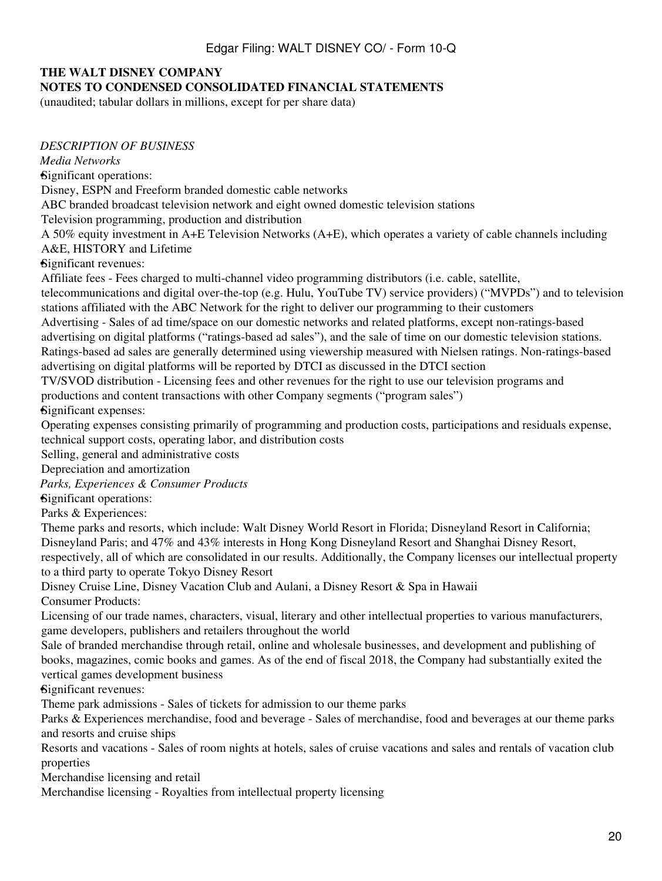# **THE WALT DISNEY COMPANY**

## **NOTES TO CONDENSED CONSOLIDATED FINANCIAL STATEMENTS**

(unaudited; tabular dollars in millions, except for per share data)

*DESCRIPTION OF BUSINESS*

*Media Networks*

•Significant operations:

Disney, ESPN and Freeform branded domestic cable networks

ABC branded broadcast television network and eight owned domestic television stations

Television programming, production and distribution

A 50% equity investment in A+E Television Networks (A+E), which operates a variety of cable channels including A&E, HISTORY and Lifetime

•Significant revenues:

Affiliate fees - Fees charged to multi-channel video programming distributors (i.e. cable, satellite,

telecommunications and digital over-the-top (e.g. Hulu, YouTube TV) service providers) ("MVPDs") and to television stations affiliated with the ABC Network for the right to deliver our programming to their customers

Advertising - Sales of ad time/space on our domestic networks and related platforms, except non-ratings-based advertising on digital platforms ("ratings-based ad sales"), and the sale of time on our domestic television stations. Ratings-based ad sales are generally determined using viewership measured with Nielsen ratings. Non-ratings-based advertising on digital platforms will be reported by DTCI as discussed in the DTCI section

TV/SVOD distribution - Licensing fees and other revenues for the right to use our television programs and productions and content transactions with other Company segments ("program sales")

•Significant expenses:

Operating expenses consisting primarily of programming and production costs, participations and residuals expense, technical support costs, operating labor, and distribution costs

Selling, general and administrative costs

Depreciation and amortization

*Parks, Experiences & Consumer Products*

•Significant operations:

Parks & Experiences:

Theme parks and resorts, which include: Walt Disney World Resort in Florida; Disneyland Resort in California; Disneyland Paris; and 47% and 43% interests in Hong Kong Disneyland Resort and Shanghai Disney Resort, respectively, all of which are consolidated in our results. Additionally, the Company licenses our intellectual property to a third party to operate Tokyo Disney Resort

Disney Cruise Line, Disney Vacation Club and Aulani, a Disney Resort & Spa in Hawaii

Consumer Products:

Licensing of our trade names, characters, visual, literary and other intellectual properties to various manufacturers, game developers, publishers and retailers throughout the world

Sale of branded merchandise through retail, online and wholesale businesses, and development and publishing of books, magazines, comic books and games. As of the end of fiscal 2018, the Company had substantially exited the vertical games development business

•Significant revenues:

Theme park admissions - Sales of tickets for admission to our theme parks

Parks & Experiences merchandise, food and beverage - Sales of merchandise, food and beverages at our theme parks and resorts and cruise ships

Resorts and vacations - Sales of room nights at hotels, sales of cruise vacations and sales and rentals of vacation club properties

Merchandise licensing and retail

Merchandise licensing - Royalties from intellectual property licensing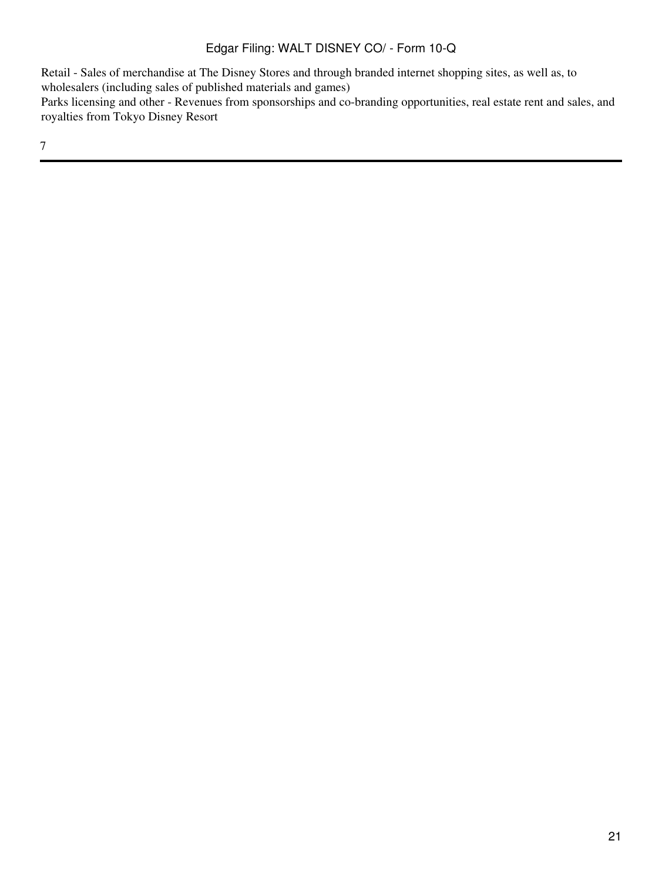Retail - Sales of merchandise at The Disney Stores and through branded internet shopping sites, as well as, to wholesalers (including sales of published materials and games) Parks licensing and other - Revenues from sponsorships and co-branding opportunities, real estate rent and sales, and

royalties from Tokyo Disney Resort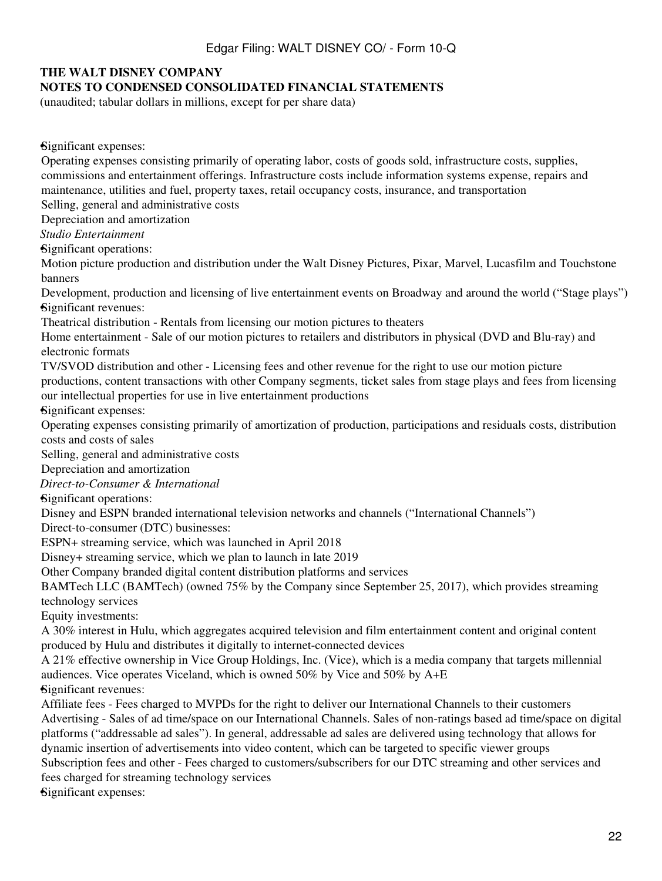## **THE WALT DISNEY COMPANY**

#### **NOTES TO CONDENSED CONSOLIDATED FINANCIAL STATEMENTS**

(unaudited; tabular dollars in millions, except for per share data)

•Significant expenses:

Operating expenses consisting primarily of operating labor, costs of goods sold, infrastructure costs, supplies, commissions and entertainment offerings. Infrastructure costs include information systems expense, repairs and maintenance, utilities and fuel, property taxes, retail occupancy costs, insurance, and transportation Selling, general and administrative costs Depreciation and amortization *Studio Entertainment* •Significant operations: Motion picture production and distribution under the Walt Disney Pictures, Pixar, Marvel, Lucasfilm and Touchstone banners Development, production and licensing of live entertainment events on Broadway and around the world ("Stage plays") •Significant revenues: Theatrical distribution - Rentals from licensing our motion pictures to theaters Home entertainment - Sale of our motion pictures to retailers and distributors in physical (DVD and Blu-ray) and electronic formats TV/SVOD distribution and other - Licensing fees and other revenue for the right to use our motion picture productions, content transactions with other Company segments, ticket sales from stage plays and fees from licensing our intellectual properties for use in live entertainment productions •Significant expenses: Operating expenses consisting primarily of amortization of production, participations and residuals costs, distribution costs and costs of sales Selling, general and administrative costs Depreciation and amortization *Direct-to-Consumer & International* •Significant operations: Disney and ESPN branded international television networks and channels ("International Channels") Direct-to-consumer (DTC) businesses: ESPN+ streaming service, which was launched in April 2018 Disney+ streaming service, which we plan to launch in late 2019 Other Company branded digital content distribution platforms and services BAMTech LLC (BAMTech) (owned 75% by the Company since September 25, 2017), which provides streaming technology services Equity investments: A 30% interest in Hulu, which aggregates acquired television and film entertainment content and original content produced by Hulu and distributes it digitally to internet-connected devices A 21% effective ownership in Vice Group Holdings, Inc. (Vice), which is a media company that targets millennial audiences. Vice operates Viceland, which is owned 50% by Vice and 50% by A+E •Significant revenues: Affiliate fees - Fees charged to MVPDs for the right to deliver our International Channels to their customers Advertising - Sales of ad time/space on our International Channels. Sales of non-ratings based ad time/space on digital platforms ("addressable ad sales"). In general, addressable ad sales are delivered using technology that allows for dynamic insertion of advertisements into video content, which can be targeted to specific viewer groups Subscription fees and other - Fees charged to customers/subscribers for our DTC streaming and other services and fees charged for streaming technology services •Significant expenses: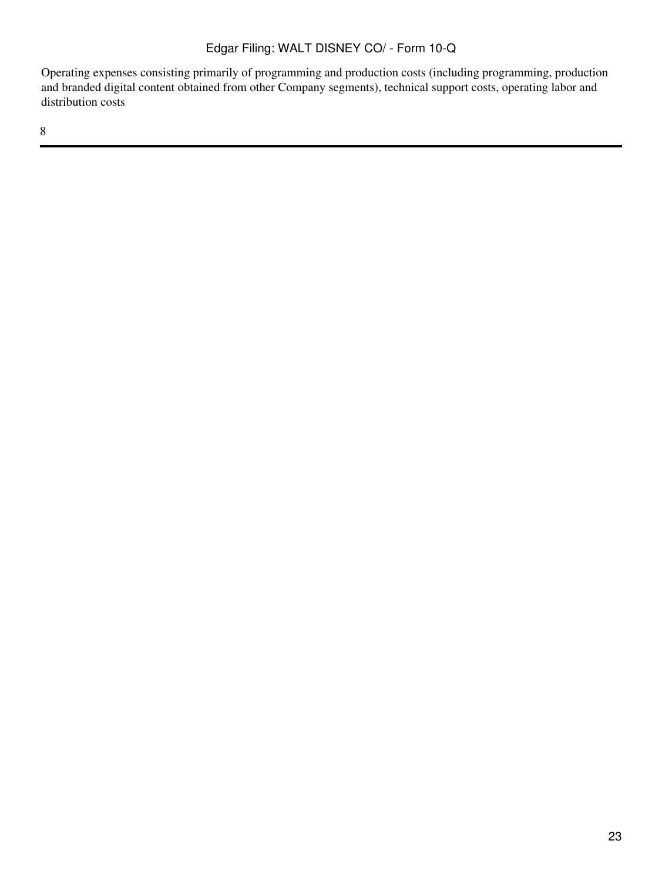Operating expenses consisting primarily of programming and production costs (including programming, production and branded digital content obtained from other Company segments), technical support costs, operating labor and distribution costs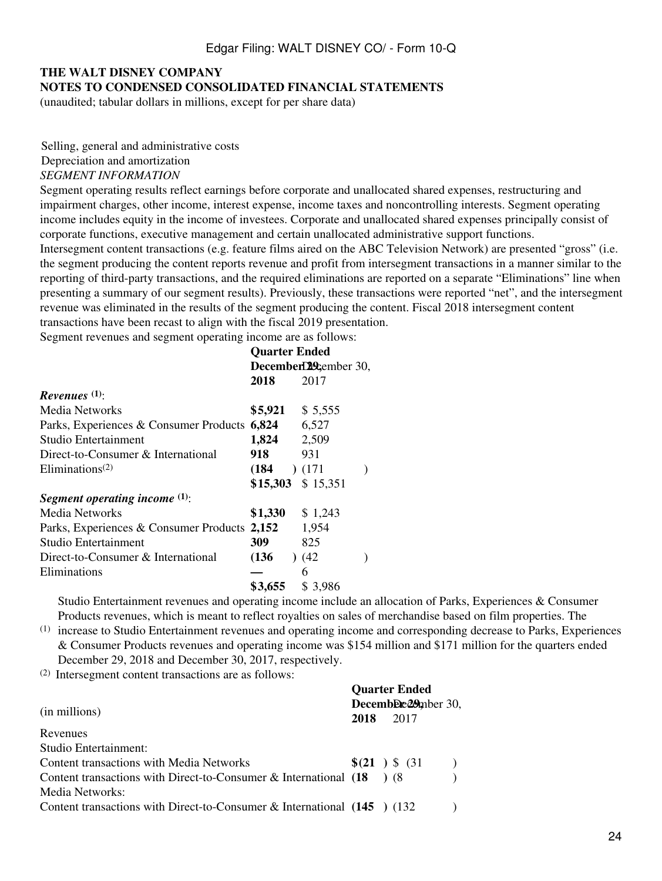# **THE WALT DISNEY COMPANY NOTES TO CONDENSED CONSOLIDATED FINANCIAL STATEMENTS**

(unaudited; tabular dollars in millions, except for per share data)

Selling, general and administrative costs Depreciation and amortization *SEGMENT INFORMATION*

Segment operating results reflect earnings before corporate and unallocated shared expenses, restructuring and impairment charges, other income, interest expense, income taxes and noncontrolling interests. Segment operating income includes equity in the income of investees. Corporate and unallocated shared expenses principally consist of corporate functions, executive management and certain unallocated administrative support functions. Intersegment content transactions (e.g. feature films aired on the ABC Television Network) are presented "gross" (i.e. the segment producing the content reports revenue and profit from intersegment transactions in a manner similar to the reporting of third-party transactions, and the required eliminations are reported on a separate "Eliminations" line when presenting a summary of our segment results). Previously, these transactions were reported "net", and the intersegment revenue was eliminated in the results of the segment producing the content. Fiscal 2018 intersegment content transactions have been recast to align with the fiscal 2019 presentation.

Segment revenues and segment operating income are as follows:

|                                                    | <b>Quarter Ended</b>  |                     |  |  |  |
|----------------------------------------------------|-----------------------|---------------------|--|--|--|
|                                                    | December129cember 30, |                     |  |  |  |
|                                                    | 2018                  | 2017                |  |  |  |
| Revenues $(1)$ :                                   |                       |                     |  |  |  |
| Media Networks                                     |                       | $$5,921$ $$5,555$   |  |  |  |
| Parks, Experiences & Consumer Products 6,824 6,527 |                       |                     |  |  |  |
| Studio Entertainment                               | 1,824 2,509           |                     |  |  |  |
| Direct-to-Consumer & International                 | 918 -                 | 931                 |  |  |  |
| Eliminations <sup><math>(2)</math></sup>           | $(184)$ $(171)$       |                     |  |  |  |
|                                                    |                       | $$15,303$ $$15,351$ |  |  |  |
| Segment operating income $(1)$ :                   |                       |                     |  |  |  |
| Media Networks                                     | $$1,330$ $$1,243$     |                     |  |  |  |
| Parks, Experiences & Consumer Products 2,152 1,954 |                       |                     |  |  |  |
| Studio Entertainment                               | <b>309</b>            | 825                 |  |  |  |
| Direct-to-Consumer & International                 | (136)                 | (42)                |  |  |  |
| Eliminations                                       |                       | 6                   |  |  |  |
|                                                    | \$3,655               | \$3,986             |  |  |  |

Studio Entertainment revenues and operating income include an allocation of Parks, Experiences & Consumer Products revenues, which is meant to reflect royalties on sales of merchandise based on film properties. The

(1) increase to Studio Entertainment revenues and operating income and corresponding decrease to Parks, Experiences & Consumer Products revenues and operating income was \$154 million and \$171 million for the quarters ended December 29, 2018 and December 30, 2017, respectively.

**Quarter Ended**

(2) Intersegment content transactions are as follows:

|                                                                            | <b>Quarter Ended</b> |                             |  |  |  |  |  |  |
|----------------------------------------------------------------------------|----------------------|-----------------------------|--|--|--|--|--|--|
| (in millions)                                                              | 2018                 | December 29mber 30,<br>2017 |  |  |  |  |  |  |
| Revenues                                                                   |                      |                             |  |  |  |  |  |  |
| Studio Entertainment:                                                      |                      |                             |  |  |  |  |  |  |
| Content transactions with Media Networks                                   |                      | $\S(21)$ \$ (31)            |  |  |  |  |  |  |
| Content transactions with Direct-to-Consumer & International $(18)$ (8)    |                      |                             |  |  |  |  |  |  |
| Media Networks:                                                            |                      |                             |  |  |  |  |  |  |
| Content transactions with Direct-to-Consumer & International $(145)$ (132) |                      |                             |  |  |  |  |  |  |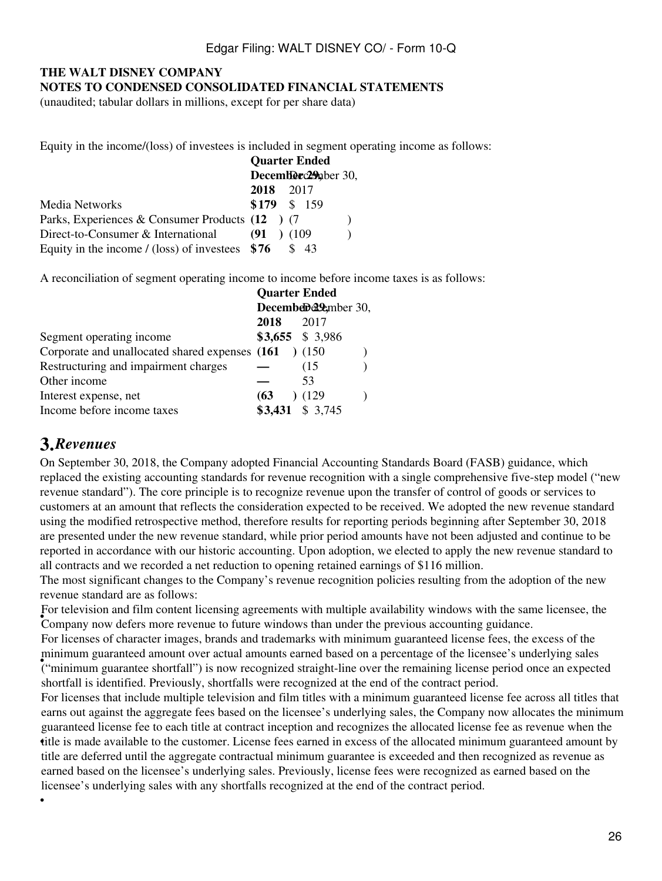## **THE WALT DISNEY COMPANY NOTES TO CONDENSED CONSOLIDATED FINANCIAL STATEMENTS**

(unaudited; tabular dollars in millions, except for per share data)

Equity in the income/(loss) of investees is included in segment operating income as follows:

|                                                      | <b>Quarter Ended</b> |  |      |  |  |  |
|------------------------------------------------------|----------------------|--|------|--|--|--|
|                                                      | December 29 aber 30, |  |      |  |  |  |
|                                                      | 2018                 |  | 2017 |  |  |  |
| Media Networks                                       | \$179 \$ 159         |  |      |  |  |  |
| Parks, Experiences & Consumer Products (12 ) (7      |                      |  |      |  |  |  |
| Direct-to-Consumer & International                   | $(91)$ $(109)$       |  |      |  |  |  |
| Equity in the income $\ell$ (loss) of investees \$76 |                      |  | \$43 |  |  |  |

A reconciliation of segment operating income to income before income taxes is as follows:

|                                                         | <b>Quarter Ended</b> |                   |  |
|---------------------------------------------------------|----------------------|-------------------|--|
|                                                         |                      | December 20,      |  |
|                                                         | 2018                 | 2017              |  |
| Segment operating income                                |                      | $$3,655$ \$ 3,986 |  |
| Corporate and unallocated shared expenses $(161)$ (150) |                      |                   |  |
| Restructuring and impairment charges                    |                      | (15               |  |
| Other income                                            |                      | 53                |  |
| Interest expense, net                                   | (63)                 | (129)             |  |
| Income before income taxes                              |                      | \$3,431 \$ 3,745  |  |

# **3.***Revenues*

•

On September 30, 2018, the Company adopted Financial Accounting Standards Board (FASB) guidance, which replaced the existing accounting standards for revenue recognition with a single comprehensive five-step model ("new revenue standard"). The core principle is to recognize revenue upon the transfer of control of goods or services to customers at an amount that reflects the consideration expected to be received. We adopted the new revenue standard using the modified retrospective method, therefore results for reporting periods beginning after September 30, 2018 are presented under the new revenue standard, while prior period amounts have not been adjusted and continue to be reported in accordance with our historic accounting. Upon adoption, we elected to apply the new revenue standard to all contracts and we recorded a net reduction to opening retained earnings of \$116 million.

The most significant changes to the Company's revenue recognition policies resulting from the adoption of the new revenue standard are as follows:

For deceasion and that content needsing agreements with mattepic availability windows with the san<br>Company now defers more revenue to future windows than under the previous accounting guidance. For television and film content licensing agreements with multiple availability windows with the same licensee, the

• ("minimum guarantee shortfall") is now recognized straight-line over the remaining license period once an expected For licenses of character images, brands and trademarks with minimum guaranteed license fees, the excess of the minimum guaranteed amount over actual amounts earned based on a percentage of the licensee's underlying sales shortfall is identified. Previously, shortfalls were recognized at the end of the contract period.

• title is made available to the customer. License fees earned in excess of the allocated minimum guaranteed amount by For licenses that include multiple television and film titles with a minimum guaranteed license fee across all titles that earns out against the aggregate fees based on the licensee's underlying sales, the Company now allocates the minimum guaranteed license fee to each title at contract inception and recognizes the allocated license fee as revenue when the title are deferred until the aggregate contractual minimum guarantee is exceeded and then recognized as revenue as earned based on the licensee's underlying sales. Previously, license fees were recognized as earned based on the licensee's underlying sales with any shortfalls recognized at the end of the contract period.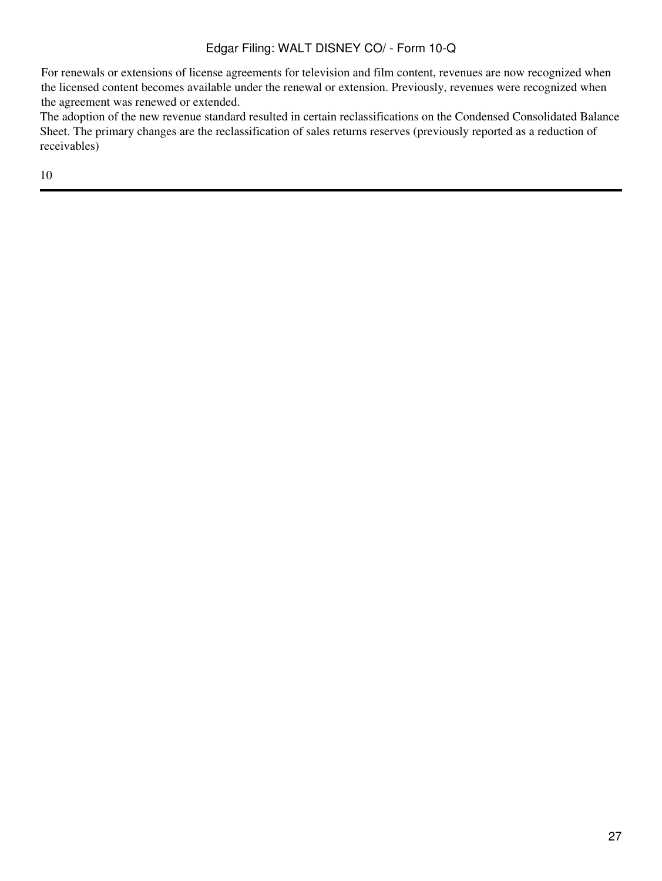For renewals or extensions of license agreements for television and film content, revenues are now recognized when the licensed content becomes available under the renewal or extension. Previously, revenues were recognized when the agreement was renewed or extended.

The adoption of the new revenue standard resulted in certain reclassifications on the Condensed Consolidated Balance Sheet. The primary changes are the reclassification of sales returns reserves (previously reported as a reduction of receivables)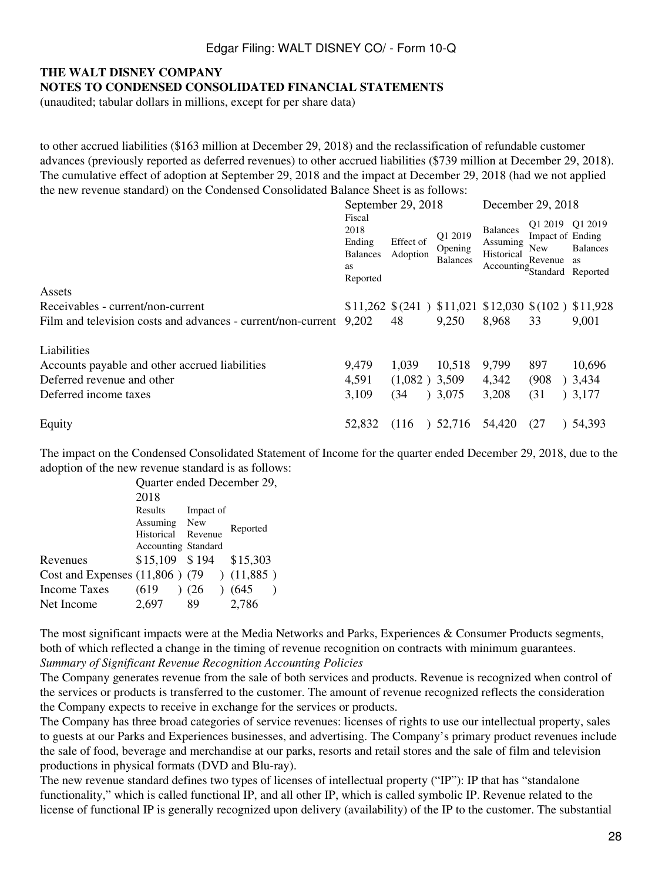# **THE WALT DISNEY COMPANY**

**NOTES TO CONDENSED CONSOLIDATED FINANCIAL STATEMENTS**

(unaudited; tabular dollars in millions, except for per share data)

to other accrued liabilities (\$163 million at December 29, 2018) and the reclassification of refundable customer advances (previously reported as deferred revenues) to other accrued liabilities (\$739 million at December 29, 2018). The cumulative effect of adoption at September 29, 2018 and the impact at December 29, 2018 (had we not applied the new revenue standard) on the Condensed Consolidated Balance Sheet is as follows:

|                                                                    |                                                                      | September 29, 2018                                                           |                                       | December 29, 2018                                                         |                                                       |                              |  |  |
|--------------------------------------------------------------------|----------------------------------------------------------------------|------------------------------------------------------------------------------|---------------------------------------|---------------------------------------------------------------------------|-------------------------------------------------------|------------------------------|--|--|
|                                                                    | Fiscal<br>2018<br>Ending<br><b>Balances</b><br><b>as</b><br>Reported | Effect of<br>Adoption                                                        | Q1 2019<br>Opening<br><b>Balances</b> | <b>Balances</b><br>Assuming<br>Historical<br>Accounting Standard Reported | Q1 2019 Q1 2019<br>Impact of Ending<br>New<br>Revenue | <b>Balances</b><br><b>as</b> |  |  |
| Assets                                                             |                                                                      |                                                                              |                                       |                                                                           |                                                       |                              |  |  |
| Receivables - current/non-current                                  |                                                                      | $$11,262 \text{ $(241)$ } $11,021 \text{ $12,030 \text{ $(102)$ } $11,928$}$ |                                       |                                                                           |                                                       |                              |  |  |
| Film and television costs and advances - current/non-current 9,202 |                                                                      | 48                                                                           | 9,250                                 | 8,968                                                                     | 33                                                    | 9,001                        |  |  |
| Liabilities                                                        |                                                                      |                                                                              |                                       |                                                                           |                                                       |                              |  |  |
| Accounts payable and other accrued liabilities                     | 9,479                                                                | 1,039                                                                        | 10,518                                | 9,799                                                                     | 897                                                   | 10,696                       |  |  |
| Deferred revenue and other                                         | 4,591                                                                | $(1,082)$ 3,509                                                              |                                       | 4,342                                                                     | (908)                                                 | )3,434                       |  |  |
| Deferred income taxes                                              | 3,109                                                                | (34)                                                                         | 3,075                                 | 3,208                                                                     | (31)                                                  | 3,177                        |  |  |
| Equity                                                             | 52,832                                                               | (116)                                                                        | 52,716                                | 54,420                                                                    | (27)                                                  | 54.393                       |  |  |

The impact on the Condensed Consolidated Statement of Income for the quarter ended December 29, 2018, due to the adoption of the new revenue standard is as follows:

|                                                | Quarter ended December 29, |           |          |  |  |  |  |  |
|------------------------------------------------|----------------------------|-----------|----------|--|--|--|--|--|
|                                                | 2018                       |           |          |  |  |  |  |  |
|                                                | Results                    | Impact of |          |  |  |  |  |  |
|                                                | Assuming New               |           |          |  |  |  |  |  |
|                                                | Historical                 | Revenue   | Reported |  |  |  |  |  |
|                                                | Accounting Standard        |           |          |  |  |  |  |  |
| Revenues                                       | $$15,109$ $$194$           |           | \$15,303 |  |  |  |  |  |
| Cost and Expenses $(11,806)$ $(79)$ $(11,885)$ |                            |           |          |  |  |  |  |  |
| <b>Income Taxes</b>                            | (619)                      | (26)      | (645)    |  |  |  |  |  |
| Net Income                                     | 2.697                      | 89        | 2,786    |  |  |  |  |  |
|                                                |                            |           |          |  |  |  |  |  |

The most significant impacts were at the Media Networks and Parks, Experiences & Consumer Products segments, both of which reflected a change in the timing of revenue recognition on contracts with minimum guarantees. *Summary of Significant Revenue Recognition Accounting Policies*

The Company generates revenue from the sale of both services and products. Revenue is recognized when control of the services or products is transferred to the customer. The amount of revenue recognized reflects the consideration the Company expects to receive in exchange for the services or products.

The Company has three broad categories of service revenues: licenses of rights to use our intellectual property, sales to guests at our Parks and Experiences businesses, and advertising. The Company's primary product revenues include the sale of food, beverage and merchandise at our parks, resorts and retail stores and the sale of film and television productions in physical formats (DVD and Blu-ray).

The new revenue standard defines two types of licenses of intellectual property ("IP"): IP that has "standalone functionality," which is called functional IP, and all other IP, which is called symbolic IP. Revenue related to the license of functional IP is generally recognized upon delivery (availability) of the IP to the customer. The substantial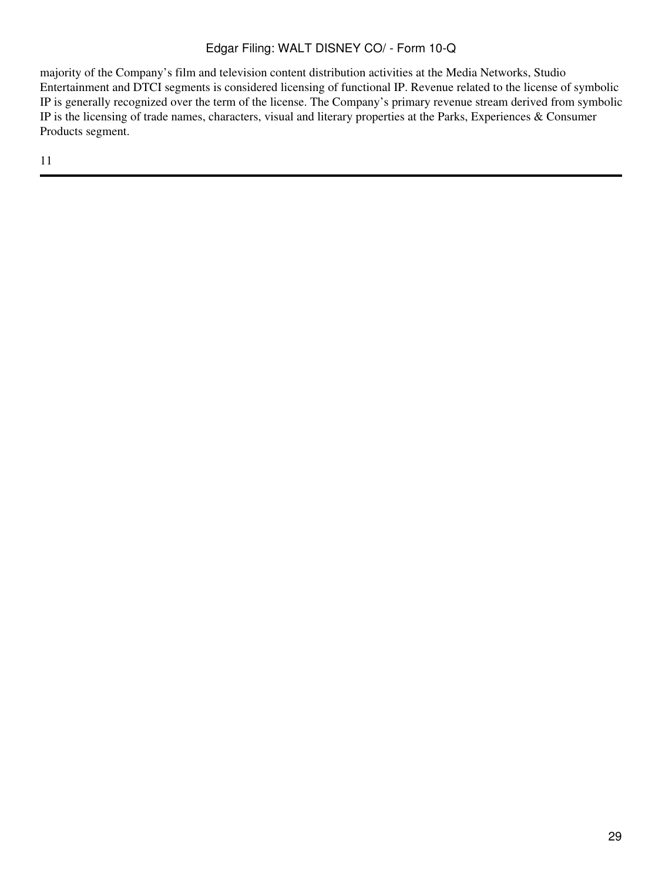majority of the Company's film and television content distribution activities at the Media Networks, Studio Entertainment and DTCI segments is considered licensing of functional IP. Revenue related to the license of symbolic IP is generally recognized over the term of the license. The Company's primary revenue stream derived from symbolic IP is the licensing of trade names, characters, visual and literary properties at the Parks, Experiences & Consumer Products segment.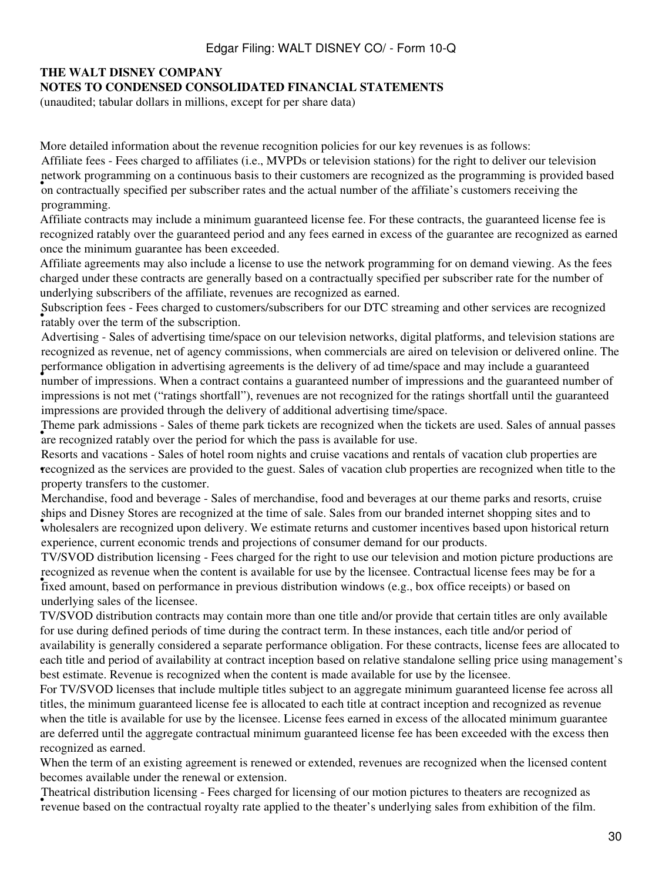# **THE WALT DISNEY COMPANY**

### **NOTES TO CONDENSED CONSOLIDATED FINANCIAL STATEMENTS**

(unaudited; tabular dollars in millions, except for per share data)

More detailed information about the revenue recognition policies for our key revenues is as follows:

From programming on a commutes sasts to their castomers are recognized as the programming is provide<br>on contractually specified per subscriber rates and the actual number of the affiliate's customers receiving the Affiliate fees - Fees charged to affiliates (i.e., MVPDs or television stations) for the right to deliver our television network programming on a continuous basis to their customers are recognized as the programming is provided based programming.

Affiliate contracts may include a minimum guaranteed license fee. For these contracts, the guaranteed license fee is recognized ratably over the guaranteed period and any fees earned in excess of the guarantee are recognized as earned once the minimum guarantee has been exceeded.

Affiliate agreements may also include a license to use the network programming for on demand viewing. As the fees charged under these contracts are generally based on a contractually specified per subscriber rate for the number of underlying subscribers of the affiliate, revenues are recognized as earned.

ratably over the term of the subscription. Subscription fees - Fees charged to customers/subscribers for our DTC streaming and other services are recognized

• number of impressions. When a contract contains a guaranteed number of impressions and the guaranteed number of Advertising - Sales of advertising time/space on our television networks, digital platforms, and television stations are recognized as revenue, net of agency commissions, when commercials are aired on television or delivered online. The performance obligation in advertising agreements is the delivery of ad time/space and may include a guaranteed impressions is not met ("ratings shortfall"), revenues are not recognized for the ratings shortfall until the guaranteed impressions are provided through the delivery of additional advertising time/space.

Frome park damissions states of theme park texters are recognized when the are recognized ratably over the period for which the pass is available for use. Theme park admissions - Sales of theme park tickets are recognized when the tickets are used. Sales of annual passes

• recognized as the services are provided to the guest. Sales of vacation club properties are recognized when title to the Resorts and vacations - Sales of hotel room nights and cruise vacations and rentals of vacation club properties are property transfers to the customer.

wholesalers are recognized upon delivery. We estimate returns and customer incentives based upon historical return wholesalers are recognized upon delivery. We estimate returns and customer incentives based upon historical Merchandise, food and beverage - Sales of merchandise, food and beverages at our theme parks and resorts, cruise ships and Disney Stores are recognized at the time of sale. Sales from our branded internet shopping sites and to experience, current economic trends and projections of consumer demand for our products.

recognized as revenue when the content is available for use by the neemset. Contractual neemse rees may be fixed amount, based on performance in previous distribution windows (e.g., box office receipts) or based on TV/SVOD distribution licensing - Fees charged for the right to use our television and motion picture productions are recognized as revenue when the content is available for use by the licensee. Contractual license fees may be for a underlying sales of the licensee.

TV/SVOD distribution contracts may contain more than one title and/or provide that certain titles are only available for use during defined periods of time during the contract term. In these instances, each title and/or period of availability is generally considered a separate performance obligation. For these contracts, license fees are allocated to each title and period of availability at contract inception based on relative standalone selling price using management's best estimate. Revenue is recognized when the content is made available for use by the licensee.

For TV/SVOD licenses that include multiple titles subject to an aggregate minimum guaranteed license fee across all titles, the minimum guaranteed license fee is allocated to each title at contract inception and recognized as revenue when the title is available for use by the licensee. License fees earned in excess of the allocated minimum guarantee are deferred until the aggregate contractual minimum guaranteed license fee has been exceeded with the excess then recognized as earned.

When the term of an existing agreement is renewed or extended, revenues are recognized when the licensed content becomes available under the renewal or extension.

• revenue based on the contractual royalty rate applied to the theater's underlying sales from exhibition of the film. Theatrical distribution licensing - Fees charged for licensing of our motion pictures to theaters are recognized as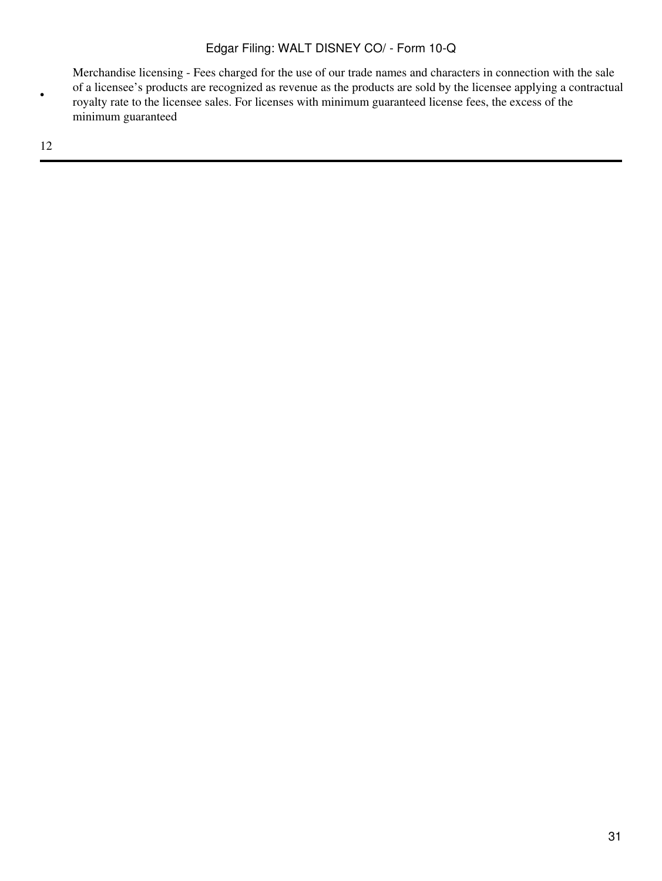Merchandise licensing - Fees charged for the use of our trade names and characters in connection with the sale of a licensee's products are recognized as revenue as the products are sold by the licensee applying a contractual royalty rate to the licensee sales. For licenses with minimum guaranteed license fees, the excess of the minimum guaranteed

12

•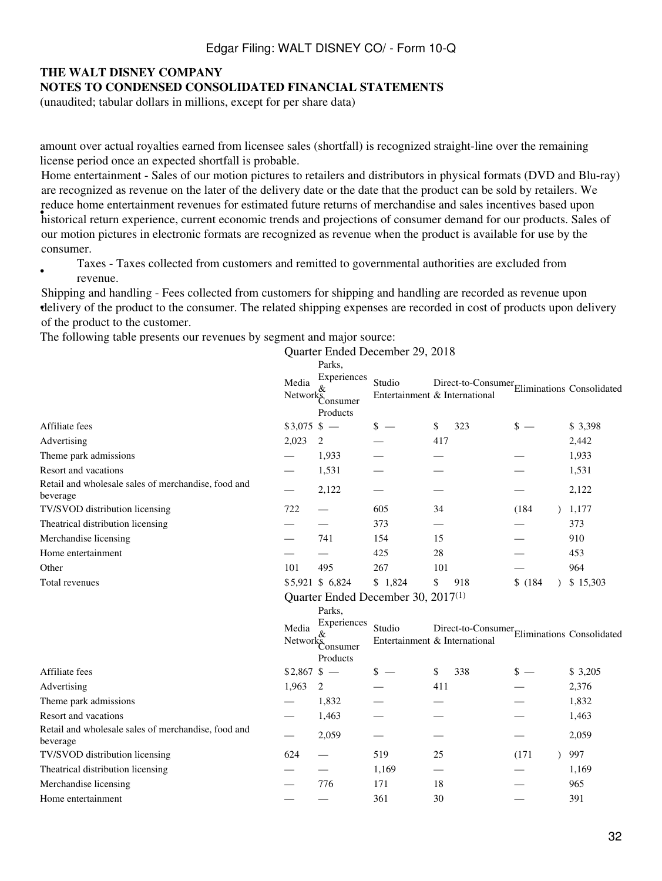# **THE WALT DISNEY COMPANY**

#### **NOTES TO CONDENSED CONSOLIDATED FINANCIAL STATEMENTS**

(unaudited; tabular dollars in millions, except for per share data)

amount over actual royalties earned from licensee sales (shortfall) is recognized straight-line over the remaining license period once an expected shortfall is probable.

• historical return experience, current economic trends and projections of consumer demand for our products. Sales of Home entertainment - Sales of our motion pictures to retailers and distributors in physical formats (DVD and Blu-ray) are recognized as revenue on the later of the delivery date or the date that the product can be sold by retailers. We reduce home entertainment revenues for estimated future returns of merchandise and sales incentives based upon our motion pictures in electronic formats are recognized as revenue when the product is available for use by the consumer.

• Taxes - Taxes collected from customers and remitted to governmental authorities are excluded from revenue.

delivery of the product to the consumer. The related shipping expenses are recorded in cost of products upon delivery Shipping and handling - Fees collected from customers for shipping and handling are recorded as revenue upon of the product to the customer.

The following table presents our revenues by segment and major source:

|                                                                 |               |                                                       | Quarter Ended December 29, 2018                |     |                                                 |         |           |          |
|-----------------------------------------------------------------|---------------|-------------------------------------------------------|------------------------------------------------|-----|-------------------------------------------------|---------|-----------|----------|
|                                                                 | Media         | Parks.<br>Experiences<br>Network Consumer<br>Products | Studio<br>Entertainment & International        |     | Direct-to-Consumer<br>Eliminations Consolidated |         |           |          |
| Affiliate fees                                                  | $$3,075$ \$ - |                                                       | $s =$                                          | \$  | 323                                             | $s =$   |           | \$ 3,398 |
| Advertising                                                     | 2,023         | 2                                                     |                                                | 417 |                                                 |         |           | 2,442    |
| Theme park admissions                                           |               | 1,933                                                 |                                                |     |                                                 |         |           | 1,933    |
| Resort and vacations                                            |               | 1,531                                                 |                                                |     |                                                 |         |           | 1,531    |
| Retail and wholesale sales of merchandise, food and<br>beverage |               | 2,122                                                 |                                                |     |                                                 |         |           | 2,122    |
| TV/SVOD distribution licensing                                  | 722           |                                                       | 605                                            | 34  |                                                 | (184)   | $\lambda$ | 1,177    |
| Theatrical distribution licensing                               |               |                                                       | 373                                            |     |                                                 |         |           | 373      |
| Merchandise licensing                                           |               | 741                                                   | 154                                            | 15  |                                                 |         |           | 910      |
| Home entertainment                                              |               |                                                       | 425                                            | 28  |                                                 |         |           | 453      |
| Other                                                           | 101           | 495                                                   | 267                                            | 101 |                                                 |         |           | 964      |
| Total revenues                                                  |               | \$5,921 \$6,824                                       | \$1,824                                        | \$  | 918                                             | \$(184) |           | \$15,303 |
|                                                                 |               | Parks.<br>Experiences                                 | Quarter Ended December 30, 2017 <sup>(1)</sup> |     |                                                 |         |           |          |
|                                                                 | Media         | Networks<br>Networks<br>Consumer<br>Products          | Studio<br>Entertainment & International        |     | Direct-to-Consumer<br>Eliminations Consolidated |         |           |          |
| Affiliate fees                                                  | $$2,867$ \$ - |                                                       | $s =$                                          | \$  | 338                                             | $s =$   |           | \$ 3,205 |
| Advertising                                                     | 1,963         | 2                                                     |                                                | 411 |                                                 |         |           | 2,376    |
| Theme park admissions                                           |               | 1,832                                                 |                                                |     |                                                 |         |           | 1,832    |
| Resort and vacations                                            |               | 1,463                                                 |                                                |     |                                                 |         |           | 1,463    |
| Retail and wholesale sales of merchandise, food and<br>beverage |               | 2,059                                                 |                                                |     |                                                 |         |           | 2,059    |
| TV/SVOD distribution licensing                                  | 624           | $\qquad \qquad$                                       | 519                                            | 25  |                                                 | (171)   | $\lambda$ | 997      |
| Theatrical distribution licensing                               |               |                                                       | 1,169                                          |     |                                                 |         |           | 1,169    |
| Merchandise licensing                                           |               | 776                                                   | 171                                            | 18  |                                                 |         |           | 965      |
| Home entertainment                                              |               |                                                       | 361                                            | 30  |                                                 |         |           | 391      |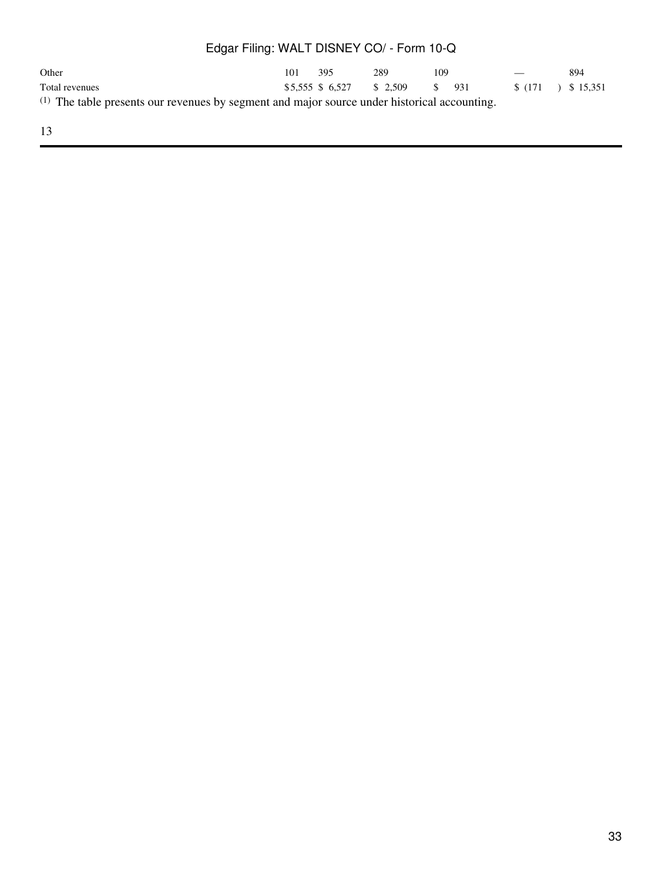| Other                                                                                                   | 101 | 395 | 289                            | 109 |  | $\overline{\phantom{a}}$ | 894                |
|---------------------------------------------------------------------------------------------------------|-----|-----|--------------------------------|-----|--|--------------------------|--------------------|
| Total revenues                                                                                          |     |     | $$5.555 \$6.527 \$2.509 \$931$ |     |  |                          | $$(171)$ $$15,351$ |
| <sup>(1)</sup> The table presents our revenues by segment and major source under historical accounting. |     |     |                                |     |  |                          |                    |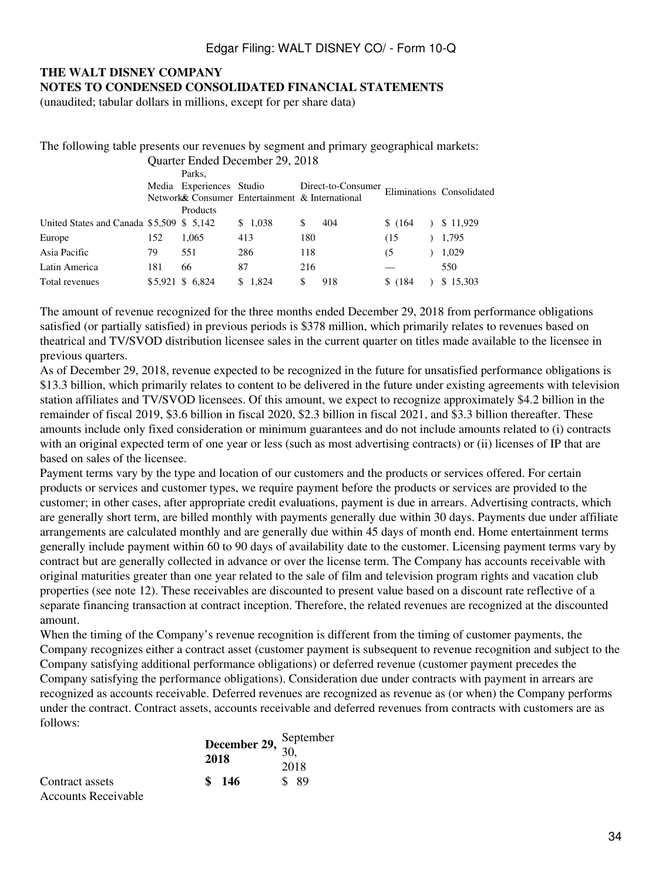## **THE WALT DISNEY COMPANY NOTES TO CONDENSED CONSOLIDATED FINANCIAL STATEMENTS**

(unaudited; tabular dollars in millions, except for per share data)

| The following table presents our revenues by segment and primary geographical markets: |     |                          |                                 |                                                 |                    |          |  |                           |  |
|----------------------------------------------------------------------------------------|-----|--------------------------|---------------------------------|-------------------------------------------------|--------------------|----------|--|---------------------------|--|
|                                                                                        |     |                          | Quarter Ended December 29, 2018 |                                                 |                    |          |  |                           |  |
|                                                                                        |     | Parks,                   |                                 |                                                 |                    |          |  |                           |  |
|                                                                                        |     | Media Experiences Studio |                                 |                                                 | Direct-to-Consumer |          |  | Eliminations Consolidated |  |
|                                                                                        |     |                          |                                 | Network& Consumer Entertainment & International |                    |          |  |                           |  |
|                                                                                        |     | Products                 |                                 |                                                 |                    |          |  |                           |  |
| United States and Canada \$5,509 \$ 5,142                                              |     |                          | \$1.038                         | S                                               | 404                | \$(164)  |  | \$11,929                  |  |
| Europe                                                                                 | 152 | 1,065                    | 413                             | 180                                             |                    | (15      |  | 1,795                     |  |
| Asia Pacific                                                                           | 79  | 551                      | 286                             | 118                                             |                    | (5       |  | 1,029                     |  |
| Latin America                                                                          | 181 | 66                       | 87                              | 216                                             |                    |          |  | 550                       |  |
| Total revenues                                                                         |     | \$5,921 \$ 6,824         | \$1.824                         |                                                 | 918                | \$ (184) |  | \$15,303                  |  |

The amount of revenue recognized for the three months ended December 29, 2018 from performance obligations satisfied (or partially satisfied) in previous periods is \$378 million, which primarily relates to revenues based on theatrical and TV/SVOD distribution licensee sales in the current quarter on titles made available to the licensee in previous quarters.

As of December 29, 2018, revenue expected to be recognized in the future for unsatisfied performance obligations is \$13.3 billion, which primarily relates to content to be delivered in the future under existing agreements with television station affiliates and TV/SVOD licensees. Of this amount, we expect to recognize approximately \$4.2 billion in the remainder of fiscal 2019, \$3.6 billion in fiscal 2020, \$2.3 billion in fiscal 2021, and \$3.3 billion thereafter. These amounts include only fixed consideration or minimum guarantees and do not include amounts related to (i) contracts with an original expected term of one year or less (such as most advertising contracts) or (ii) licenses of IP that are based on sales of the licensee.

Payment terms vary by the type and location of our customers and the products or services offered. For certain products or services and customer types, we require payment before the products or services are provided to the customer; in other cases, after appropriate credit evaluations, payment is due in arrears. Advertising contracts, which are generally short term, are billed monthly with payments generally due within 30 days. Payments due under affiliate arrangements are calculated monthly and are generally due within 45 days of month end. Home entertainment terms generally include payment within 60 to 90 days of availability date to the customer. Licensing payment terms vary by contract but are generally collected in advance or over the license term. The Company has accounts receivable with original maturities greater than one year related to the sale of film and television program rights and vacation club properties (see note 12). These receivables are discounted to present value based on a discount rate reflective of a separate financing transaction at contract inception. Therefore, the related revenues are recognized at the discounted amount.

When the timing of the Company's revenue recognition is different from the timing of customer payments, the Company recognizes either a contract asset (customer payment is subsequent to revenue recognition and subject to the Company satisfying additional performance obligations) or deferred revenue (customer payment precedes the Company satisfying the performance obligations). Consideration due under contracts with payment in arrears are recognized as accounts receivable. Deferred revenues are recognized as revenue as (or when) the Company performs under the contract. Contract assets, accounts receivable and deferred revenues from contracts with customers are as follows:

|                                        | 2018 | December 29, $\frac{\text{September}}{30}$ |               |
|----------------------------------------|------|--------------------------------------------|---------------|
| Contract assets<br>Accounts Receivable |      | \$146                                      | 2018<br>\$ 89 |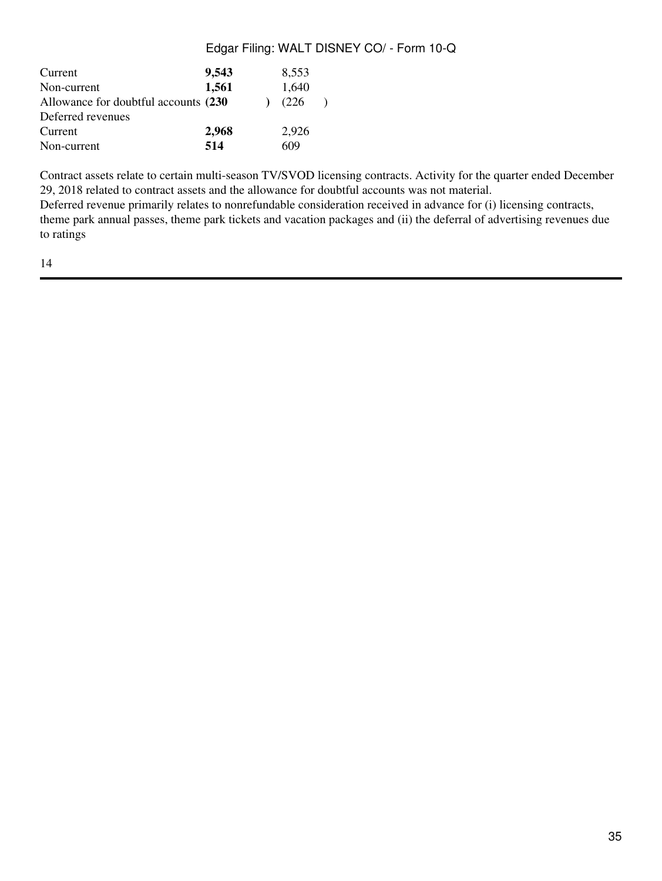| Current<br>Non-current                | 9,543<br>1,561 | 8,553<br>1,640 |  |
|---------------------------------------|----------------|----------------|--|
| Allowance for doubtful accounts (230) |                | (226)          |  |
| Deferred revenues                     |                |                |  |
| Current                               | 2,968          | 2,926          |  |
| Non-current                           | 514            | 609            |  |

Contract assets relate to certain multi-season TV/SVOD licensing contracts. Activity for the quarter ended December 29, 2018 related to contract assets and the allowance for doubtful accounts was not material. Deferred revenue primarily relates to nonrefundable consideration received in advance for (i) licensing contracts, theme park annual passes, theme park tickets and vacation packages and (ii) the deferral of advertising revenues due to ratings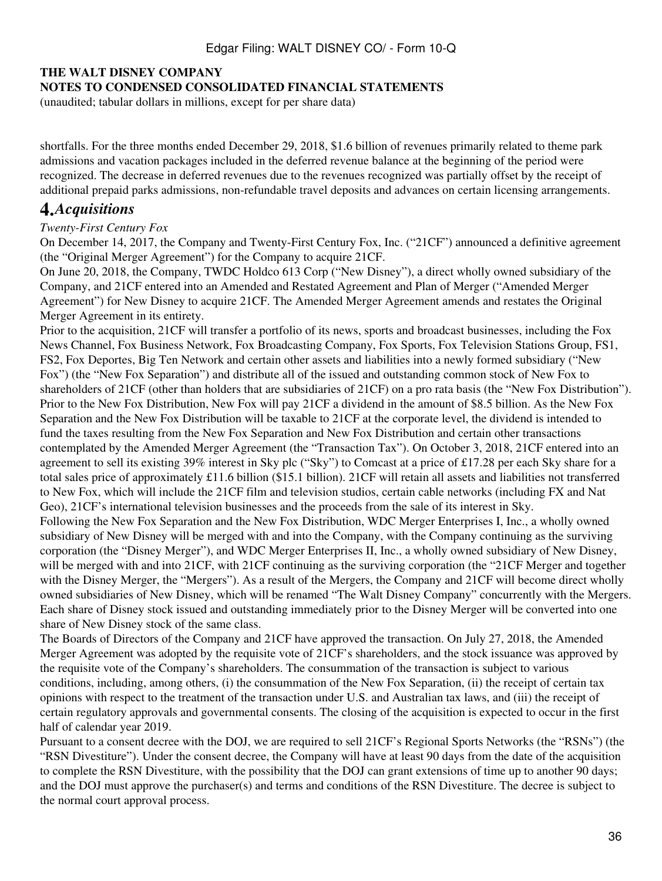# **THE WALT DISNEY COMPANY**

### **NOTES TO CONDENSED CONSOLIDATED FINANCIAL STATEMENTS**

(unaudited; tabular dollars in millions, except for per share data)

shortfalls. For the three months ended December 29, 2018, \$1.6 billion of revenues primarily related to theme park admissions and vacation packages included in the deferred revenue balance at the beginning of the period were recognized. The decrease in deferred revenues due to the revenues recognized was partially offset by the receipt of additional prepaid parks admissions, non-refundable travel deposits and advances on certain licensing arrangements.

# **4.***Acquisitions*

#### *Twenty-First Century Fox*

On December 14, 2017, the Company and Twenty-First Century Fox, Inc. ("21CF") announced a definitive agreement (the "Original Merger Agreement") for the Company to acquire 21CF.

On June 20, 2018, the Company, TWDC Holdco 613 Corp ("New Disney"), a direct wholly owned subsidiary of the Company, and 21CF entered into an Amended and Restated Agreement and Plan of Merger ("Amended Merger Agreement") for New Disney to acquire 21CF. The Amended Merger Agreement amends and restates the Original Merger Agreement in its entirety.

Prior to the acquisition, 21CF will transfer a portfolio of its news, sports and broadcast businesses, including the Fox News Channel, Fox Business Network, Fox Broadcasting Company, Fox Sports, Fox Television Stations Group, FS1, FS2, Fox Deportes, Big Ten Network and certain other assets and liabilities into a newly formed subsidiary ("New Fox") (the "New Fox Separation") and distribute all of the issued and outstanding common stock of New Fox to shareholders of 21CF (other than holders that are subsidiaries of 21CF) on a pro rata basis (the "New Fox Distribution"). Prior to the New Fox Distribution, New Fox will pay 21CF a dividend in the amount of \$8.5 billion. As the New Fox Separation and the New Fox Distribution will be taxable to 21CF at the corporate level, the dividend is intended to fund the taxes resulting from the New Fox Separation and New Fox Distribution and certain other transactions contemplated by the Amended Merger Agreement (the "Transaction Tax"). On October 3, 2018, 21CF entered into an agreement to sell its existing 39% interest in Sky plc ("Sky") to Comcast at a price of £17.28 per each Sky share for a total sales price of approximately £11.6 billion (\$15.1 billion). 21CF will retain all assets and liabilities not transferred to New Fox, which will include the 21CF film and television studios, certain cable networks (including FX and Nat Geo), 21CF's international television businesses and the proceeds from the sale of its interest in Sky.

Following the New Fox Separation and the New Fox Distribution, WDC Merger Enterprises I, Inc., a wholly owned subsidiary of New Disney will be merged with and into the Company, with the Company continuing as the surviving corporation (the "Disney Merger"), and WDC Merger Enterprises II, Inc., a wholly owned subsidiary of New Disney, will be merged with and into 21CF, with 21CF continuing as the surviving corporation (the "21CF Merger and together with the Disney Merger, the "Mergers"). As a result of the Mergers, the Company and 21CF will become direct wholly owned subsidiaries of New Disney, which will be renamed "The Walt Disney Company" concurrently with the Mergers. Each share of Disney stock issued and outstanding immediately prior to the Disney Merger will be converted into one share of New Disney stock of the same class.

The Boards of Directors of the Company and 21CF have approved the transaction. On July 27, 2018, the Amended Merger Agreement was adopted by the requisite vote of 21CF's shareholders, and the stock issuance was approved by the requisite vote of the Company's shareholders. The consummation of the transaction is subject to various conditions, including, among others, (i) the consummation of the New Fox Separation, (ii) the receipt of certain tax opinions with respect to the treatment of the transaction under U.S. and Australian tax laws, and (iii) the receipt of certain regulatory approvals and governmental consents. The closing of the acquisition is expected to occur in the first half of calendar year 2019.

Pursuant to a consent decree with the DOJ, we are required to sell 21CF's Regional Sports Networks (the "RSNs") (the "RSN Divestiture"). Under the consent decree, the Company will have at least 90 days from the date of the acquisition to complete the RSN Divestiture, with the possibility that the DOJ can grant extensions of time up to another 90 days; and the DOJ must approve the purchaser(s) and terms and conditions of the RSN Divestiture. The decree is subject to the normal court approval process.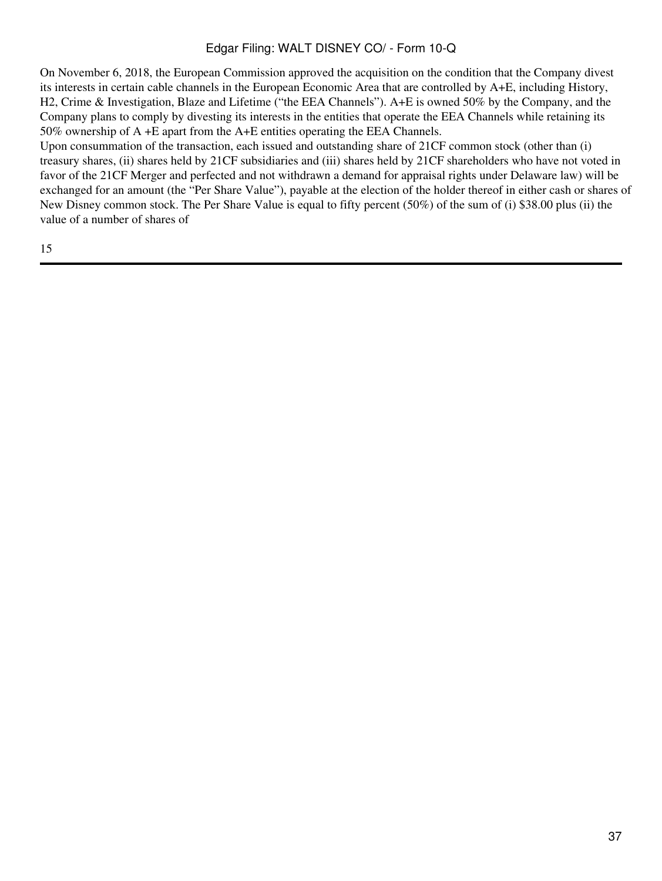On November 6, 2018, the European Commission approved the acquisition on the condition that the Company divest its interests in certain cable channels in the European Economic Area that are controlled by A+E, including History, H2, Crime & Investigation, Blaze and Lifetime ("the EEA Channels"). A+E is owned 50% by the Company, and the Company plans to comply by divesting its interests in the entities that operate the EEA Channels while retaining its 50% ownership of A +E apart from the A+E entities operating the EEA Channels.

Upon consummation of the transaction, each issued and outstanding share of 21CF common stock (other than (i) treasury shares, (ii) shares held by 21CF subsidiaries and (iii) shares held by 21CF shareholders who have not voted in favor of the 21CF Merger and perfected and not withdrawn a demand for appraisal rights under Delaware law) will be exchanged for an amount (the "Per Share Value"), payable at the election of the holder thereof in either cash or shares of New Disney common stock. The Per Share Value is equal to fifty percent (50%) of the sum of (i) \$38.00 plus (ii) the value of a number of shares of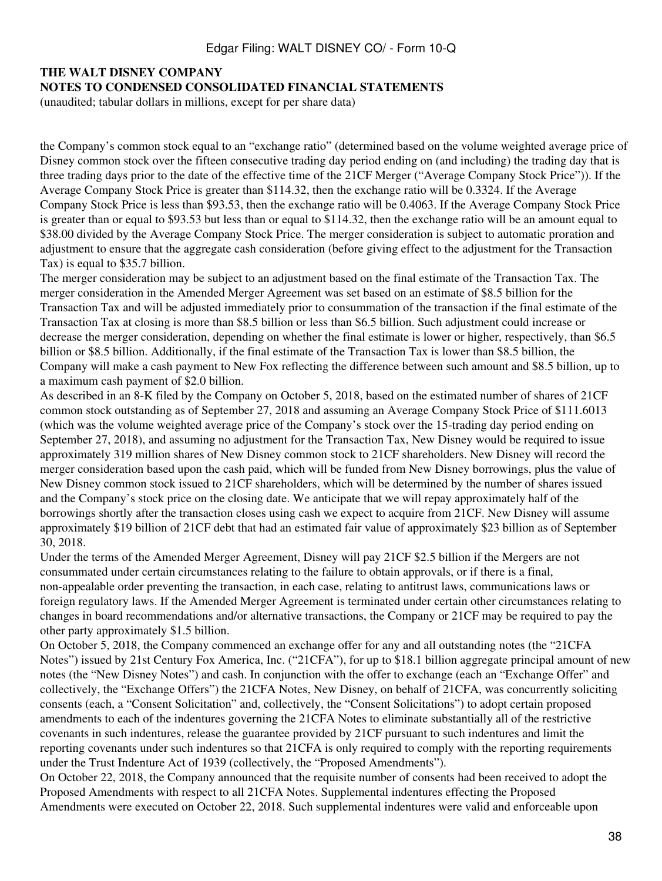#### **THE WALT DISNEY COMPANY**

#### **NOTES TO CONDENSED CONSOLIDATED FINANCIAL STATEMENTS**

(unaudited; tabular dollars in millions, except for per share data)

the Company's common stock equal to an "exchange ratio" (determined based on the volume weighted average price of Disney common stock over the fifteen consecutive trading day period ending on (and including) the trading day that is three trading days prior to the date of the effective time of the 21CF Merger ("Average Company Stock Price")). If the Average Company Stock Price is greater than \$114.32, then the exchange ratio will be 0.3324. If the Average Company Stock Price is less than \$93.53, then the exchange ratio will be 0.4063. If the Average Company Stock Price is greater than or equal to \$93.53 but less than or equal to \$114.32, then the exchange ratio will be an amount equal to \$38.00 divided by the Average Company Stock Price. The merger consideration is subject to automatic proration and adjustment to ensure that the aggregate cash consideration (before giving effect to the adjustment for the Transaction Tax) is equal to \$35.7 billion.

The merger consideration may be subject to an adjustment based on the final estimate of the Transaction Tax. The merger consideration in the Amended Merger Agreement was set based on an estimate of \$8.5 billion for the Transaction Tax and will be adjusted immediately prior to consummation of the transaction if the final estimate of the Transaction Tax at closing is more than \$8.5 billion or less than \$6.5 billion. Such adjustment could increase or decrease the merger consideration, depending on whether the final estimate is lower or higher, respectively, than \$6.5 billion or \$8.5 billion. Additionally, if the final estimate of the Transaction Tax is lower than \$8.5 billion, the Company will make a cash payment to New Fox reflecting the difference between such amount and \$8.5 billion, up to a maximum cash payment of \$2.0 billion.

As described in an 8-K filed by the Company on October 5, 2018, based on the estimated number of shares of 21CF common stock outstanding as of September 27, 2018 and assuming an Average Company Stock Price of \$111.6013 (which was the volume weighted average price of the Company's stock over the 15-trading day period ending on September 27, 2018), and assuming no adjustment for the Transaction Tax, New Disney would be required to issue approximately 319 million shares of New Disney common stock to 21CF shareholders. New Disney will record the merger consideration based upon the cash paid, which will be funded from New Disney borrowings, plus the value of New Disney common stock issued to 21CF shareholders, which will be determined by the number of shares issued and the Company's stock price on the closing date. We anticipate that we will repay approximately half of the borrowings shortly after the transaction closes using cash we expect to acquire from 21CF. New Disney will assume approximately \$19 billion of 21CF debt that had an estimated fair value of approximately \$23 billion as of September 30, 2018.

Under the terms of the Amended Merger Agreement, Disney will pay 21CF \$2.5 billion if the Mergers are not consummated under certain circumstances relating to the failure to obtain approvals, or if there is a final, non-appealable order preventing the transaction, in each case, relating to antitrust laws, communications laws or foreign regulatory laws. If the Amended Merger Agreement is terminated under certain other circumstances relating to changes in board recommendations and/or alternative transactions, the Company or 21CF may be required to pay the other party approximately \$1.5 billion.

On October 5, 2018, the Company commenced an exchange offer for any and all outstanding notes (the "21CFA Notes") issued by 21st Century Fox America, Inc. ("21CFA"), for up to \$18.1 billion aggregate principal amount of new notes (the "New Disney Notes") and cash. In conjunction with the offer to exchange (each an "Exchange Offer" and collectively, the "Exchange Offers") the 21CFA Notes, New Disney, on behalf of 21CFA, was concurrently soliciting consents (each, a "Consent Solicitation" and, collectively, the "Consent Solicitations") to adopt certain proposed amendments to each of the indentures governing the 21CFA Notes to eliminate substantially all of the restrictive covenants in such indentures, release the guarantee provided by 21CF pursuant to such indentures and limit the reporting covenants under such indentures so that 21CFA is only required to comply with the reporting requirements under the Trust Indenture Act of 1939 (collectively, the "Proposed Amendments").

On October 22, 2018, the Company announced that the requisite number of consents had been received to adopt the Proposed Amendments with respect to all 21CFA Notes. Supplemental indentures effecting the Proposed Amendments were executed on October 22, 2018. Such supplemental indentures were valid and enforceable upon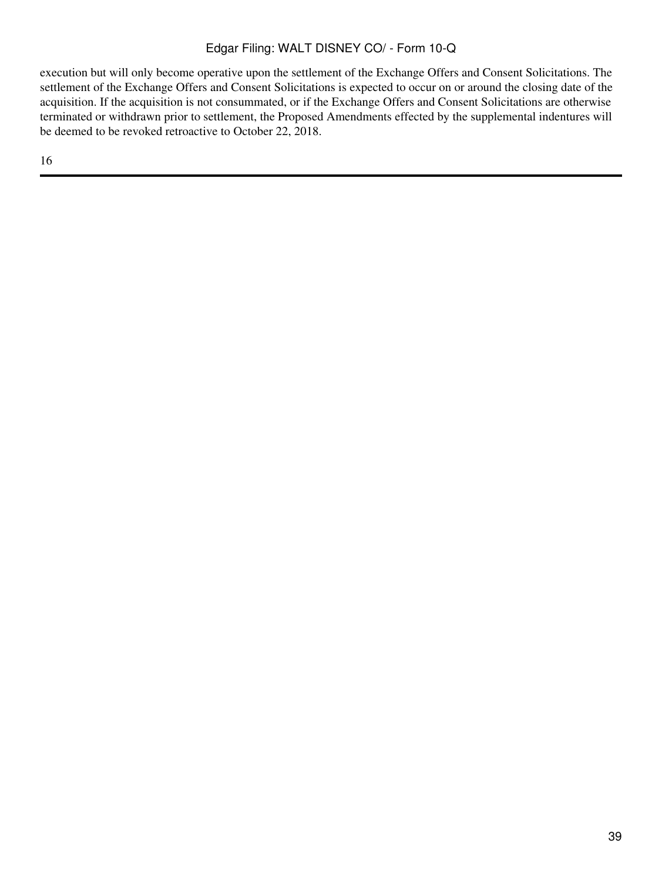execution but will only become operative upon the settlement of the Exchange Offers and Consent Solicitations. The settlement of the Exchange Offers and Consent Solicitations is expected to occur on or around the closing date of the acquisition. If the acquisition is not consummated, or if the Exchange Offers and Consent Solicitations are otherwise terminated or withdrawn prior to settlement, the Proposed Amendments effected by the supplemental indentures will be deemed to be revoked retroactive to October 22, 2018.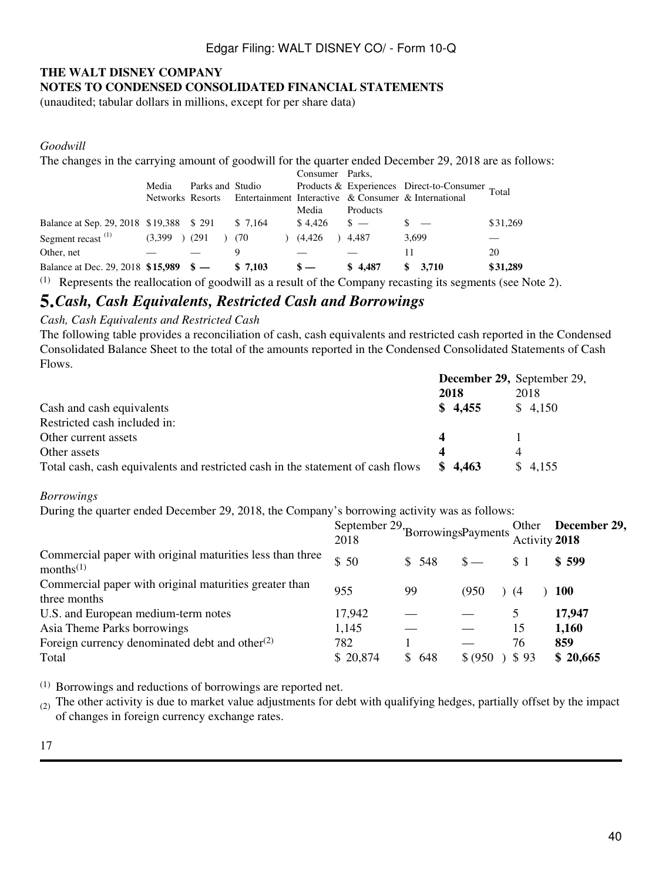#### **THE WALT DISNEY COMPANY NOTES TO CONDENSED CONSOLIDATED FINANCIAL STATEMENTS**

(unaudited; tabular dollars in millions, except for per share data)

#### *Goodwill*

The changes in the carrying amount of goodwill for the quarter ended December 29, 2018 are as follows:

|                                         |                   |                  |          | Consumer Parks, |          |                                                                       |          |
|-----------------------------------------|-------------------|------------------|----------|-----------------|----------|-----------------------------------------------------------------------|----------|
|                                         | Media             | Parks and Studio |          |                 |          | Products & Experiences Direct-to-Consumer Total                       |          |
|                                         |                   |                  |          |                 |          | Networks Resorts Entertainment Interactive & Consumer & International |          |
|                                         |                   |                  |          | Media           | Products |                                                                       |          |
| Balance at Sep. 29, 2018 \$19,388 \$291 |                   |                  | \$ 7,164 | $$4.426$ $$ -$  |          | $s =$                                                                 | \$31,269 |
| Segment recast $(1)$                    | $(3,399)$ $(291)$ | (70              |          | (4, 426)        | 4.487    | 3,699                                                                 |          |
| Other, net                              |                   |                  |          |                 |          | 11                                                                    | 20       |
| Balance at Dec. 29, 2018 \$15,989 \$-   |                   |                  | \$7.103  |                 | \$4.487  | 3.710                                                                 | \$31,289 |

(1) Represents the reallocation of goodwill as a result of the Company recasting its segments (see Note 2).

## **5.***Cash, Cash Equivalents, Restricted Cash and Borrowings*

### *Cash, Cash Equivalents and Restricted Cash*

The following table provides a reconciliation of cash, cash equivalents and restricted cash reported in the Condensed Consolidated Balance Sheet to the total of the amounts reported in the Condensed Consolidated Statements of Cash Flows.

|                                                                                 |                  | December 29, September 29, |
|---------------------------------------------------------------------------------|------------------|----------------------------|
|                                                                                 | 2018             | 2018                       |
| Cash and cash equivalents                                                       | \$4,455          | \$4,150                    |
| Restricted cash included in:                                                    |                  |                            |
| Other current assets                                                            |                  |                            |
| Other assets                                                                    | $\boldsymbol{4}$ |                            |
| Total cash, cash equivalents and restricted cash in the statement of cash flows | \$4.463          | \$4,155                    |

#### *Borrowings*

During the quarter ended December 29, 2018, the Company's borrowing activity was as follows:

|                                                                                    | September 29, BorrowingsPayments<br>2018 |        |          | Activity 2018 | Other December 29, |
|------------------------------------------------------------------------------------|------------------------------------------|--------|----------|---------------|--------------------|
| Commercial paper with original maturities less than three<br>months <sup>(1)</sup> | \$50                                     | \$ 548 | $S -$    | \$1           | \$599              |
| Commercial paper with original maturities greater than<br>three months             | 955                                      | 99     | (950)    | (4            | 100                |
| U.S. and European medium-term notes                                                | 17,942                                   |        |          | 5             | 17,947             |
| Asia Theme Parks borrowings                                                        | 1,145                                    |        |          | 15            | 1,160              |
| Foreign currency denominated debt and other $(2)$                                  | 782                                      |        |          | 76            | 859                |
| Total                                                                              | \$20,874                                 | \$648  | \$ (950) | \$93          | \$20,665           |

(1) Borrowings and reductions of borrowings are reported net.

 $(2)$  The other activity is due to market value adjustments for debt with qualifying hedges, partially offset by the impact of changes in foreign currency exchange rates.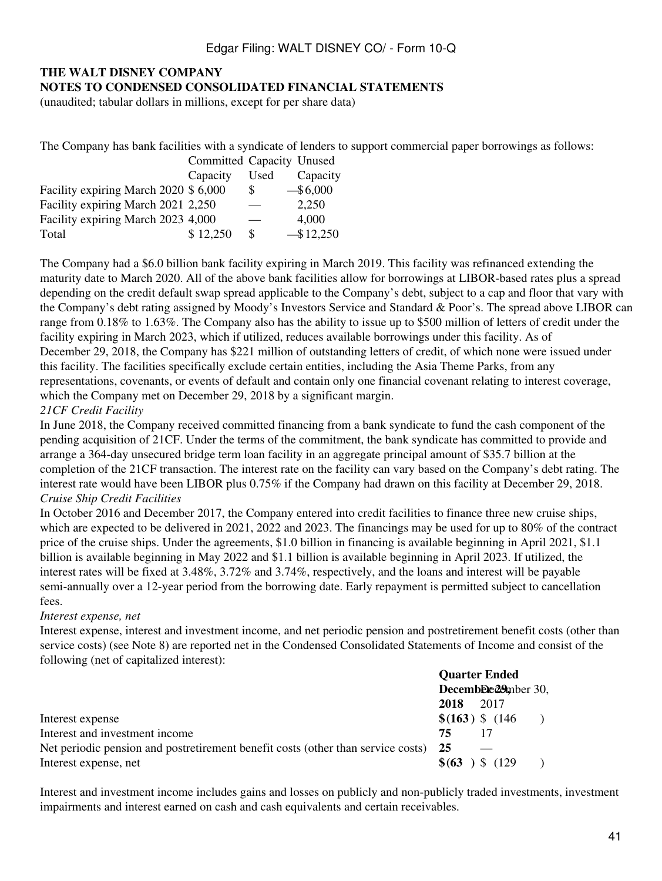#### **THE WALT DISNEY COMPANY NOTES TO CONDENSED CONSOLIDATED FINANCIAL STATEMENTS**

(unaudited; tabular dollars in millions, except for per share data)

The Company has bank facilities with a syndicate of lenders to support commercial paper borrowings as follows:

|                                       | Committed Capacity Unused |          |              |
|---------------------------------------|---------------------------|----------|--------------|
|                                       | Capacity                  | Used     | Capacity     |
| Facility expiring March 2020 \$ 6,000 |                           | \$.      | $-$ \$6,000  |
| Facility expiring March 2021 2,250    |                           |          | 2,250        |
| Facility expiring March 2023 4,000    |                           |          | 4,000        |
| Total                                 | \$12,250                  | <b>S</b> | $-$ \$12,250 |

The Company had a \$6.0 billion bank facility expiring in March 2019. This facility was refinanced extending the maturity date to March 2020. All of the above bank facilities allow for borrowings at LIBOR-based rates plus a spread depending on the credit default swap spread applicable to the Company's debt, subject to a cap and floor that vary with the Company's debt rating assigned by Moody's Investors Service and Standard & Poor's. The spread above LIBOR can range from 0.18% to 1.63%. The Company also has the ability to issue up to \$500 million of letters of credit under the facility expiring in March 2023, which if utilized, reduces available borrowings under this facility. As of December 29, 2018, the Company has \$221 million of outstanding letters of credit, of which none were issued under this facility. The facilities specifically exclude certain entities, including the Asia Theme Parks, from any representations, covenants, or events of default and contain only one financial covenant relating to interest coverage, which the Company met on December 29, 2018 by a significant margin.

#### *21CF Credit Facility*

In June 2018, the Company received committed financing from a bank syndicate to fund the cash component of the pending acquisition of 21CF. Under the terms of the commitment, the bank syndicate has committed to provide and arrange a 364-day unsecured bridge term loan facility in an aggregate principal amount of \$35.7 billion at the completion of the 21CF transaction. The interest rate on the facility can vary based on the Company's debt rating. The interest rate would have been LIBOR plus 0.75% if the Company had drawn on this facility at December 29, 2018. *Cruise Ship Credit Facilities*

In October 2016 and December 2017, the Company entered into credit facilities to finance three new cruise ships, which are expected to be delivered in 2021, 2022 and 2023. The financings may be used for up to 80% of the contract price of the cruise ships. Under the agreements, \$1.0 billion in financing is available beginning in April 2021, \$1.1 billion is available beginning in May 2022 and \$1.1 billion is available beginning in April 2023. If utilized, the interest rates will be fixed at 3.48%, 3.72% and 3.74%, respectively, and the loans and interest will be payable semi-annually over a 12-year period from the borrowing date. Early repayment is permitted subject to cancellation fees.

#### *Interest expense, net*

Interest expense, interest and investment income, and net periodic pension and postretirement benefit costs (other than service costs) (see Note 8) are reported net in the Condensed Consolidated Statements of Income and consist of the following (net of capitalized interest):

|                                                                                     | <b>Quarter Ended</b> |                     |  |
|-------------------------------------------------------------------------------------|----------------------|---------------------|--|
|                                                                                     | December 29mber 30,  |                     |  |
|                                                                                     | 2018                 | 2017                |  |
| Interest expense                                                                    |                      | $$(163)$ \$ $(146)$ |  |
| Interest and investment income                                                      | 75                   |                     |  |
| Net periodic pension and postretirement benefit costs (other than service costs) 25 |                      |                     |  |
| Interest expense, net                                                               | \$ (63)              | (129)               |  |

Interest and investment income includes gains and losses on publicly and non-publicly traded investments, investment impairments and interest earned on cash and cash equivalents and certain receivables.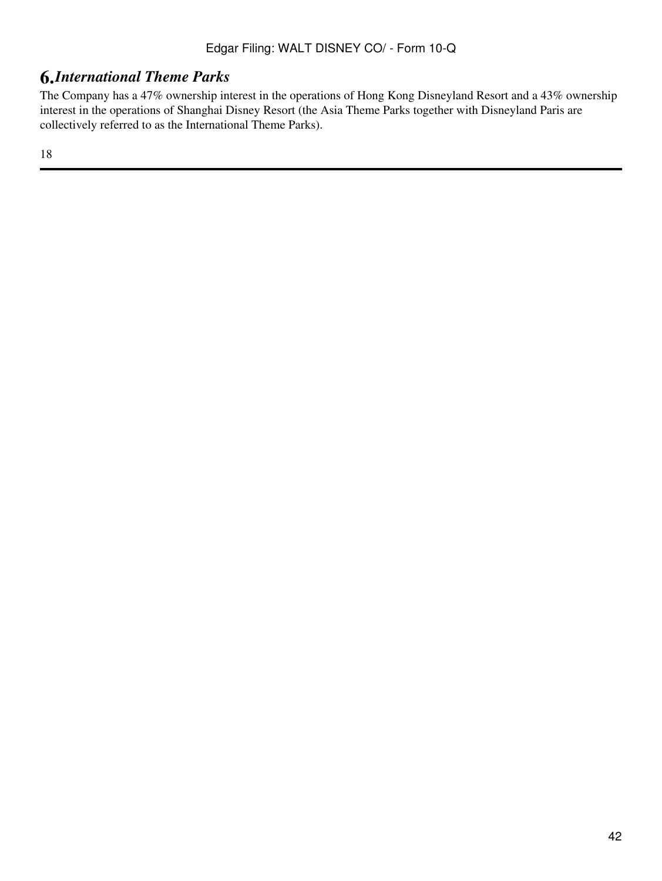# **6.***International Theme Parks*

The Company has a 47% ownership interest in the operations of Hong Kong Disneyland Resort and a 43% ownership interest in the operations of Shanghai Disney Resort (the Asia Theme Parks together with Disneyland Paris are collectively referred to as the International Theme Parks).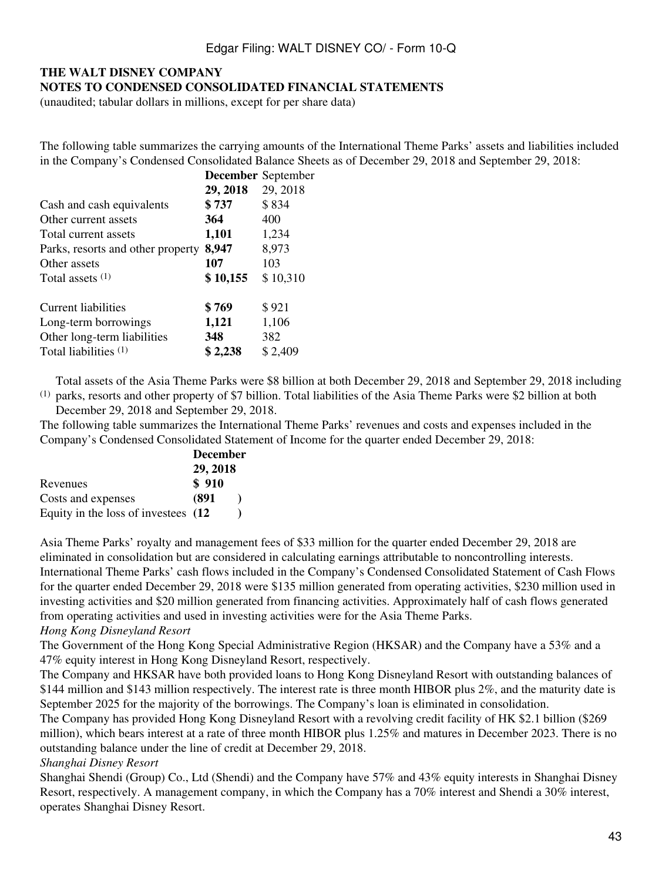### **THE WALT DISNEY COMPANY NOTES TO CONDENSED CONSOLIDATED FINANCIAL STATEMENTS**

(unaudited; tabular dollars in millions, except for per share data)

The following table summarizes the carrying amounts of the International Theme Parks' assets and liabilities included in the Company's Condensed Consolidated Balance Sheets as of December 29, 2018 and September 29, 2018:

|                                   |          | <b>December</b> September |
|-----------------------------------|----------|---------------------------|
|                                   | 29, 2018 | 29, 2018                  |
| Cash and cash equivalents         | \$737    | \$834                     |
| Other current assets              | 364      | 400                       |
| Total current assets              | 1,101    | 1,234                     |
| Parks, resorts and other property | 8,947    | 8,973                     |
| Other assets                      | 107      | 103                       |
| Total assets $(1)$                | \$10,155 | \$10,310                  |
| Current liabilities               | \$769    | \$921                     |
| Long-term borrowings              | 1,121    | 1,106                     |
| Other long-term liabilities       | 348      | 382                       |
| Total liabilities (1)             | \$2,238  | \$2,409                   |

 $<sup>(1)</sup>$  parks, resorts and other property of \$7 billion. Total liabilities of the Asia Theme Parks were \$2 billion at both</sup> Total assets of the Asia Theme Parks were \$8 billion at both December 29, 2018 and September 29, 2018 including

December 29, 2018 and September 29, 2018.

The following table summarizes the International Theme Parks' revenues and costs and expenses included in the Company's Condensed Consolidated Statement of Income for the quarter ended December 29, 2018:

|                                      | <b>December</b> |  |  |  |  |  |
|--------------------------------------|-----------------|--|--|--|--|--|
|                                      | 29, 2018        |  |  |  |  |  |
| Revenues                             | \$910           |  |  |  |  |  |
| Costs and expenses                   | (891            |  |  |  |  |  |
| Equity in the loss of investees (12) |                 |  |  |  |  |  |

Asia Theme Parks' royalty and management fees of \$33 million for the quarter ended December 29, 2018 are eliminated in consolidation but are considered in calculating earnings attributable to noncontrolling interests. International Theme Parks' cash flows included in the Company's Condensed Consolidated Statement of Cash Flows for the quarter ended December 29, 2018 were \$135 million generated from operating activities, \$230 million used in investing activities and \$20 million generated from financing activities. Approximately half of cash flows generated from operating activities and used in investing activities were for the Asia Theme Parks.

#### *Hong Kong Disneyland Resort*

The Government of the Hong Kong Special Administrative Region (HKSAR) and the Company have a 53% and a 47% equity interest in Hong Kong Disneyland Resort, respectively.

The Company and HKSAR have both provided loans to Hong Kong Disneyland Resort with outstanding balances of \$144 million and \$143 million respectively. The interest rate is three month HIBOR plus 2%, and the maturity date is September 2025 for the majority of the borrowings. The Company's loan is eliminated in consolidation.

The Company has provided Hong Kong Disneyland Resort with a revolving credit facility of HK \$2.1 billion (\$269 million), which bears interest at a rate of three month HIBOR plus 1.25% and matures in December 2023. There is no outstanding balance under the line of credit at December 29, 2018.

#### *Shanghai Disney Resort*

Shanghai Shendi (Group) Co., Ltd (Shendi) and the Company have 57% and 43% equity interests in Shanghai Disney Resort, respectively. A management company, in which the Company has a 70% interest and Shendi a 30% interest, operates Shanghai Disney Resort.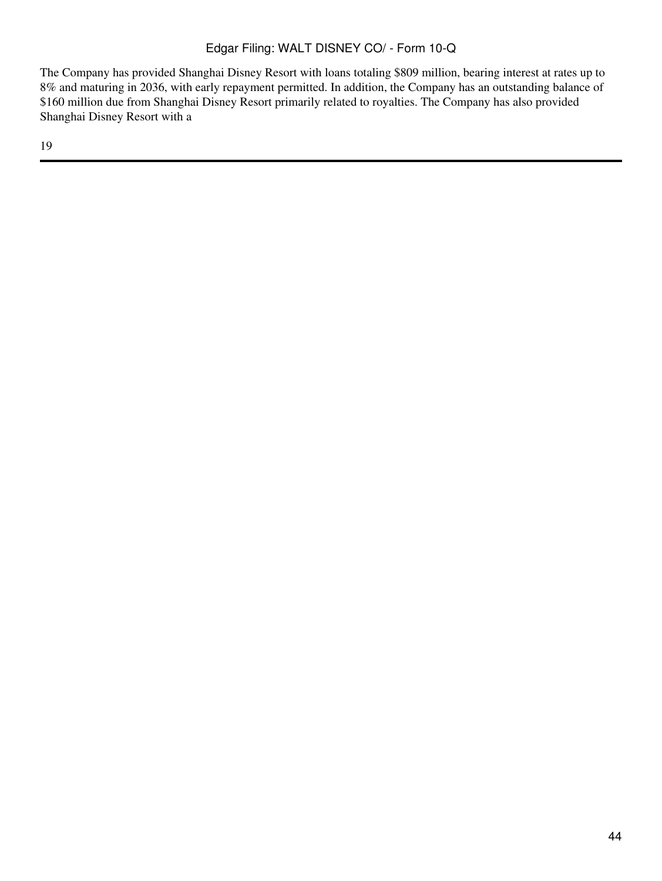The Company has provided Shanghai Disney Resort with loans totaling \$809 million, bearing interest at rates up to 8% and maturing in 2036, with early repayment permitted. In addition, the Company has an outstanding balance of \$160 million due from Shanghai Disney Resort primarily related to royalties. The Company has also provided Shanghai Disney Resort with a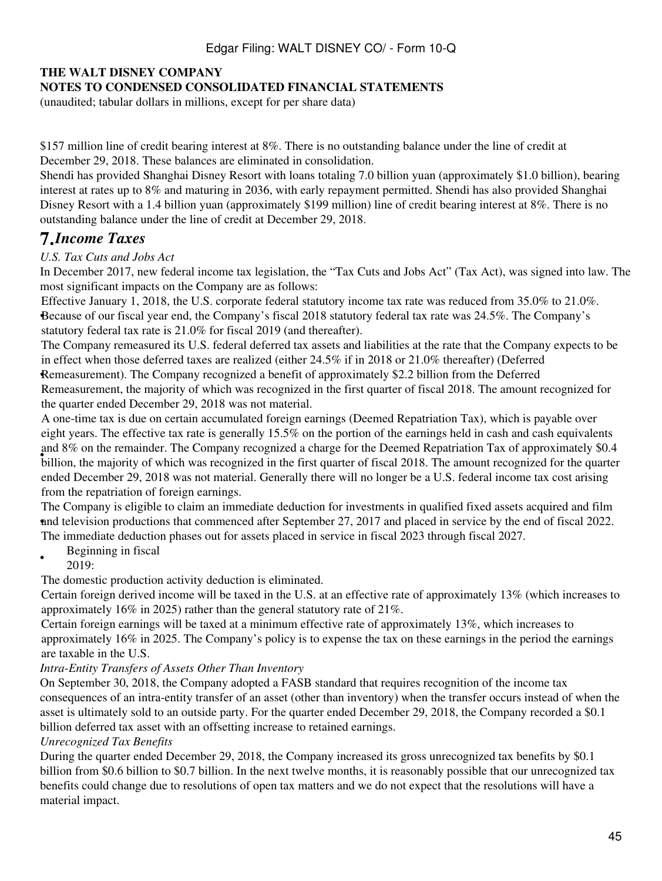### **NOTES TO CONDENSED CONSOLIDATED FINANCIAL STATEMENTS**

(unaudited; tabular dollars in millions, except for per share data)

\$157 million line of credit bearing interest at 8%. There is no outstanding balance under the line of credit at December 29, 2018. These balances are eliminated in consolidation.

Shendi has provided Shanghai Disney Resort with loans totaling 7.0 billion yuan (approximately \$1.0 billion), bearing interest at rates up to 8% and maturing in 2036, with early repayment permitted. Shendi has also provided Shanghai Disney Resort with a 1.4 billion yuan (approximately \$199 million) line of credit bearing interest at 8%. There is no outstanding balance under the line of credit at December 29, 2018.

# **7.***Income Taxes*

### *U.S. Tax Cuts and Jobs Act*

In December 2017, new federal income tax legislation, the "Tax Cuts and Jobs Act" (Tax Act), was signed into law. The most significant impacts on the Company are as follows:

• Because of our fiscal year end, the Company's fiscal 2018 statutory federal tax rate was 24.5%. The Company's Effective January 1, 2018, the U.S. corporate federal statutory income tax rate was reduced from 35.0% to 21.0%. statutory federal tax rate is 21.0% for fiscal 2019 (and thereafter).

The Company remeasured its U.S. federal deferred tax assets and liabilities at the rate that the Company expects to be in effect when those deferred taxes are realized (either 24.5% if in 2018 or 21.0% thereafter) (Deferred

Remeasurement). The Company recognized a benefit of approximately \$2.2 billion from the Deferred Remeasurement, the majority of which was recognized in the first quarter of fiscal 2018. The amount recognized for the quarter ended December 29, 2018 was not material.

whillion, the majority of which was recognized in the first quarter of fiscal 2018. The amount recognized for the quarter billion, the majority of which was recognized in the first quarter of fiscal 2018. The amount recogn A one-time tax is due on certain accumulated foreign earnings (Deemed Repatriation Tax), which is payable over eight years. The effective tax rate is generally 15.5% on the portion of the earnings held in cash and cash equivalents and 8% on the remainder. The Company recognized a charge for the Deemed Repatriation Tax of approximately \$0.4 ended December 29, 2018 was not material. Generally there will no longer be a U.S. federal income tax cost arising from the repatriation of foreign earnings.

and television productions that commenced after September 27, 2017 and placed in service by the end of fiscal 2022. The Company is eligible to claim an immediate deduction for investments in qualified fixed assets acquired and film The immediate deduction phases out for assets placed in service in fiscal 2023 through fiscal 2027.

- Beginning in fiscal
- 2019:

The domestic production activity deduction is eliminated.

Certain foreign derived income will be taxed in the U.S. at an effective rate of approximately 13% (which increases to approximately 16% in 2025) rather than the general statutory rate of 21%.

Certain foreign earnings will be taxed at a minimum effective rate of approximately 13%, which increases to approximately 16% in 2025. The Company's policy is to expense the tax on these earnings in the period the earnings are taxable in the U.S.

#### *Intra-Entity Transfers of Assets Other Than Inventory*

On September 30, 2018, the Company adopted a FASB standard that requires recognition of the income tax consequences of an intra-entity transfer of an asset (other than inventory) when the transfer occurs instead of when the asset is ultimately sold to an outside party. For the quarter ended December 29, 2018, the Company recorded a \$0.1 billion deferred tax asset with an offsetting increase to retained earnings.

#### *Unrecognized Tax Benefits*

During the quarter ended December 29, 2018, the Company increased its gross unrecognized tax benefits by \$0.1 billion from \$0.6 billion to \$0.7 billion. In the next twelve months, it is reasonably possible that our unrecognized tax benefits could change due to resolutions of open tax matters and we do not expect that the resolutions will have a material impact.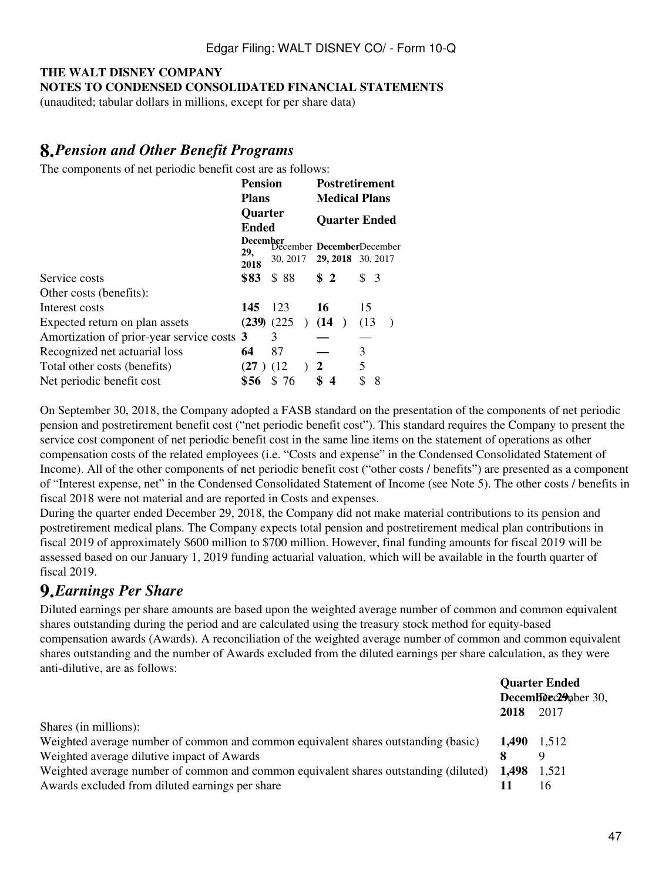## **THE WALT DISNEY COMPANY NOTES TO CONDENSED CONSOLIDATED FINANCIAL STATEMENTS**

(unaudited; tabular dollars in millions, except for per share data)

# **8.***Pension and Other Benefit Programs*

The components of net periodic benefit cost are as follows:

|                                            | <b>Pension</b><br><b>Plans</b> |                            | <b>Postretirement</b><br><b>Medical Plans</b> |                                                          |  |  |  |  |  |
|--------------------------------------------|--------------------------------|----------------------------|-----------------------------------------------|----------------------------------------------------------|--|--|--|--|--|
|                                            | Quarter<br><b>Ended</b>        |                            | <b>Quarter Ended</b>                          |                                                          |  |  |  |  |  |
|                                            | 29,<br>2018                    | 30, 2017 29, 2018 30, 2017 |                                               | December<br>December<br>December<br>December<br>December |  |  |  |  |  |
| Service costs                              | \$83                           | \$88                       | S <sub>2</sub>                                | S <sub>3</sub>                                           |  |  |  |  |  |
| Other costs (benefits):                    |                                |                            |                                               |                                                          |  |  |  |  |  |
| Interest costs                             | 145                            | 123                        | 16                                            | 15                                                       |  |  |  |  |  |
| Expected return on plan assets             |                                | $(239)$ $(225)$            | ) $(14)$                                      | (13)                                                     |  |  |  |  |  |
| Amortization of prior-year service costs 3 |                                | 3                          |                                               |                                                          |  |  |  |  |  |
| Recognized net actuarial loss              | 64                             | 87                         |                                               | 3                                                        |  |  |  |  |  |
| Total other costs (benefits)               | (27)                           | (12)                       | 2                                             | 5                                                        |  |  |  |  |  |
| Net periodic benefit cost                  | \$56                           | \$76                       | \$<br>$\overline{4}$                          | \$<br>8                                                  |  |  |  |  |  |

On September 30, 2018, the Company adopted a FASB standard on the presentation of the components of net periodic pension and postretirement benefit cost ("net periodic benefit cost"). This standard requires the Company to present the service cost component of net periodic benefit cost in the same line items on the statement of operations as other compensation costs of the related employees (i.e. "Costs and expense" in the Condensed Consolidated Statement of Income). All of the other components of net periodic benefit cost ("other costs / benefits") are presented as a component of "Interest expense, net" in the Condensed Consolidated Statement of Income (see Note 5). The other costs / benefits in fiscal 2018 were not material and are reported in Costs and expenses.

During the quarter ended December 29, 2018, the Company did not make material contributions to its pension and postretirement medical plans. The Company expects total pension and postretirement medical plan contributions in fiscal 2019 of approximately \$600 million to \$700 million. However, final funding amounts for fiscal 2019 will be assessed based on our January 1, 2019 funding actuarial valuation, which will be available in the fourth quarter of fiscal 2019.

# **9.***Earnings Per Share*

Diluted earnings per share amounts are based upon the weighted average number of common and common equivalent shares outstanding during the period and are calculated using the treasury stock method for equity-based compensation awards (Awards). A reconciliation of the weighted average number of common and common equivalent shares outstanding and the number of Awards excluded from the diluted earnings per share calculation, as they were anti-dilutive, are as follows:

|                                                                                                    | <b>Quarter Ended</b> |      |  |
|----------------------------------------------------------------------------------------------------|----------------------|------|--|
|                                                                                                    | December 29 aber 30, |      |  |
|                                                                                                    | 2018                 | 2017 |  |
| Shares (in millions):                                                                              |                      |      |  |
| Weighted average number of common and common equivalent shares outstanding (basic)                 | 1,490 1,512          |      |  |
| Weighted average dilutive impact of Awards                                                         |                      |      |  |
| Weighted average number of common and common equivalent shares outstanding (diluted) $1,498$ 1,521 |                      |      |  |
| Awards excluded from diluted earnings per share                                                    |                      | 16   |  |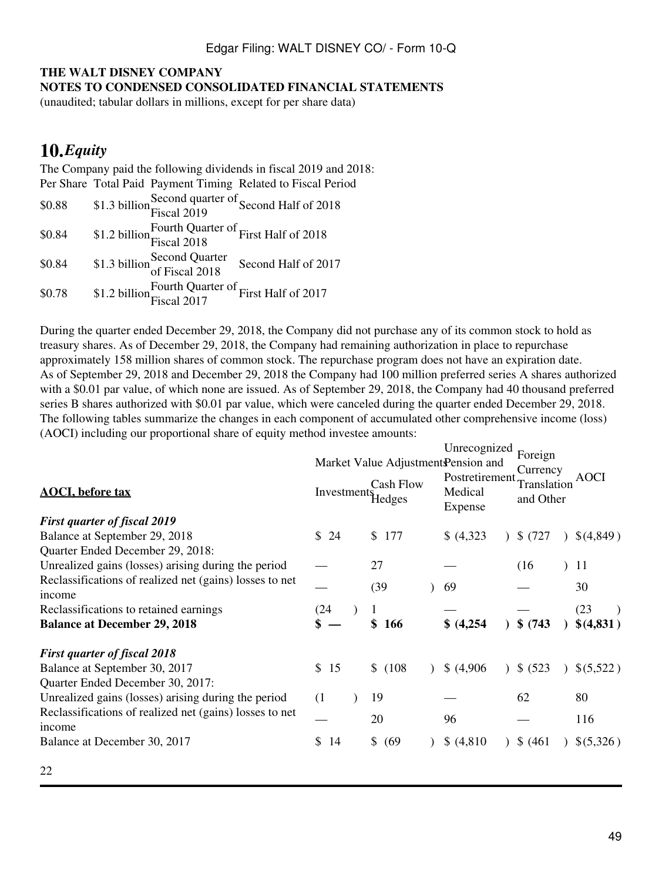#### **NOTES TO CONDENSED CONSOLIDATED FINANCIAL STATEMENTS**

(unaudited; tabular dollars in millions, except for per share data)

# **10.***Equity*

The Company paid the following dividends in fiscal 2019 and 2018: Per Share Total Paid Payment Timing Related to Fiscal Period \$0.88 \$1.3 billion Second quarter of Second Half of 2018 \$0.84 \$1.2 billion Fourth Quarter of First Half of 2018 \$0.84 \$1.3 billion Second Quarter<br>
of Fiscal 2018 Second Half of 2017 \$0.78 \$1.2 billion Fourth Quarter of First Half of 2017

During the quarter ended December 29, 2018, the Company did not purchase any of its common stock to hold as treasury shares. As of December 29, 2018, the Company had remaining authorization in place to repurchase approximately 158 million shares of common stock. The repurchase program does not have an expiration date. As of September 29, 2018 and December 29, 2018 the Company had 100 million preferred series A shares authorized with a \$0.01 par value, of which none are issued. As of September 29, 2018, the Company had 40 thousand preferred series B shares authorized with \$0.01 par value, which were canceled during the quarter ended December 29, 2018. The following tables summarize the changes in each component of accumulated other comprehensive income (loss) (AOCI) including our proportional share of equity method investee amounts:

| <b>AOCI</b> , before tax                                          | Investments | Cash Flow              | Unrecognized<br>Market Value Adjustment Pension and<br>Postretirement<br>Medical | Foreign<br>Currency<br>Translation | <b>AOCI</b> |
|-------------------------------------------------------------------|-------------|------------------------|----------------------------------------------------------------------------------|------------------------------------|-------------|
|                                                                   |             | Hedges                 | Expense                                                                          | and Other                          |             |
| <b>First quarter of fiscal 2019</b>                               |             |                        |                                                                                  |                                    |             |
| Balance at September 29, 2018                                     | \$24        | \$177                  | \$ (4,323)                                                                       | \$(727)                            | \$(4,849)   |
| Quarter Ended December 29, 2018:                                  |             |                        |                                                                                  |                                    |             |
| Unrealized gains (losses) arising during the period               |             | 27                     |                                                                                  | (16)                               | 11          |
| Reclassifications of realized net (gains) losses to net<br>income |             | (39)                   | 69                                                                               |                                    | 30          |
| Reclassifications to retained earnings                            | (24         |                        |                                                                                  |                                    | (23)        |
| <b>Balance at December 29, 2018</b>                               |             | \$<br>166              | \$(4,254)                                                                        | \$ (743)                           | \$(4,831)   |
| <b>First quarter of fiscal 2018</b>                               |             |                        |                                                                                  |                                    |             |
| Balance at September 30, 2017                                     | \$15        | \$(108)                | \$ (4,906)                                                                       | \$ (523)                           | \$(5,522)   |
| Quarter Ended December 30, 2017:                                  |             |                        |                                                                                  |                                    |             |
| Unrealized gains (losses) arising during the period               | (1)         | 19                     |                                                                                  | 62                                 | 80          |
| Reclassifications of realized net (gains) losses to net<br>income |             | 20                     | 96                                                                               |                                    | 116         |
| Balance at December 30, 2017                                      | \$<br>14    | $\mathbb{S}^-$<br>(69) | \$ (4,810)                                                                       | \$ (461)                           | \$(5,326)   |
|                                                                   |             |                        |                                                                                  |                                    |             |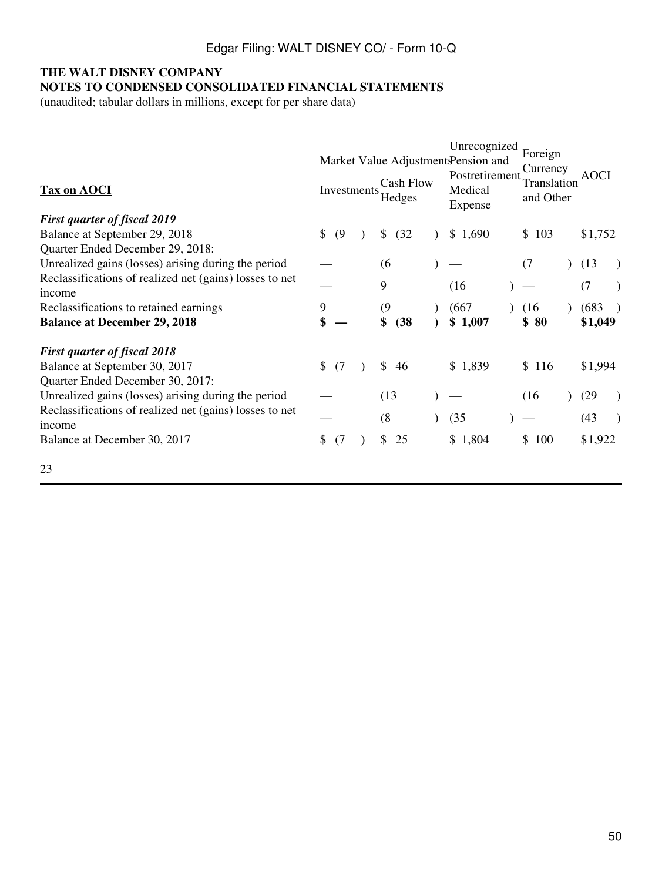## **NOTES TO CONDENSED CONSOLIDATED FINANCIAL STATEMENTS**

(unaudited; tabular dollars in millions, except for per share data)

| <b>Tax on AOCI</b>                                                | Market Value Adjustment Pension and<br><b>Cash Flow</b><br>Investments<br>Hedges |  |            | Unrecognized<br>Postretirement<br>Medical<br>Expense | Foreign<br>Currency<br>Translation<br>and Other |           | <b>AOCI</b> |         |  |
|-------------------------------------------------------------------|----------------------------------------------------------------------------------|--|------------|------------------------------------------------------|-------------------------------------------------|-----------|-------------|---------|--|
| <b>First quarter of fiscal 2019</b>                               |                                                                                  |  |            |                                                      |                                                 |           |             |         |  |
| Balance at September 29, 2018                                     | \$<br>(9)                                                                        |  | \$<br>(32) |                                                      | \$1,690                                         | \$103     |             | \$1,752 |  |
| Quarter Ended December 29, 2018:                                  |                                                                                  |  |            |                                                      |                                                 |           |             |         |  |
| Unrealized gains (losses) arising during the period               |                                                                                  |  | (6)        |                                                      |                                                 | (7)       |             | (13)    |  |
| Reclassifications of realized net (gains) losses to net<br>income |                                                                                  |  | 9          |                                                      | (16)                                            |           |             | (7)     |  |
| Reclassifications to retained earnings                            | 9                                                                                |  | (9)        |                                                      | (667)                                           | (16)      |             | (683)   |  |
| <b>Balance at December 29, 2018</b>                               | \$                                                                               |  | \$<br>(38) |                                                      | \$1,007                                         | \$80      |             | \$1,049 |  |
| <b>First quarter of fiscal 2018</b>                               |                                                                                  |  |            |                                                      |                                                 |           |             |         |  |
| Balance at September 30, 2017                                     | $\mathbb{S}$<br>(7)                                                              |  | \$<br>46   |                                                      | \$1,839                                         | \$116     |             | \$1,994 |  |
| Quarter Ended December 30, 2017:                                  |                                                                                  |  |            |                                                      |                                                 |           |             |         |  |
| Unrealized gains (losses) arising during the period               |                                                                                  |  | (13)       |                                                      |                                                 | (16)      |             | (29)    |  |
| Reclassifications of realized net (gains) losses to net<br>income |                                                                                  |  | (8)        |                                                      | (35)                                            |           |             | (43)    |  |
| Balance at December 30, 2017                                      | \$<br>(7)                                                                        |  | \$<br>25   |                                                      | \$1,804                                         | 100<br>\$ |             | \$1,922 |  |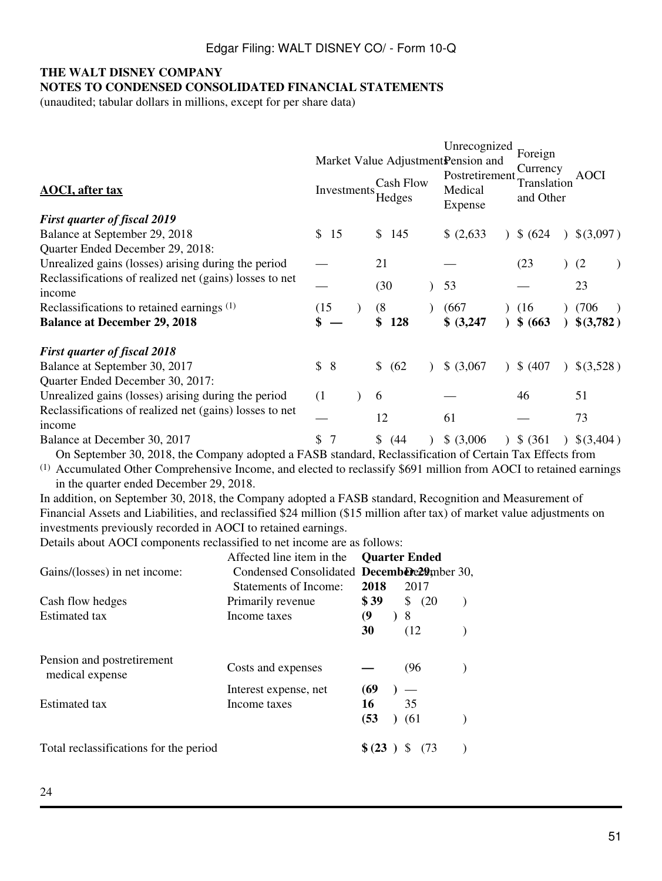**NOTES TO CONDENSED CONSOLIDATED FINANCIAL STATEMENTS**

(unaudited; tabular dollars in millions, except for per share data)

| <b>AOCI</b> , after tax                                                                                        | Investments |  | Market Value Adjustment Pension and<br><b>Cash Flow</b><br>Hedges |  | Unrecognized<br>Postretirement<br>Medical<br>Expense |  | Foreign<br>Currency<br>Translation<br>and Other |  | AOCI      |
|----------------------------------------------------------------------------------------------------------------|-------------|--|-------------------------------------------------------------------|--|------------------------------------------------------|--|-------------------------------------------------|--|-----------|
| <b>First quarter of fiscal 2019</b>                                                                            |             |  |                                                                   |  |                                                      |  |                                                 |  |           |
| Balance at September 29, 2018                                                                                  | \$15        |  | \$<br>145                                                         |  | \$ (2,633)                                           |  | \$ (624)                                        |  | \$(3,097) |
| Quarter Ended December 29, 2018:                                                                               |             |  | 21                                                                |  |                                                      |  | (23)                                            |  |           |
| Unrealized gains (losses) arising during the period<br>Reclassifications of realized net (gains) losses to net |             |  |                                                                   |  |                                                      |  |                                                 |  | (2)       |
| income                                                                                                         |             |  | (30)                                                              |  | 53                                                   |  |                                                 |  | 23        |
| Reclassifications to retained earnings $(1)$                                                                   | (15)        |  | (8)                                                               |  | (667                                                 |  | (16)                                            |  | (706)     |
| <b>Balance at December 29, 2018</b>                                                                            |             |  | \$<br>128                                                         |  | \$ (3,247)                                           |  | \$ (663)                                        |  | \$(3,782) |
| <b>First quarter of fiscal 2018</b>                                                                            |             |  |                                                                   |  |                                                      |  |                                                 |  |           |
| Balance at September 30, 2017                                                                                  | \$<br>- 8   |  | \$<br>(62)                                                        |  | \$ (3,067)                                           |  | \$ (407)                                        |  | \$(3,528) |
| Quarter Ended December 30, 2017:                                                                               |             |  |                                                                   |  |                                                      |  |                                                 |  |           |
| Unrealized gains (losses) arising during the period                                                            | (1)         |  | 6                                                                 |  |                                                      |  | 46                                              |  | 51        |
| Reclassifications of realized net (gains) losses to net<br>income                                              |             |  | 12                                                                |  | 61                                                   |  |                                                 |  | 73        |
| Balance at December 30, 2017                                                                                   | S           |  | \$<br>(44)                                                        |  | \$ (3,006)                                           |  | \$ (361)                                        |  | \$(3,404) |

On September 30, 2018, the Company adopted a FASB standard, Reclassification of Certain Tax Effects from

(1) Accumulated Other Comprehensive Income, and elected to reclassify \$691 million from AOCI to retained earnings in the quarter ended December 29, 2018.

In addition, on September 30, 2018, the Company adopted a FASB standard, Recognition and Measurement of Financial Assets and Liabilities, and reclassified \$24 million (\$15 million after tax) of market value adjustments on investments previously recorded in AOCI to retained earnings.

Details about AOCI components reclassified to net income are as follows:

|                                               | Affected line item in the                                               | <b>Ouarter Ended</b>  |           |      |         |  |
|-----------------------------------------------|-------------------------------------------------------------------------|-----------------------|-----------|------|---------|--|
| Gains/(losses) in net income:                 | Condensed Consolidated December 20, Condensed Consolidated December 20, |                       |           |      |         |  |
|                                               | Statements of Income:                                                   | 2018                  |           | 2017 |         |  |
| Cash flow hedges                              | Primarily revenue                                                       | \$39                  |           |      | \$ (20) |  |
| Estimated tax                                 | Income taxes                                                            | $\boldsymbol{\theta}$ | $\lambda$ | 8    |         |  |
|                                               |                                                                         | 30                    |           | (12) |         |  |
| Pension and postretirement<br>medical expense | Costs and expenses                                                      |                       |           | (96) |         |  |
|                                               | Interest expense, net                                                   | (69                   |           |      |         |  |
| Estimated tax                                 | Income taxes                                                            | 16                    |           | 35   |         |  |
|                                               |                                                                         | (53                   |           | (61) |         |  |
| Total reclassifications for the period        |                                                                         | \$ (23)               |           |      | (73     |  |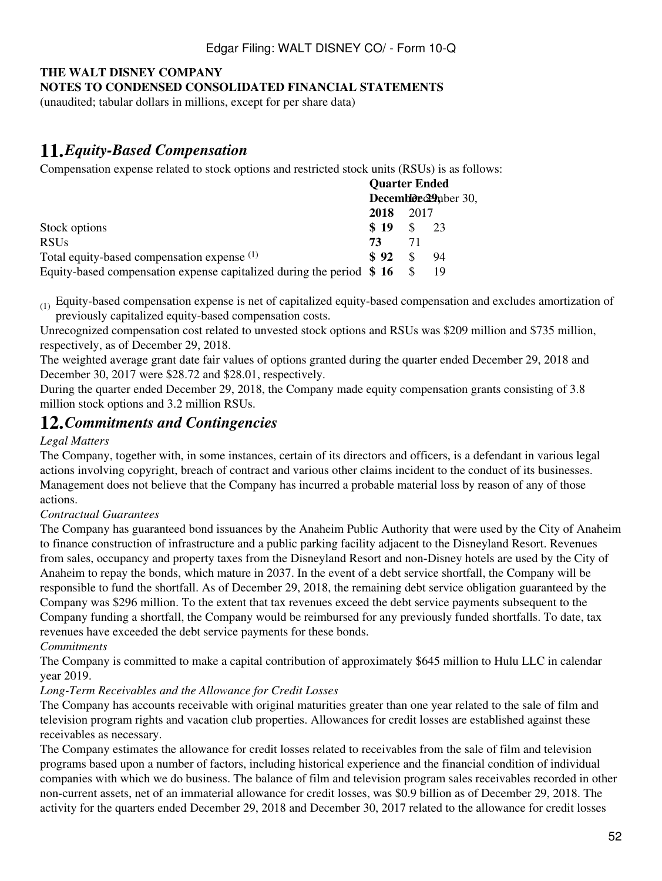#### **NOTES TO CONDENSED CONSOLIDATED FINANCIAL STATEMENTS**

(unaudited; tabular dollars in millions, except for per share data)

## **11.***Equity-Based Compensation*

Compensation expense related to stock options and restricted stock units (RSUs) is as follows:

|                                                                         |      | <b>Quarter Ended</b> |                       |  |
|-------------------------------------------------------------------------|------|----------------------|-----------------------|--|
|                                                                         |      |                      | Decemble e29 nber 30, |  |
|                                                                         | 2018 | 2017                 |                       |  |
| Stock options                                                           | \$19 |                      | 23                    |  |
| <b>RSUs</b>                                                             | 73   | 71                   |                       |  |
| Total equity-based compensation expense (1)                             | \$92 |                      | 94                    |  |
| Equity-based compensation expense capitalized during the period $\$$ 16 |      |                      | 19                    |  |

(1) Equity-based compensation expense is net of capitalized equity-based compensation and excludes amortization of previously capitalized equity-based compensation costs.

Unrecognized compensation cost related to unvested stock options and RSUs was \$209 million and \$735 million, respectively, as of December 29, 2018.

The weighted average grant date fair values of options granted during the quarter ended December 29, 2018 and December 30, 2017 were \$28.72 and \$28.01, respectively.

During the quarter ended December 29, 2018, the Company made equity compensation grants consisting of 3.8 million stock options and 3.2 million RSUs.

## **12.***Commitments and Contingencies*

#### *Legal Matters*

The Company, together with, in some instances, certain of its directors and officers, is a defendant in various legal actions involving copyright, breach of contract and various other claims incident to the conduct of its businesses. Management does not believe that the Company has incurred a probable material loss by reason of any of those actions.

#### *Contractual Guarantees*

The Company has guaranteed bond issuances by the Anaheim Public Authority that were used by the City of Anaheim to finance construction of infrastructure and a public parking facility adjacent to the Disneyland Resort. Revenues from sales, occupancy and property taxes from the Disneyland Resort and non-Disney hotels are used by the City of Anaheim to repay the bonds, which mature in 2037. In the event of a debt service shortfall, the Company will be responsible to fund the shortfall. As of December 29, 2018, the remaining debt service obligation guaranteed by the Company was \$296 million. To the extent that tax revenues exceed the debt service payments subsequent to the Company funding a shortfall, the Company would be reimbursed for any previously funded shortfalls. To date, tax revenues have exceeded the debt service payments for these bonds.

*Commitments*

The Company is committed to make a capital contribution of approximately \$645 million to Hulu LLC in calendar year 2019.

### *Long-Term Receivables and the Allowance for Credit Losses*

The Company has accounts receivable with original maturities greater than one year related to the sale of film and television program rights and vacation club properties. Allowances for credit losses are established against these receivables as necessary.

The Company estimates the allowance for credit losses related to receivables from the sale of film and television programs based upon a number of factors, including historical experience and the financial condition of individual companies with which we do business. The balance of film and television program sales receivables recorded in other non-current assets, net of an immaterial allowance for credit losses, was \$0.9 billion as of December 29, 2018. The activity for the quarters ended December 29, 2018 and December 30, 2017 related to the allowance for credit losses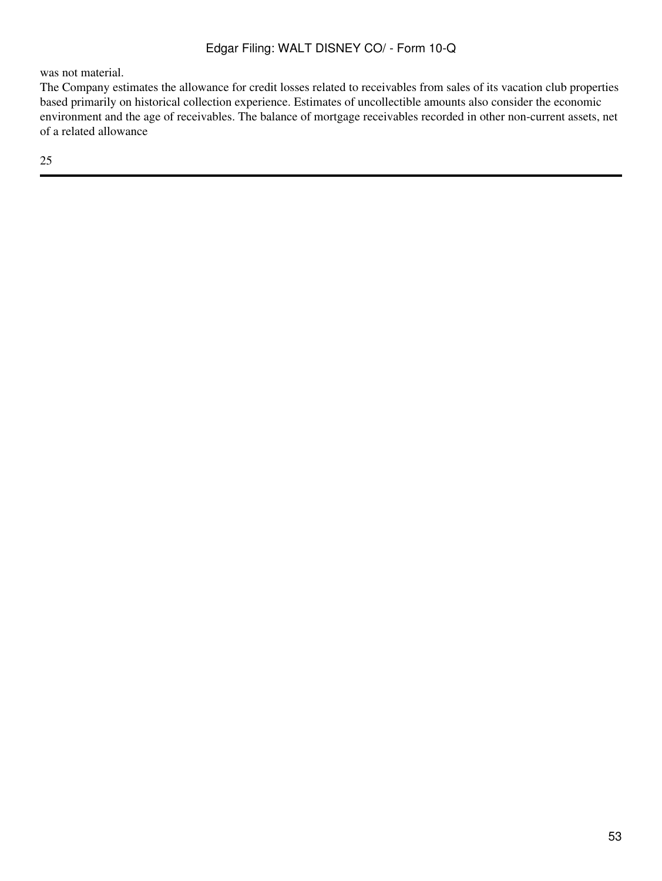was not material.

The Company estimates the allowance for credit losses related to receivables from sales of its vacation club properties based primarily on historical collection experience. Estimates of uncollectible amounts also consider the economic environment and the age of receivables. The balance of mortgage receivables recorded in other non-current assets, net of a related allowance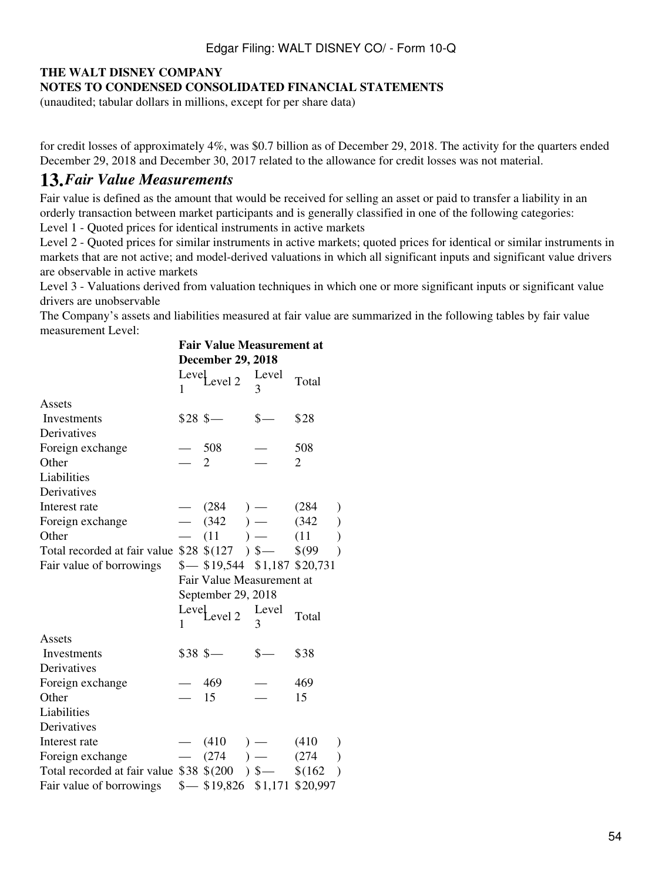### **NOTES TO CONDENSED CONSOLIDATED FINANCIAL STATEMENTS**

(unaudited; tabular dollars in millions, except for per share data)

for credit losses of approximately 4%, was \$0.7 billion as of December 29, 2018. The activity for the quarters ended December 29, 2018 and December 30, 2017 related to the allowance for credit losses was not material.

## **13.***Fair Value Measurements*

Fair value is defined as the amount that would be received for selling an asset or paid to transfer a liability in an orderly transaction between market participants and is generally classified in one of the following categories:

Level 1 - Quoted prices for identical instruments in active markets

Level 2 - Quoted prices for similar instruments in active markets; quoted prices for identical or similar instruments in markets that are not active; and model-derived valuations in which all significant inputs and significant value drivers are observable in active markets

Level 3 - Valuations derived from valuation techniques in which one or more significant inputs or significant value drivers are unobservable

The Company's assets and liabilities measured at fair value are summarized in the following tables by fair value measurement Level:

|                                                             | <b>Fair Value Measurement at</b> |                                          |            |       |  |  |  |
|-------------------------------------------------------------|----------------------------------|------------------------------------------|------------|-------|--|--|--|
|                                                             | $\mathbf{1}$                     | <b>December 29, 2018</b><br>Level 2      | Level<br>3 | Total |  |  |  |
| Assets                                                      |                                  |                                          |            |       |  |  |  |
| Investments                                                 |                                  | $$28$ \$                                 | $S-$       | \$28  |  |  |  |
| Derivatives                                                 |                                  |                                          |            |       |  |  |  |
| Foreign exchange                                            |                                  | $-508$                                   |            | 508   |  |  |  |
| Other                                                       |                                  | 2                                        |            | 2     |  |  |  |
| Liabilities                                                 |                                  |                                          |            |       |  |  |  |
| Derivatives                                                 |                                  |                                          |            |       |  |  |  |
| Interest rate                                               |                                  | $-$ (284) $-$                            |            | (284) |  |  |  |
| Foreign exchange                                            |                                  | $-$ (342 ) - (342 )<br>$-$ (11 ) - (11 ) |            |       |  |  |  |
| Other                                                       |                                  |                                          |            |       |  |  |  |
| Total recorded at fair value $$28 \$(127) \$$ $$-$$ $$(99)$ |                                  |                                          |            |       |  |  |  |
| Fair value of borrowings                                    |                                  | $\frac{$1,187}{$20,731}$                 |            |       |  |  |  |
|                                                             |                                  | Fair Value Measurement at                |            |       |  |  |  |
|                                                             |                                  | September 29, 2018                       |            |       |  |  |  |
|                                                             | $\mathbf{1}$                     | Level 2 Level                            | 3          | Total |  |  |  |
| Assets                                                      |                                  |                                          |            |       |  |  |  |
| Investments                                                 |                                  | $$38S -$                                 | $s-$       | \$38  |  |  |  |
| Derivatives                                                 |                                  |                                          |            |       |  |  |  |
| Foreign exchange                                            |                                  | $-469$                                   |            | 469   |  |  |  |
| Other                                                       | $-15$                            |                                          |            | 15    |  |  |  |
| Liabilities                                                 |                                  |                                          |            |       |  |  |  |
| Derivatives                                                 |                                  |                                          |            |       |  |  |  |
| Interest rate                                               |                                  | $-$ (410 ) $-$ (410 )                    |            |       |  |  |  |
| Foreign exchange                                            |                                  | $-$ (274 ) $-$ (274 )                    |            |       |  |  |  |
| Total recorded at fair value $$38 \$(200) \$--\$(162)$      |                                  |                                          |            |       |  |  |  |
| Fair value of borrowings                                    |                                  | $\frac{$-819,826}{$1,171 $20,997}$       |            |       |  |  |  |

| \$38           |
|----------------|
| 469            |
| 15             |
|                |
|                |
| (410)          |
| (274)<br>)     |
| \$(162)        |
| 1,171 \$20,997 |
|                |
|                |
|                |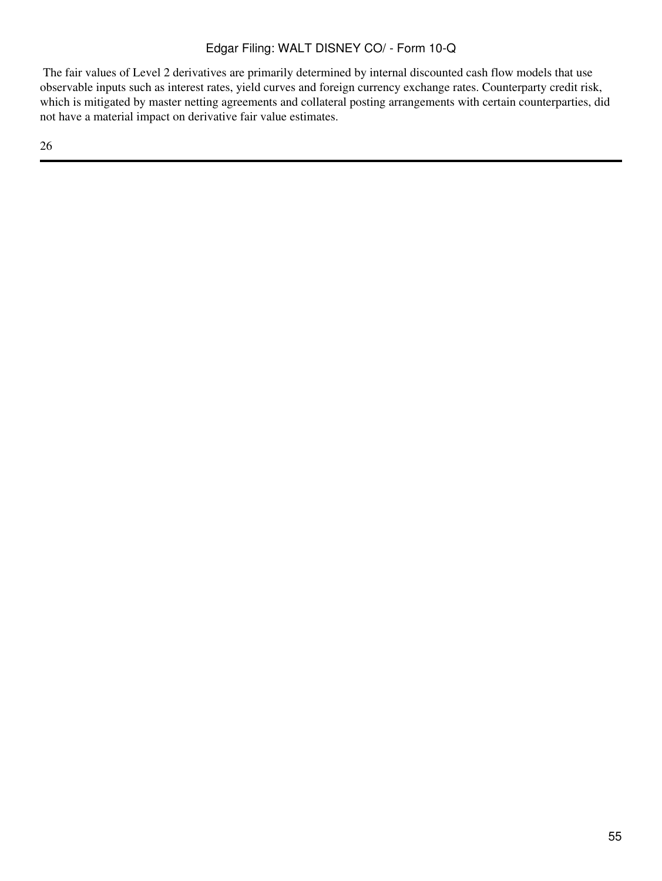The fair values of Level 2 derivatives are primarily determined by internal discounted cash flow models that use observable inputs such as interest rates, yield curves and foreign currency exchange rates. Counterparty credit risk, which is mitigated by master netting agreements and collateral posting arrangements with certain counterparties, did not have a material impact on derivative fair value estimates.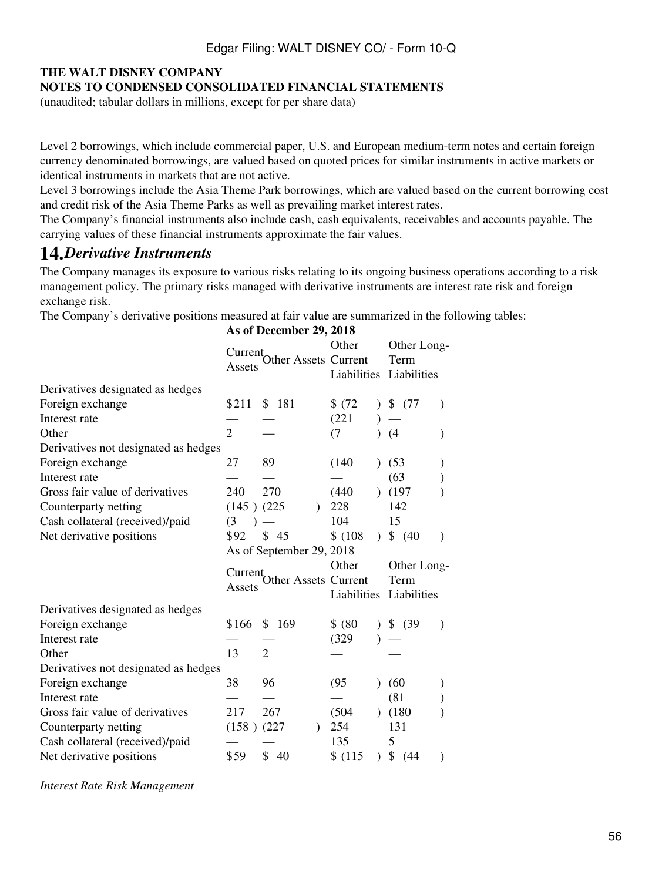### **NOTES TO CONDENSED CONSOLIDATED FINANCIAL STATEMENTS**

(unaudited; tabular dollars in millions, except for per share data)

Level 2 borrowings, which include commercial paper, U.S. and European medium-term notes and certain foreign currency denominated borrowings, are valued based on quoted prices for similar instruments in active markets or identical instruments in markets that are not active.

Level 3 borrowings include the Asia Theme Park borrowings, which are valued based on the current borrowing cost and credit risk of the Asia Theme Parks as well as prevailing market interest rates.

The Company's financial instruments also include cash, cash equivalents, receivables and accounts payable. The carrying values of these financial instruments approximate the fair values.

## **14.***Derivative Instruments*

The Company manages its exposure to various risks relating to its ongoing business operations according to a risk management policy. The primary risks managed with derivative instruments are interest rate risk and foreign exchange risk.

The Company's derivative positions measured at fair value are summarized in the following tables:

|                                      | As of December 29, 2018        |                          |         |               |                         |  |  |
|--------------------------------------|--------------------------------|--------------------------|---------|---------------|-------------------------|--|--|
|                                      |                                | Other                    |         | Other Long-   |                         |  |  |
|                                      | Current <sub>-</sub><br>Assets | Other Assets Current     |         |               | Term                    |  |  |
|                                      |                                |                          |         |               | Liabilities Liabilities |  |  |
| Derivatives designated as hedges     |                                |                          |         |               |                         |  |  |
| Foreign exchange                     | \$211                          | \$181                    | \$(72)  |               | \$(77)                  |  |  |
| Interest rate                        |                                |                          | (221)   |               |                         |  |  |
| Other                                | $\overline{2}$                 |                          | (7)     |               | (4)                     |  |  |
| Derivatives not designated as hedges |                                |                          |         |               |                         |  |  |
| Foreign exchange                     | 27                             | 89                       | (140)   |               | (53)                    |  |  |
| Interest rate                        |                                |                          |         |               | (63)                    |  |  |
| Gross fair value of derivatives      | 240                            | 270                      | (440)   |               | (197)                   |  |  |
| Counterparty netting                 | $(145)$ $(225)$                |                          | 228     |               | 142                     |  |  |
| Cash collateral (received)/paid      | (3                             |                          | 104     |               | 15                      |  |  |
| Net derivative positions             | \$92                           | \$45                     | \$(108) | $\mathcal{L}$ | \$ (40)                 |  |  |
|                                      |                                | As of September 29, 2018 |         |               |                         |  |  |
|                                      | Current                        |                          | Other   |               | Other Long-             |  |  |
|                                      | Assets                         | Other Assets Current     |         |               | Term                    |  |  |
|                                      |                                |                          |         |               | Liabilities Liabilities |  |  |
| Derivatives designated as hedges     |                                |                          |         |               |                         |  |  |
| Foreign exchange                     | \$166                          | \$169                    | \$ (80) |               | \$<br>(39               |  |  |
| Interest rate                        |                                |                          | (329)   |               |                         |  |  |
| Other                                | 13                             | $\overline{2}$           |         |               |                         |  |  |
| Derivatives not designated as hedges |                                |                          |         |               |                         |  |  |
| Foreign exchange                     | 38                             | 96                       | (95)    |               | (60)                    |  |  |
| Interest rate                        |                                |                          |         |               | (81)                    |  |  |
| Gross fair value of derivatives      | 217                            | 267                      | (504)   |               | (180)                   |  |  |
| Counterparty netting                 | $(158)$ $(227)$                | $\lambda$                | 254     |               | 131                     |  |  |
| Cash collateral (received)/paid      |                                |                          | 135     |               | 5                       |  |  |
| Net derivative positions             | \$59                           | \$40                     | \$(115) | $\lambda$     | \$ (44)                 |  |  |

*Interest Rate Risk Management*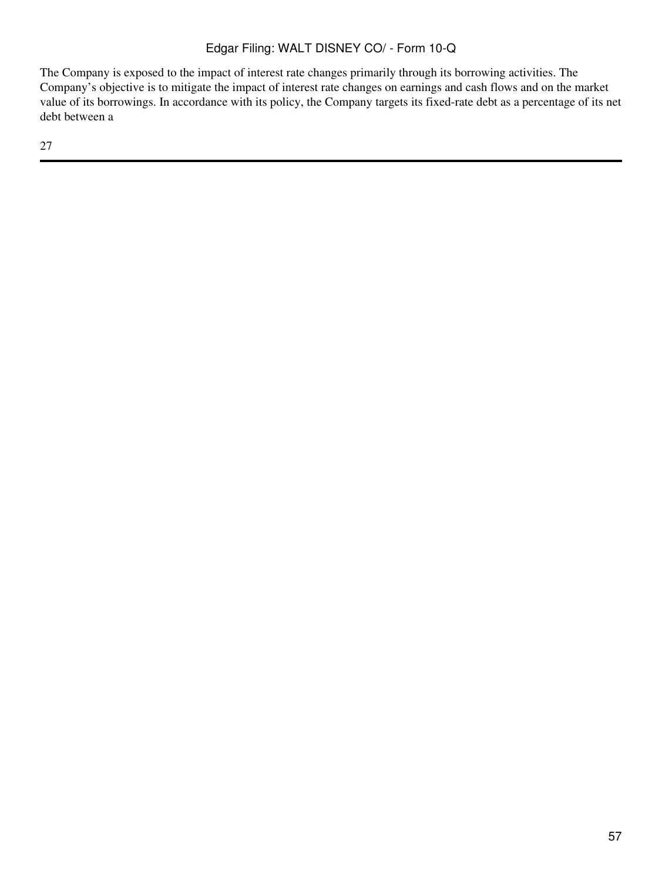The Company is exposed to the impact of interest rate changes primarily through its borrowing activities. The Company's objective is to mitigate the impact of interest rate changes on earnings and cash flows and on the market value of its borrowings. In accordance with its policy, the Company targets its fixed-rate debt as a percentage of its net debt between a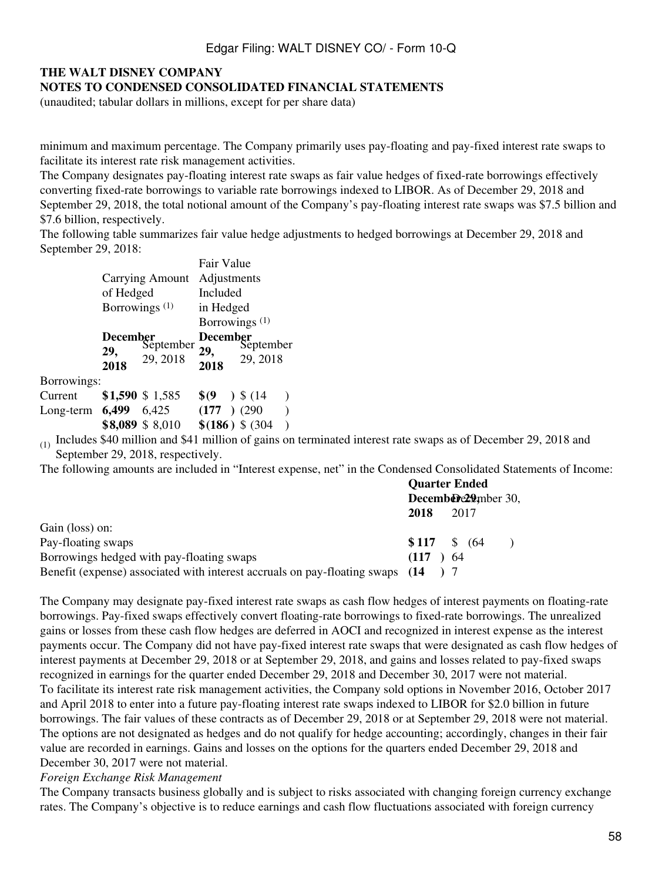#### **NOTES TO CONDENSED CONSOLIDATED FINANCIAL STATEMENTS**

(unaudited; tabular dollars in millions, except for per share data)

minimum and maximum percentage. The Company primarily uses pay-floating and pay-fixed interest rate swaps to facilitate its interest rate risk management activities.

The Company designates pay-floating interest rate swaps as fair value hedges of fixed-rate borrowings effectively converting fixed-rate borrowings to variable rate borrowings indexed to LIBOR. As of December 29, 2018 and September 29, 2018, the total notional amount of the Company's pay-floating interest rate swaps was \$7.5 billion and \$7.6 billion, respectively.

The following table summarizes fair value hedge adjustments to hedged borrowings at December 29, 2018 and September 29, 2018:

|                   |                           |                                   | Fair Value              |                                   |  |  |  |  |  |
|-------------------|---------------------------|-----------------------------------|-------------------------|-----------------------------------|--|--|--|--|--|
|                   |                           | <b>Carrying Amount</b>            | Adjustments<br>Included |                                   |  |  |  |  |  |
|                   | of Hedged                 |                                   |                         |                                   |  |  |  |  |  |
|                   | Borrowings <sup>(1)</sup> |                                   | in Hedged               |                                   |  |  |  |  |  |
|                   |                           |                                   |                         | Borrowings $(1)$                  |  |  |  |  |  |
|                   | 29,<br>2018               | December<br>September<br>29, 2018 | 29,<br>2018             | December<br>September<br>29, 2018 |  |  |  |  |  |
| Borrowings:       |                           |                                   |                         |                                   |  |  |  |  |  |
| Current           |                           | \$1,590 \$1,585                   | S (9                    | $)$ \$ (14)                       |  |  |  |  |  |
| Long-term $6,499$ |                           | 6,425                             | $(177)$ (290)           |                                   |  |  |  |  |  |
|                   |                           | \$8,089 \$8,010                   |                         | $$(186)$ \$ (304)                 |  |  |  |  |  |

 $(1)$  Includes \$40 million and \$41 million of gains on terminated interest rate swaps as of December 29, 2018 and September 29, 2018, respectively.

The following amounts are included in "Interest expense, net" in the Condensed Consolidated Statements of Income:

|                                                                                  |      | <b>Quarter Ended</b><br>December 29mber 30, |  |
|----------------------------------------------------------------------------------|------|---------------------------------------------|--|
|                                                                                  | 2018 | 2017                                        |  |
| Gain (loss) on:                                                                  |      |                                             |  |
| Pay-floating swaps                                                               |      | $$117 \t$ 64$                               |  |
| Borrowings hedged with pay-floating swaps                                        | (117 | $\rightarrow 64$                            |  |
| Benefit (expense) associated with interest accruals on pay-floating swaps (14) 7 |      |                                             |  |

The Company may designate pay-fixed interest rate swaps as cash flow hedges of interest payments on floating-rate borrowings. Pay-fixed swaps effectively convert floating-rate borrowings to fixed-rate borrowings. The unrealized gains or losses from these cash flow hedges are deferred in AOCI and recognized in interest expense as the interest payments occur. The Company did not have pay-fixed interest rate swaps that were designated as cash flow hedges of interest payments at December 29, 2018 or at September 29, 2018, and gains and losses related to pay-fixed swaps recognized in earnings for the quarter ended December 29, 2018 and December 30, 2017 were not material. To facilitate its interest rate risk management activities, the Company sold options in November 2016, October 2017 and April 2018 to enter into a future pay-floating interest rate swaps indexed to LIBOR for \$2.0 billion in future borrowings. The fair values of these contracts as of December 29, 2018 or at September 29, 2018 were not material. The options are not designated as hedges and do not qualify for hedge accounting; accordingly, changes in their fair value are recorded in earnings. Gains and losses on the options for the quarters ended December 29, 2018 and December 30, 2017 were not material.

#### *Foreign Exchange Risk Management*

The Company transacts business globally and is subject to risks associated with changing foreign currency exchange rates. The Company's objective is to reduce earnings and cash flow fluctuations associated with foreign currency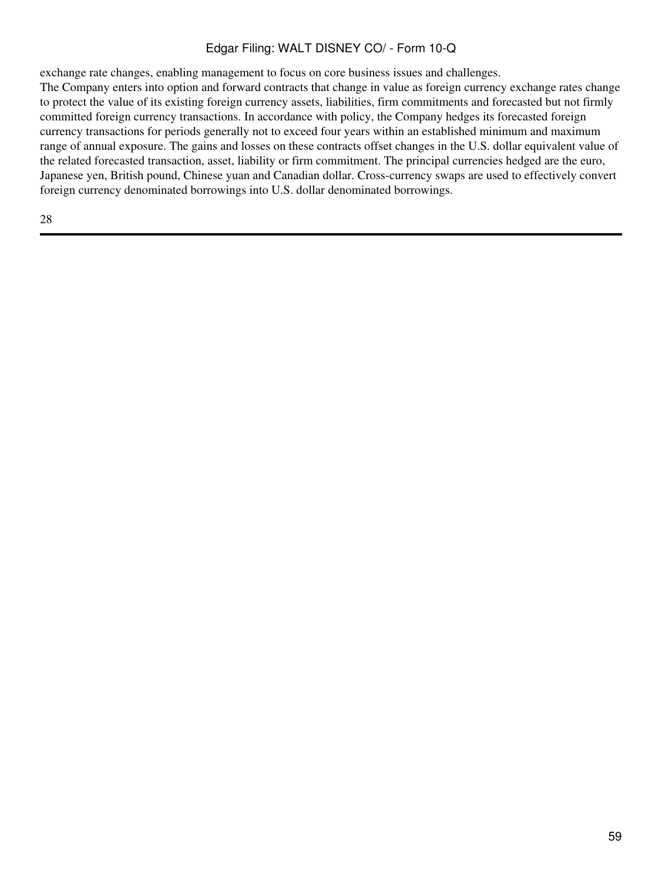exchange rate changes, enabling management to focus on core business issues and challenges.

The Company enters into option and forward contracts that change in value as foreign currency exchange rates change to protect the value of its existing foreign currency assets, liabilities, firm commitments and forecasted but not firmly committed foreign currency transactions. In accordance with policy, the Company hedges its forecasted foreign currency transactions for periods generally not to exceed four years within an established minimum and maximum range of annual exposure. The gains and losses on these contracts offset changes in the U.S. dollar equivalent value of the related forecasted transaction, asset, liability or firm commitment. The principal currencies hedged are the euro, Japanese yen, British pound, Chinese yuan and Canadian dollar. Cross-currency swaps are used to effectively convert foreign currency denominated borrowings into U.S. dollar denominated borrowings.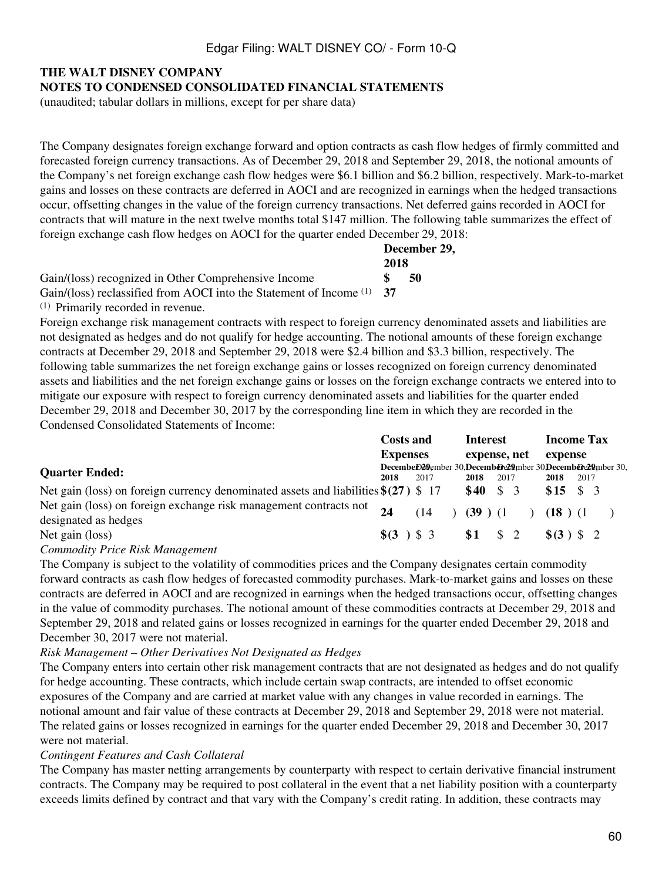#### **NOTES TO CONDENSED CONSOLIDATED FINANCIAL STATEMENTS**

(unaudited; tabular dollars in millions, except for per share data)

The Company designates foreign exchange forward and option contracts as cash flow hedges of firmly committed and forecasted foreign currency transactions. As of December 29, 2018 and September 29, 2018, the notional amounts of the Company's net foreign exchange cash flow hedges were \$6.1 billion and \$6.2 billion, respectively. Mark-to-market gains and losses on these contracts are deferred in AOCI and are recognized in earnings when the hedged transactions occur, offsetting changes in the value of the foreign currency transactions. Net deferred gains recorded in AOCI for contracts that will mature in the next twelve months total \$147 million. The following table summarizes the effect of foreign exchange cash flow hedges on AOCI for the quarter ended December 29, 2018:

|                                                                     |       | December 29, |  |
|---------------------------------------------------------------------|-------|--------------|--|
|                                                                     | 2018  |              |  |
| Gain/(loss) recognized in Other Comprehensive Income                |       | 50           |  |
| Gain/(loss) reclassified from AOCI into the Statement of Income (1) | $-37$ |              |  |
| <sup>(1)</sup> Primarily recorded in revenue.                       |       |              |  |

Foreign exchange risk management contracts with respect to foreign currency denominated assets and liabilities are not designated as hedges and do not qualify for hedge accounting. The notional amounts of these foreign exchange contracts at December 29, 2018 and September 29, 2018 were \$2.4 billion and \$3.3 billion, respectively. The following table summarizes the net foreign exchange gains or losses recognized on foreign currency denominated assets and liabilities and the net foreign exchange gains or losses on the foreign exchange contracts we entered into to mitigate our exposure with respect to foreign currency denominated assets and liabilities for the quarter ended December 29, 2018 and December 30, 2017 by the corresponding line item in which they are recorded in the Condensed Consolidated Statements of Income:

|                                                                                       | <b>Costs and</b> |  | <b>Interest</b> |                                 | <b>Income Tax</b> |                                                           |      |  |
|---------------------------------------------------------------------------------------|------------------|--|-----------------|---------------------------------|-------------------|-----------------------------------------------------------|------|--|
|                                                                                       | <b>Expenses</b>  |  |                 | expense, net                    |                   | expense                                                   |      |  |
| <b>Quarter Ended:</b>                                                                 |                  |  |                 |                                 |                   | DecembeD29ember 30.DecembeDe29mber 30.DecembeDe29mber 30. |      |  |
|                                                                                       | 2018             |  | 2017            | 2018                            | 2017              | 2018                                                      | 2017 |  |
| Net gain (loss) on foreign currency denominated assets and liabilities $\S(27)$ \$ 17 |                  |  |                 | \$40                            | - \$<br>-3        | $$15 \t$3$                                                |      |  |
| Net gain (loss) on foreign exchange risk management contracts not                     | 24               |  | (14)            | $(39)$ $(1)$                    |                   | (18)(1)                                                   |      |  |
| designated as hedges                                                                  |                  |  |                 |                                 |                   |                                                           |      |  |
| Net gain (loss)                                                                       |                  |  |                 | $\frac{1}{2}(3)$ \$ 3 \$ 1 \$ 2 |                   | $\{(3) \; 5 \; 2\}$                                       |      |  |
|                                                                                       |                  |  |                 |                                 |                   |                                                           |      |  |

*Commodity Price Risk Management*

The Company is subject to the volatility of commodities prices and the Company designates certain commodity forward contracts as cash flow hedges of forecasted commodity purchases. Mark-to-market gains and losses on these contracts are deferred in AOCI and are recognized in earnings when the hedged transactions occur, offsetting changes in the value of commodity purchases. The notional amount of these commodities contracts at December 29, 2018 and September 29, 2018 and related gains or losses recognized in earnings for the quarter ended December 29, 2018 and December 30, 2017 were not material.

#### *Risk Management – Other Derivatives Not Designated as Hedges*

The Company enters into certain other risk management contracts that are not designated as hedges and do not qualify for hedge accounting. These contracts, which include certain swap contracts, are intended to offset economic exposures of the Company and are carried at market value with any changes in value recorded in earnings. The notional amount and fair value of these contracts at December 29, 2018 and September 29, 2018 were not material. The related gains or losses recognized in earnings for the quarter ended December 29, 2018 and December 30, 2017 were not material.

#### *Contingent Features and Cash Collateral*

The Company has master netting arrangements by counterparty with respect to certain derivative financial instrument contracts. The Company may be required to post collateral in the event that a net liability position with a counterparty exceeds limits defined by contract and that vary with the Company's credit rating. In addition, these contracts may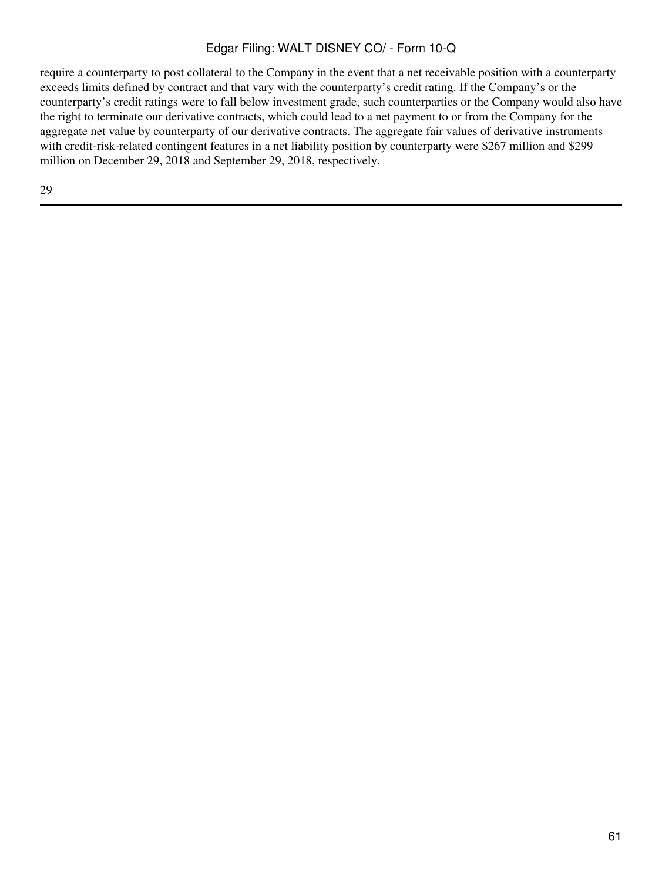require a counterparty to post collateral to the Company in the event that a net receivable position with a counterparty exceeds limits defined by contract and that vary with the counterparty's credit rating. If the Company's or the counterparty's credit ratings were to fall below investment grade, such counterparties or the Company would also have the right to terminate our derivative contracts, which could lead to a net payment to or from the Company for the aggregate net value by counterparty of our derivative contracts. The aggregate fair values of derivative instruments with credit-risk-related contingent features in a net liability position by counterparty were \$267 million and \$299 million on December 29, 2018 and September 29, 2018, respectively.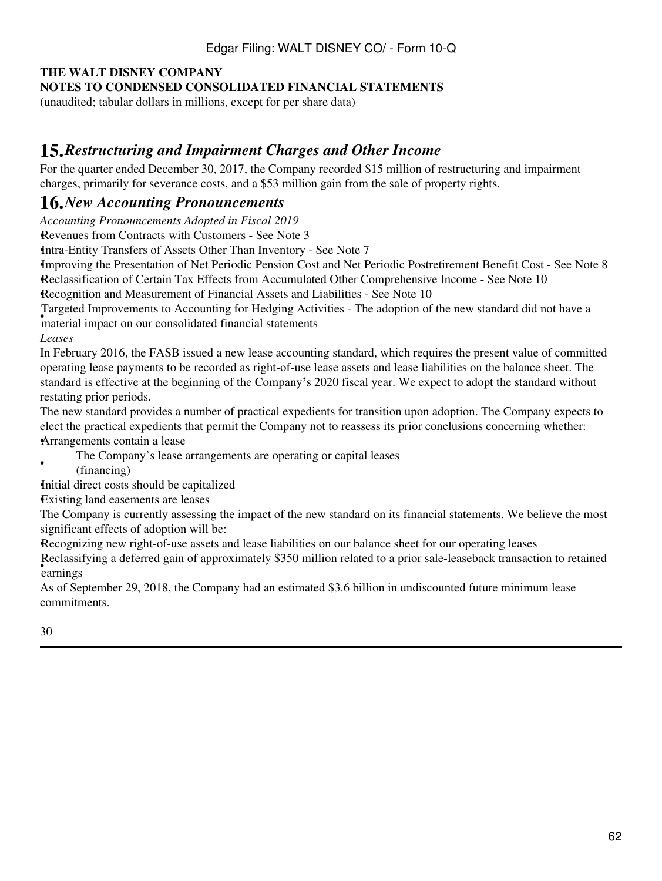### **NOTES TO CONDENSED CONSOLIDATED FINANCIAL STATEMENTS**

(unaudited; tabular dollars in millions, except for per share data)

## **15.***Restructuring and Impairment Charges and Other Income*

For the quarter ended December 30, 2017, the Company recorded \$15 million of restructuring and impairment charges, primarily for severance costs, and a \$53 million gain from the sale of property rights.

## **16.***New Accounting Pronouncements*

*Accounting Pronouncements Adopted in Fiscal 2019*

*•*Revenues from Contracts with Customers - See Note 3

•Intra-Entity Transfers of Assets Other Than Inventory - See Note 7

•Improving the Presentation of Net Periodic Pension Cost and Net Periodic Postretirement Benefit Cost - See Note 8 •Reclassification of Certain Tax Effects from Accumulated Other Comprehensive Income - See Note 10

•Recognition and Measurement of Financial Assets and Liabilities - See Note 10

• algebra improvements to recounting for redging red<br>material impact on our consolidated financial statements Targeted Improvements to Accounting for Hedging Activities - The adoption of the new standard did not have a

*Leases*

In February 2016, the FASB issued a new lease accounting standard, which requires the present value of committed operating lease payments to be recorded as right-of-use lease assets and lease liabilities on the balance sheet. The standard is effective at the beginning of the Company**'**s 2020 fiscal year. We expect to adopt the standard without restating prior periods.

The new standard provides a number of practical expedients for transition upon adoption. The Company expects to elect the practical expedients that permit the Company not to reassess its prior conclusions concerning whether: •Arrangements contain a lease

- The Company's lease arrangements are operating or capital leases
- (financing)

Initial direct costs should be capitalized

•Existing land easements are leases

The Company is currently assessing the impact of the new standard on its financial statements. We believe the most significant effects of adoption will be:

Recognizing new right-of-use assets and lease liabilities on our balance sheet for our operating leases

• earnings Reclassifying a deferred gain of approximately \$350 million related to a prior sale-leaseback transaction to retained

As of September 29, 2018, the Company had an estimated \$3.6 billion in undiscounted future minimum lease commitments.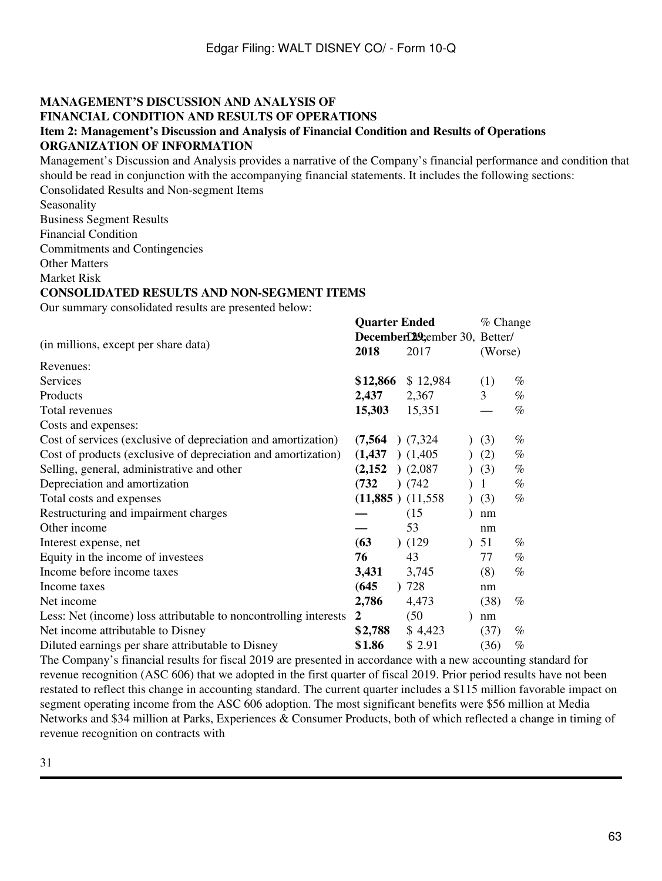#### **MANAGEMENT'S DISCUSSION AND ANALYSIS OF FINANCIAL CONDITION AND RESULTS OF OPERATIONS Item 2: Management's Discussion and Analysis of Financial Condition and Results of Operations ORGANIZATION OF INFORMATION**

Management's Discussion and Analysis provides a narrative of the Company's financial performance and condition that should be read in conjunction with the accompanying financial statements. It includes the following sections: Consolidated Results and Non-segment Items

Seasonality

Business Segment Results

Financial Condition

Commitments and Contingencies

Other Matters

Market Risk

#### **CONSOLIDATED RESULTS AND NON-SEGMENT ITEMS**

Our summary consolidated results are presented below:

|                                                                  | <b>Quarter Ended</b>  |                               | $%$ Change |      |  |  |
|------------------------------------------------------------------|-----------------------|-------------------------------|------------|------|--|--|
| (in millions, except per share data)                             |                       | December 22 ember 30, Better/ |            |      |  |  |
|                                                                  |                       | 2017                          | (Worse)    |      |  |  |
| Revenues:                                                        |                       |                               |            |      |  |  |
| Services                                                         | \$12,866              | \$12,984                      | (1)        | $\%$ |  |  |
| Products                                                         | 2,437                 | 2,367                         | 3          | $\%$ |  |  |
| Total revenues                                                   | 15,303                | 15,351                        |            | $\%$ |  |  |
| Costs and expenses:                                              |                       |                               |            |      |  |  |
| Cost of services (exclusive of depreciation and amortization)    | (7, 564)              | (7,324)                       | (3)        | $\%$ |  |  |
| Cost of products (exclusive of depreciation and amortization)    | (1, 437)              | (1,405)                       | (2)        | %    |  |  |
| Selling, general, administrative and other                       | (2,152)               | )(2,087)                      | (3)        | $\%$ |  |  |
| Depreciation and amortization                                    | (732)                 | (742)                         | 1          | $\%$ |  |  |
| Total costs and expenses                                         | $(11,885)$ $(11,558)$ | $\mathcal{L}$                 | (3)        | $\%$ |  |  |
| Restructuring and impairment charges                             |                       | (15)                          | nm         |      |  |  |
| Other income                                                     |                       | 53                            | nm         |      |  |  |
| Interest expense, net                                            | (63)                  | (129)                         | 51         | $\%$ |  |  |
| Equity in the income of investees                                | 76                    | 43                            | 77         | $\%$ |  |  |
| Income before income taxes                                       | 3,431                 | 3,745                         | (8)        | $\%$ |  |  |
| Income taxes                                                     | (645)<br>$\mathbf{r}$ | 728                           | nm         |      |  |  |
| Net income                                                       | 2,786                 | 4,473                         | (38)       | $\%$ |  |  |
| Less: Net (income) loss attributable to noncontrolling interests | 2                     | (50)                          | nm         |      |  |  |
| Net income attributable to Disney                                | \$2,788               | \$4,423                       | (37)       | $\%$ |  |  |
| Diluted earnings per share attributable to Disney                | \$1.86                | \$2.91                        | (36)       | $\%$ |  |  |

The Company's financial results for fiscal 2019 are presented in accordance with a new accounting standard for revenue recognition (ASC 606) that we adopted in the first quarter of fiscal 2019. Prior period results have not been restated to reflect this change in accounting standard. The current quarter includes a \$115 million favorable impact on segment operating income from the ASC 606 adoption. The most significant benefits were \$56 million at Media Networks and \$34 million at Parks, Experiences & Consumer Products, both of which reflected a change in timing of revenue recognition on contracts with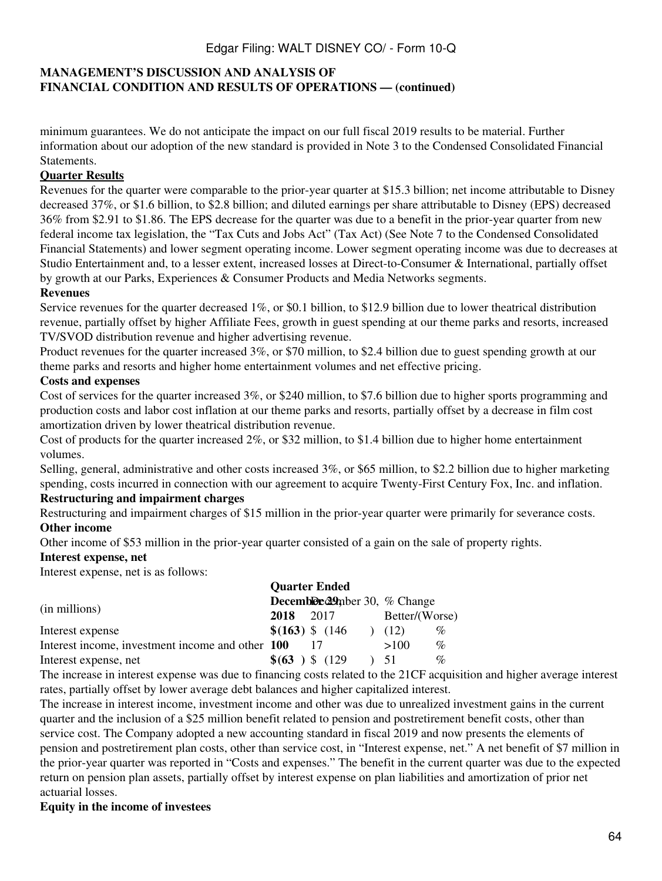## **MANAGEMENT'S DISCUSSION AND ANALYSIS OF FINANCIAL CONDITION AND RESULTS OF OPERATIONS — (continued)**

minimum guarantees. We do not anticipate the impact on our full fiscal 2019 results to be material. Further information about our adoption of the new standard is provided in Note 3 to the Condensed Consolidated Financial Statements.

### **Quarter Results**

Revenues for the quarter were comparable to the prior-year quarter at \$15.3 billion; net income attributable to Disney decreased 37%, or \$1.6 billion, to \$2.8 billion; and diluted earnings per share attributable to Disney (EPS) decreased 36% from \$2.91 to \$1.86. The EPS decrease for the quarter was due to a benefit in the prior-year quarter from new federal income tax legislation, the "Tax Cuts and Jobs Act" (Tax Act) (See Note 7 to the Condensed Consolidated Financial Statements) and lower segment operating income. Lower segment operating income was due to decreases at Studio Entertainment and, to a lesser extent, increased losses at Direct-to-Consumer & International, partially offset by growth at our Parks, Experiences & Consumer Products and Media Networks segments.

#### **Revenues**

Service revenues for the quarter decreased 1%, or \$0.1 billion, to \$12.9 billion due to lower theatrical distribution revenue, partially offset by higher Affiliate Fees, growth in guest spending at our theme parks and resorts, increased TV/SVOD distribution revenue and higher advertising revenue.

Product revenues for the quarter increased 3%, or \$70 million, to \$2.4 billion due to guest spending growth at our theme parks and resorts and higher home entertainment volumes and net effective pricing.

#### **Costs and expenses**

Cost of services for the quarter increased 3%, or \$240 million, to \$7.6 billion due to higher sports programming and production costs and labor cost inflation at our theme parks and resorts, partially offset by a decrease in film cost amortization driven by lower theatrical distribution revenue.

Cost of products for the quarter increased 2%, or \$32 million, to \$1.4 billion due to higher home entertainment volumes.

Selling, general, administrative and other costs increased 3%, or \$65 million, to \$2.2 billion due to higher marketing spending, costs incurred in connection with our agreement to acquire Twenty-First Century Fox, Inc. and inflation.

## **Restructuring and impairment charges**

Restructuring and impairment charges of \$15 million in the prior-year quarter were primarily for severance costs. **Other income**

Other income of \$53 million in the prior-year quarter consisted of a gain on the sale of property rights.

#### **Interest expense, net**

Interest expense, net is as follows:

|                                                  |      | <b>Quarter Ended</b>                 |                |      |
|--------------------------------------------------|------|--------------------------------------|----------------|------|
|                                                  |      | <b>Decemble 29</b> mber 30, % Change |                |      |
| (in millions)                                    | 2018 | 2017                                 | Better/(Worse) |      |
| Interest expense                                 |      | $$(163)$ \$ $(146)$                  | (12)           | $\%$ |
| Interest income, investment income and other 100 |      |                                      | >100           | $\%$ |
| Interest expense, net                            |      | $\$(63) \$(129)$                     | 51             | %    |

The increase in interest expense was due to financing costs related to the 21CF acquisition and higher average interest rates, partially offset by lower average debt balances and higher capitalized interest.

The increase in interest income, investment income and other was due to unrealized investment gains in the current quarter and the inclusion of a \$25 million benefit related to pension and postretirement benefit costs, other than service cost. The Company adopted a new accounting standard in fiscal 2019 and now presents the elements of pension and postretirement plan costs, other than service cost, in "Interest expense, net." A net benefit of \$7 million in the prior-year quarter was reported in "Costs and expenses." The benefit in the current quarter was due to the expected return on pension plan assets, partially offset by interest expense on plan liabilities and amortization of prior net actuarial losses.

#### **Equity in the income of investees**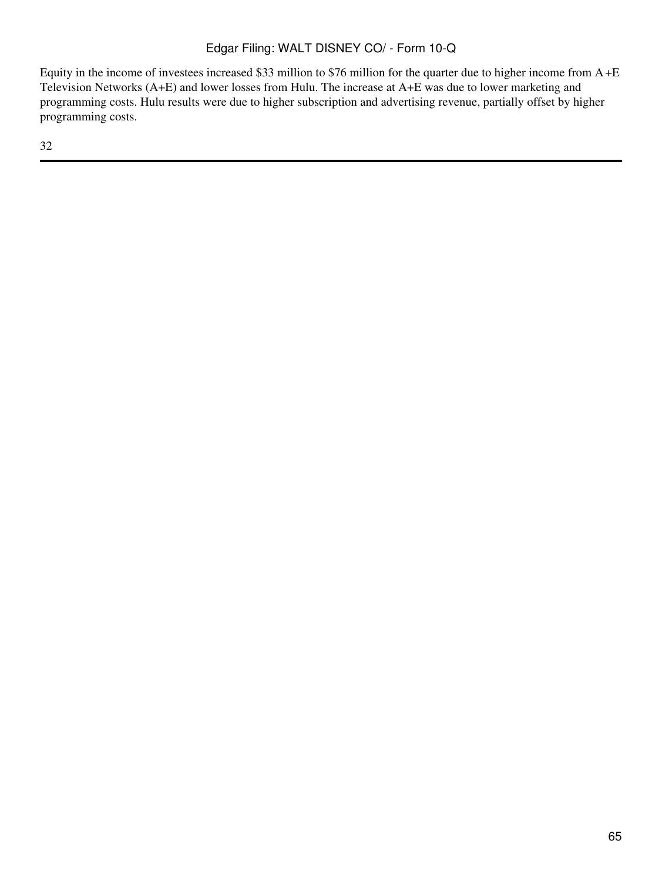Equity in the income of investees increased \$33 million to \$76 million for the quarter due to higher income from A+E Television Networks (A+E) and lower losses from Hulu. The increase at A+E was due to lower marketing and programming costs. Hulu results were due to higher subscription and advertising revenue, partially offset by higher programming costs.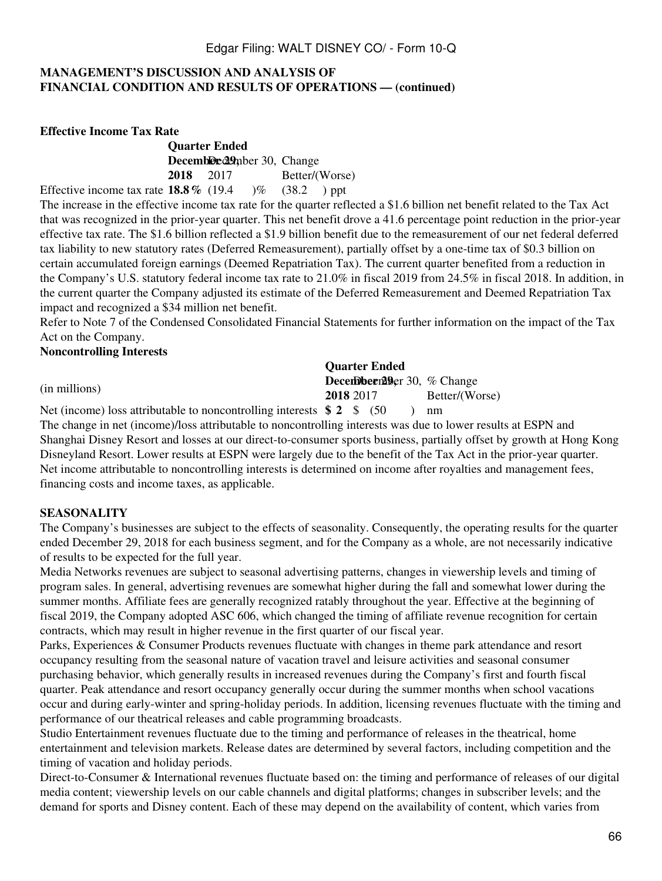### **MANAGEMENT'S DISCUSSION AND ANALYSIS OF FINANCIAL CONDITION AND RESULTS OF OPERATIONS — (continued)**

**Effective Income Tax Rate**

**Quarter Ended** Decembler<sup>29</sup>mber 30, Change **2018** 2017 Better/(Worse) Effective income tax rate  $18.8\%$  (19.4 )% (38.2 ) ppt

The increase in the effective income tax rate for the quarter reflected a \$1.6 billion net benefit related to the Tax Act that was recognized in the prior-year quarter. This net benefit drove a 41.6 percentage point reduction in the prior-year effective tax rate. The \$1.6 billion reflected a \$1.9 billion benefit due to the remeasurement of our net federal deferred tax liability to new statutory rates (Deferred Remeasurement), partially offset by a one-time tax of \$0.3 billion on certain accumulated foreign earnings (Deemed Repatriation Tax). The current quarter benefited from a reduction in the Company's U.S. statutory federal income tax rate to 21.0% in fiscal 2019 from 24.5% in fiscal 2018. In addition, in the current quarter the Company adjusted its estimate of the Deferred Remeasurement and Deemed Repatriation Tax impact and recognized a \$34 million net benefit.

Refer to Note 7 of the Condensed Consolidated Financial Statements for further information on the impact of the Tax Act on the Company.

#### **Noncontrolling Interests**

**Quarter Ended** (in millions) **December 29.**  $\%$  Change 10.  $\%$  Change 2017 **2018** 2017 Better/(Worse)

Net (income) loss attributable to noncontrolling interests **\$ 2** \$ (50 ) nm The change in net (income)/loss attributable to noncontrolling interests was due to lower results at ESPN and Shanghai Disney Resort and losses at our direct-to-consumer sports business, partially offset by growth at Hong Kong Disneyland Resort. Lower results at ESPN were largely due to the benefit of the Tax Act in the prior-year quarter. Net income attributable to noncontrolling interests is determined on income after royalties and management fees, financing costs and income taxes, as applicable.

#### **SEASONALITY**

The Company's businesses are subject to the effects of seasonality. Consequently, the operating results for the quarter ended December 29, 2018 for each business segment, and for the Company as a whole, are not necessarily indicative of results to be expected for the full year.

Media Networks revenues are subject to seasonal advertising patterns, changes in viewership levels and timing of program sales. In general, advertising revenues are somewhat higher during the fall and somewhat lower during the summer months. Affiliate fees are generally recognized ratably throughout the year. Effective at the beginning of fiscal 2019, the Company adopted ASC 606, which changed the timing of affiliate revenue recognition for certain contracts, which may result in higher revenue in the first quarter of our fiscal year.

Parks, Experiences & Consumer Products revenues fluctuate with changes in theme park attendance and resort occupancy resulting from the seasonal nature of vacation travel and leisure activities and seasonal consumer purchasing behavior, which generally results in increased revenues during the Company's first and fourth fiscal quarter. Peak attendance and resort occupancy generally occur during the summer months when school vacations occur and during early-winter and spring-holiday periods. In addition, licensing revenues fluctuate with the timing and performance of our theatrical releases and cable programming broadcasts.

Studio Entertainment revenues fluctuate due to the timing and performance of releases in the theatrical, home entertainment and television markets. Release dates are determined by several factors, including competition and the timing of vacation and holiday periods.

Direct-to-Consumer & International revenues fluctuate based on: the timing and performance of releases of our digital media content; viewership levels on our cable channels and digital platforms; changes in subscriber levels; and the demand for sports and Disney content. Each of these may depend on the availability of content, which varies from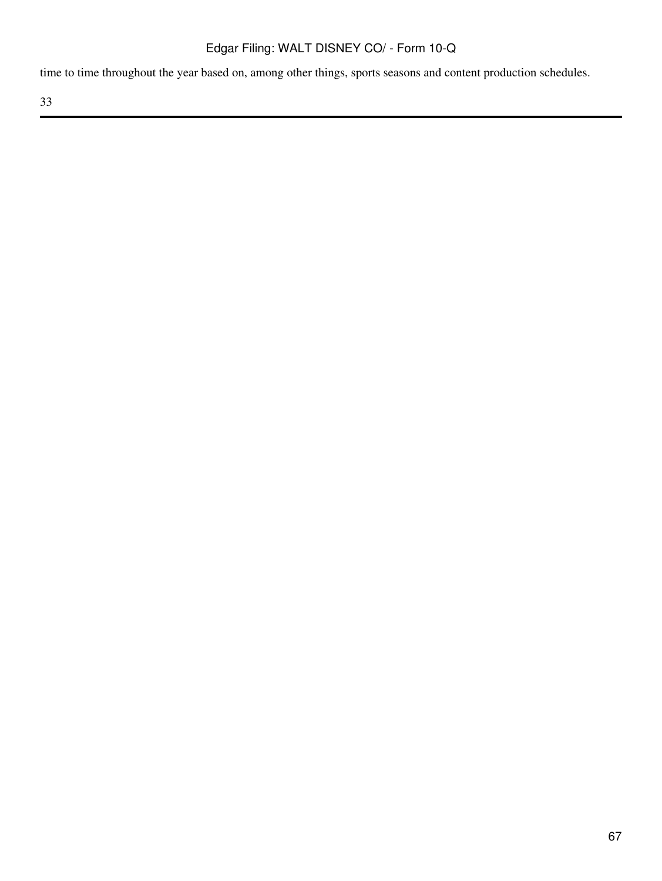time to time throughout the year based on, among other things, sports seasons and content production schedules.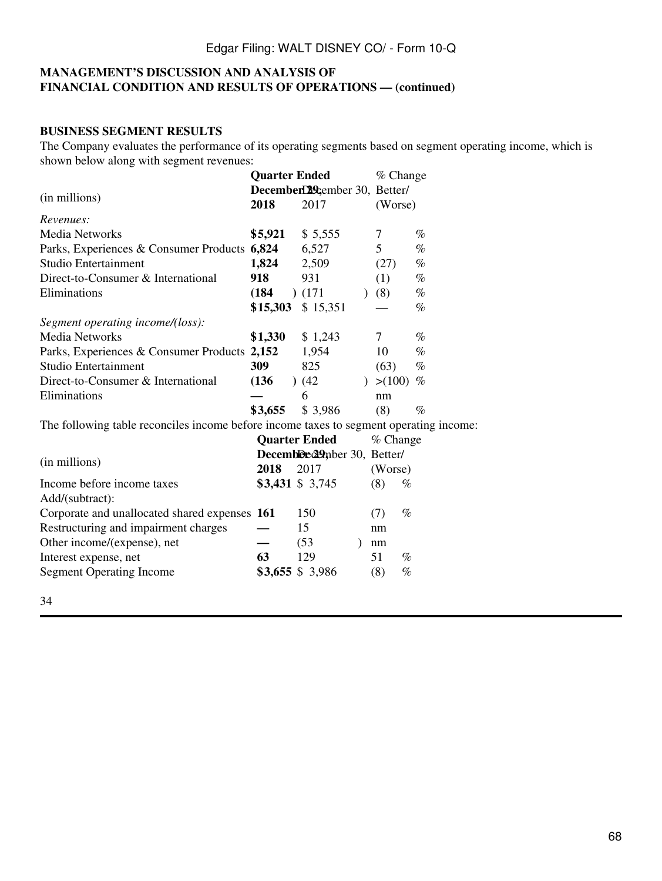### **MANAGEMENT'S DISCUSSION AND ANALYSIS OF FINANCIAL CONDITION AND RESULTS OF OPERATIONS — (continued)**

### **BUSINESS SEGMENT RESULTS**

The Company evaluates the performance of its operating segments based on segment operating income, which is shown below along with segment revenues:

|                                                                                        | <b>Quarter Ended</b> |                               | % Change    |      |
|----------------------------------------------------------------------------------------|----------------------|-------------------------------|-------------|------|
| (in millions)                                                                          |                      | December129cember 30, Better/ |             |      |
|                                                                                        | 2018                 | 2017                          | (Worse)     |      |
| Revenues:                                                                              |                      |                               |             |      |
| <b>Media Networks</b>                                                                  | \$5,921              | \$5,555                       | 7           | $\%$ |
| Parks, Experiences & Consumer Products 6,824                                           |                      | 6,527                         | 5           | %    |
| Studio Entertainment                                                                   | 1,824                | 2,509                         | (27)        | $\%$ |
| Direct-to-Consumer & International                                                     | 918                  | 931                           | (1)         | $\%$ |
| Eliminations                                                                           | (184)                | (171)                         | (8)         | $\%$ |
|                                                                                        | \$15,303             | \$15,351                      |             | $\%$ |
| Segment operating income/(loss):                                                       |                      |                               |             |      |
| <b>Media Networks</b>                                                                  | \$1,330              | \$1,243                       | $\tau$      | $\%$ |
| Parks, Experiences & Consumer Products 2,152                                           |                      | 1,954                         | 10          | $\%$ |
| <b>Studio Entertainment</b>                                                            | 309                  | 825                           | (63)        | $\%$ |
| Direct-to-Consumer & International                                                     | (136)                | (42)                          | ) > (100)   | %    |
| Eliminations                                                                           |                      | 6                             | nm          |      |
|                                                                                        | \$3,655              | \$3,986                       | (8)         | $\%$ |
| The following table reconciles income before income taxes to segment operating income: |                      |                               |             |      |
|                                                                                        |                      | <b>Quarter Ended</b>          | % Change    |      |
|                                                                                        |                      | Decembled 29mber 30, Better/  |             |      |
| (in millions)                                                                          | 2018                 | 2017                          | (Worse)     |      |
| Income before income taxes                                                             |                      | \$3,431 \$ 3,745              | (8)<br>$\%$ |      |
| Add/(subtract):                                                                        |                      |                               |             |      |
| Corporate and unallocated shared expenses 161                                          |                      | 150                           | $\%$<br>(7) |      |
| Restructuring and impairment charges                                                   |                      | 15                            | nm          |      |
| Other income/(expense), net                                                            |                      | (53)                          | nm          |      |
| Interest expense, net                                                                  | 63                   | 129                           | 51<br>$\%$  |      |
| <b>Segment Operating Income</b>                                                        |                      | $$3,655$ \$ 3,986             | (8)<br>$\%$ |      |
|                                                                                        |                      |                               |             |      |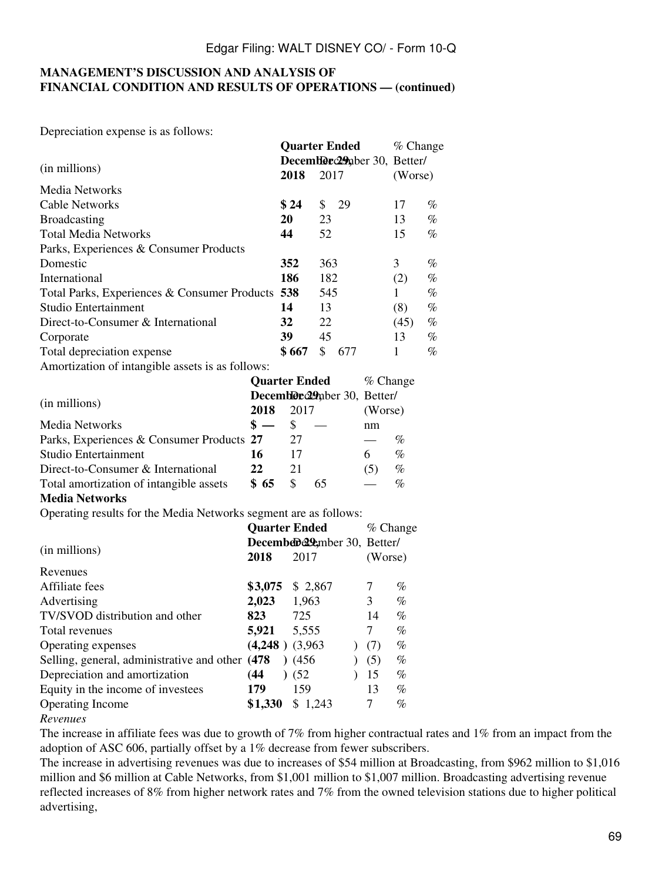#### **MANAGEMENT'S DISCUSSION AND ANALYSIS OF FINANCIAL CONDITION AND RESULTS OF OPERATIONS — (continued)**

Depreciation expense is as follows:

|                                                  |           | <b>Quarter Ended</b>          | $%$ Change |      |
|--------------------------------------------------|-----------|-------------------------------|------------|------|
| (in millions)                                    |           | Decemble c29 aber 30, Better/ |            |      |
|                                                  | 2018      | 2017                          | (Worse)    |      |
| Media Networks                                   |           |                               |            |      |
| <b>Cable Networks</b>                            | \$24      | \$<br>29                      | 17         | $\%$ |
| <b>Broadcasting</b>                              | <b>20</b> | 23                            | 13         | $\%$ |
| <b>Total Media Networks</b>                      | 44        | 52                            | 15         | $\%$ |
| Parks, Experiences & Consumer Products           |           |                               |            |      |
| Domestic                                         | 352       | 363                           | 3          | $\%$ |
| International                                    | 186       | 182                           | (2)        | $\%$ |
| Total Parks, Experiences & Consumer Products 538 |           | 545                           |            | $\%$ |
| Studio Entertainment                             | 14        | 13                            | (8)        | $\%$ |
| Direct-to-Consumer & International               | 32        | 22                            | (45)       | $\%$ |
| Corporate                                        | 39        | 45                            | 13         | $\%$ |
| Total depreciation expense                       | \$667     | \$<br>677                     | 1          | $\%$ |
| Amortization of intangible assets is as follows: |           |                               |            |      |

|                                           | <b>Quarter Ended</b> |                              |    | $%$ Change |      |
|-------------------------------------------|----------------------|------------------------------|----|------------|------|
|                                           |                      | Decemble 29 pber 30, Better/ |    |            |      |
| (in millions)                             | 2018                 | 2017                         |    | (Worse)    |      |
| Media Networks                            | $\mathbf{s} =$       |                              |    | nm         |      |
| Parks, Experiences & Consumer Products 27 |                      | 27                           |    |            | %    |
| Studio Entertainment                      | 16                   | 17                           |    | 6          | $\%$ |
| Direct-to-Consumer & International        | 22                   | 21                           |    | (5)        | $\%$ |
| Total amortization of intangible assets   | \$65                 |                              | 65 |            | %    |

#### **Media Networks**

Operating results for the Media Networks segment are as follows:

|                                                  |                              | <b>Quarter Ended</b> | $\%$ Change |      |
|--------------------------------------------------|------------------------------|----------------------|-------------|------|
|                                                  | December 29 mber 30, Better/ |                      |             |      |
| (in millions)                                    | 2018                         | 2017                 | (Worse)     |      |
| Revenues                                         |                              |                      |             |      |
| Affiliate fees                                   | \$3,075                      | \$2,867              | 7           | $\%$ |
| Advertising                                      | 2,023                        | 1,963                | 3           | %    |
| TV/SVOD distribution and other                   | 823                          | 725                  | 14          | %    |
| Total revenues                                   | 5,921                        | 5,555                | 7           | $\%$ |
| Operating expenses                               | $(4,248)$ $(3,963)$          |                      | (7)         | %    |
| Selling, general, administrative and other (478) |                              | (456)                | (5)         | %    |
| Depreciation and amortization                    | (44                          | (52)                 | 15          | $\%$ |
| Equity in the income of investees                | 179                          | 159                  | 13          | $\%$ |
| Operating Income                                 | \$1,330                      | \$1,243              | 7           | $\%$ |
| $\bf{D}$                                         |                              |                      |             |      |

*Revenues*

The increase in affiliate fees was due to growth of 7% from higher contractual rates and 1% from an impact from the adoption of ASC 606, partially offset by a 1% decrease from fewer subscribers.

The increase in advertising revenues was due to increases of \$54 million at Broadcasting, from \$962 million to \$1,016 million and \$6 million at Cable Networks, from \$1,001 million to \$1,007 million. Broadcasting advertising revenue reflected increases of 8% from higher network rates and 7% from the owned television stations due to higher political advertising,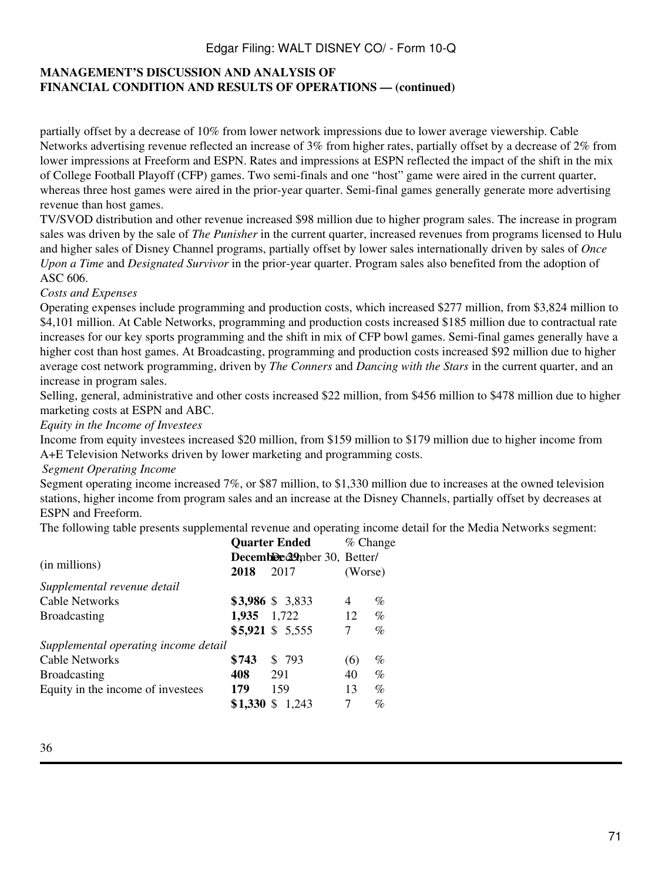## **MANAGEMENT'S DISCUSSION AND ANALYSIS OF FINANCIAL CONDITION AND RESULTS OF OPERATIONS — (continued)**

partially offset by a decrease of 10% from lower network impressions due to lower average viewership. Cable Networks advertising revenue reflected an increase of 3% from higher rates, partially offset by a decrease of 2% from lower impressions at Freeform and ESPN. Rates and impressions at ESPN reflected the impact of the shift in the mix of College Football Playoff (CFP) games. Two semi-finals and one "host" game were aired in the current quarter, whereas three host games were aired in the prior-year quarter. Semi-final games generally generate more advertising revenue than host games.

TV/SVOD distribution and other revenue increased \$98 million due to higher program sales. The increase in program sales was driven by the sale of *The Punisher* in the current quarter, increased revenues from programs licensed to Hulu and higher sales of Disney Channel programs, partially offset by lower sales internationally driven by sales of *Once Upon a Time* and *Designated Survivor* in the prior-year quarter. Program sales also benefited from the adoption of ASC 606.

#### *Costs and Expenses*

Operating expenses include programming and production costs, which increased \$277 million, from \$3,824 million to \$4,101 million. At Cable Networks, programming and production costs increased \$185 million due to contractual rate increases for our key sports programming and the shift in mix of CFP bowl games. Semi-final games generally have a higher cost than host games. At Broadcasting, programming and production costs increased \$92 million due to higher average cost network programming, driven by *The Conners* and *Dancing with the Stars* in the current quarter, and an increase in program sales.

Selling, general, administrative and other costs increased \$22 million, from \$456 million to \$478 million due to higher marketing costs at ESPN and ABC.

#### *Equity in the Income of Investees*

Income from equity investees increased \$20 million, from \$159 million to \$179 million due to higher income from A+E Television Networks driven by lower marketing and programming costs.

#### *Segment Operating Income*

Segment operating income increased 7%, or \$87 million, to \$1,330 million due to increases at the owned television stations, higher income from program sales and an increase at the Disney Channels, partially offset by decreases at ESPN and Freeform.

The following table presents supplemental revenue and operating income detail for the Media Networks segment:

| <b>Quarter Ended</b>                 |                              |                   | % Change |      |
|--------------------------------------|------------------------------|-------------------|----------|------|
|                                      | Decemble e29mber 30, Better/ |                   |          |      |
| (in millions)                        | 2018                         | 2017              | (Worse)  |      |
| Supplemental revenue detail          |                              |                   |          |      |
| <b>Cable Networks</b>                |                              | \$3,986 \$3,833   | 4        | %    |
| <b>Broadcasting</b>                  | 1,935 1,722                  |                   | 12       | $\%$ |
|                                      |                              | $$5,921$ \$ 5,555 | 7        | $\%$ |
| Supplemental operating income detail |                              |                   |          |      |
| <b>Cable Networks</b>                | \$743                        | \$793             | (6)      | %    |
| <b>Broadcasting</b>                  | 408                          | 291               | 40       | $\%$ |
| Equity in the income of investees    | 179                          | 159               | 13       | $\%$ |
|                                      | \$1,330                      | \$.<br>1.243      | 7        | %    |
|                                      |                              |                   |          |      |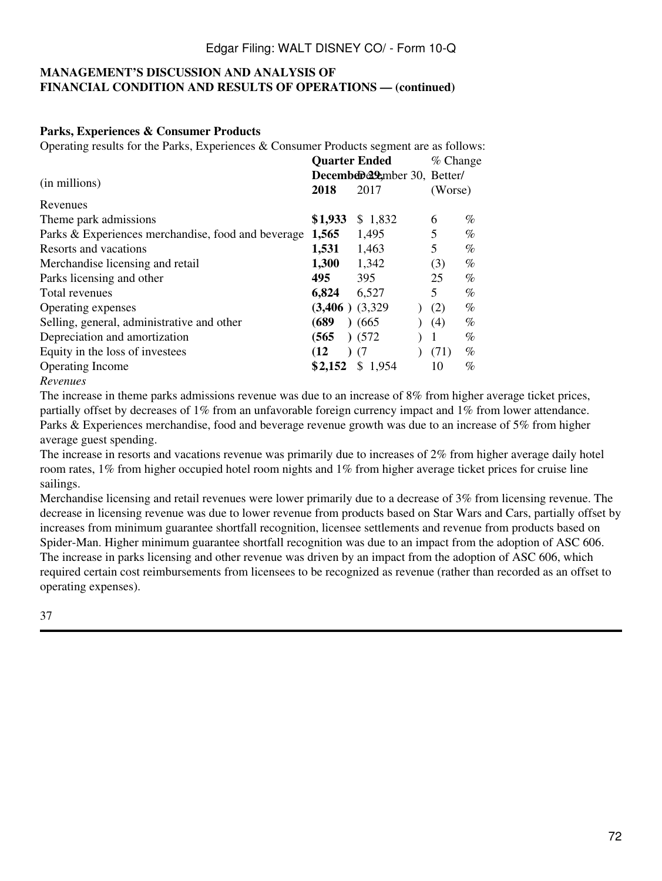#### **MANAGEMENT'S DISCUSSION AND ANALYSIS OF FINANCIAL CONDITION AND RESULTS OF OPERATIONS — (continued)**

#### **Parks, Experiences & Consumer Products**

Operating results for the Parks, Experiences & Consumer Products segment are as follows:

|                                                    |                     | <b>Quarter Ended</b>         |         |      |  |
|----------------------------------------------------|---------------------|------------------------------|---------|------|--|
| (in millions)                                      |                     | December 29 mber 30, Better/ |         |      |  |
|                                                    |                     | 2017                         | (Worse) |      |  |
| Revenues                                           |                     |                              |         |      |  |
| Theme park admissions                              | \$1,933             | \$1,832                      | 6       | %    |  |
| Parks & Experiences merchandise, food and beverage | 1,565               | 1,495                        | 5       | %    |  |
| Resorts and vacations                              | 1,531               | 1,463                        | 5       | %    |  |
| Merchandise licensing and retail                   | 1,300               | 1,342                        | (3)     | %    |  |
| Parks licensing and other                          | 495                 | 395                          | 25      | $\%$ |  |
| Total revenues                                     | 6,824               | 6,527                        | 5       | $\%$ |  |
| Operating expenses                                 | $(3,406)$ $(3,329)$ |                              | (2)     | %    |  |
| Selling, general, administrative and other         | (689                | (665)                        | (4)     | %    |  |
| Depreciation and amortization                      | (565                | (572)                        | 1       | %    |  |
| Equity in the loss of investees                    | (12)                | (7)                          | (71)    | %    |  |
| Operating Income                                   | \$2,152             | \$1,954                      | 10      | %    |  |
|                                                    |                     |                              |         |      |  |

#### *Revenues*

The increase in theme parks admissions revenue was due to an increase of 8% from higher average ticket prices, partially offset by decreases of 1% from an unfavorable foreign currency impact and 1% from lower attendance. Parks & Experiences merchandise, food and beverage revenue growth was due to an increase of 5% from higher average guest spending.

The increase in resorts and vacations revenue was primarily due to increases of 2% from higher average daily hotel room rates, 1% from higher occupied hotel room nights and 1% from higher average ticket prices for cruise line sailings.

Merchandise licensing and retail revenues were lower primarily due to a decrease of 3% from licensing revenue. The decrease in licensing revenue was due to lower revenue from products based on Star Wars and Cars, partially offset by increases from minimum guarantee shortfall recognition, licensee settlements and revenue from products based on Spider-Man. Higher minimum guarantee shortfall recognition was due to an impact from the adoption of ASC 606. The increase in parks licensing and other revenue was driven by an impact from the adoption of ASC 606, which required certain cost reimbursements from licensees to be recognized as revenue (rather than recorded as an offset to operating expenses).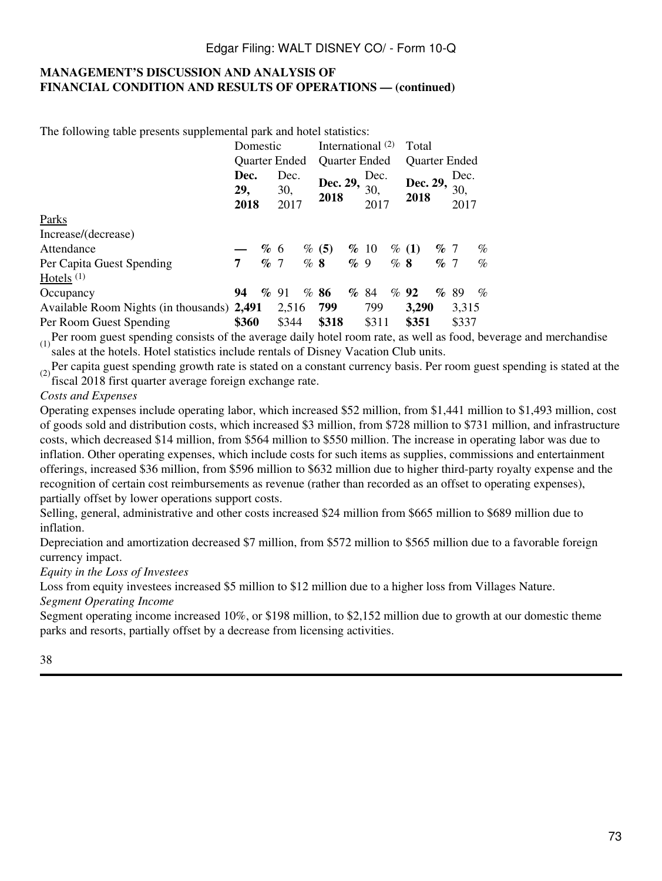### **MANAGEMENT'S DISCUSSION AND ANALYSIS OF FINANCIAL CONDITION AND RESULTS OF OPERATIONS — (continued)**

The following table presents supplemental park and hotel statistics:

|                                            | Domestic            |    |                     | International $(2)$ |                      |        |                     | Total  |                      |        |                     |      |
|--------------------------------------------|---------------------|----|---------------------|---------------------|----------------------|--------|---------------------|--------|----------------------|--------|---------------------|------|
|                                            | Quarter Ended       |    |                     |                     | <b>Quarter Ended</b> |        |                     |        | <b>Quarter Ended</b> |        |                     |      |
|                                            | Dec.<br>29,<br>2018 |    | Dec.<br>30,<br>2017 |                     | Dec. 29,<br>2018     |        | Dec.<br>30,<br>2017 |        | Dec. 29,<br>2018     |        | Dec.<br>30,<br>2017 |      |
| Parks                                      |                     |    |                     |                     |                      |        |                     |        |                      |        |                     |      |
| Increase/(decrease)                        |                     |    |                     |                     |                      |        |                     |        |                      |        |                     |      |
| Attendance                                 |                     | %6 |                     |                     | % (5)                |        | $\%$ 10             |        | $\%$ (1)             | $\%$ 7 |                     | $\%$ |
| Per Capita Guest Spending                  | 7                   | %7 |                     | %8                  |                      | $\%$ 9 |                     | $\%$ 8 |                      | $\%$ 7 |                     | $\%$ |
| Hotels <sup><math>(1)</math></sup>         |                     |    |                     |                     |                      |        |                     |        |                      |        |                     |      |
| Occupancy                                  | 94                  |    | $\%$ 91             | $\%$                | 86                   | $\%$   | -84                 |        | $\%$ 92              | $\%$   | -89                 | $\%$ |
| Available Room Nights (in thousands) 2,491 |                     |    | 2,516               |                     | 799                  |        | 799                 |        | 3,290                |        | 3,315               |      |
| Per Room Guest Spending                    | \$360               |    | \$344               |                     | \$318                |        | \$311               |        | \$351                |        | \$337               |      |

 $(1)$ Per room guest spending consists of the average daily hotel room rate, as well as food, beverage and merchandise sales at the hotels. Hotel statistics include rentals of Disney Vacation Club units.

 $(2)$  Per capita guest spending growth rate is stated on a constant currency basis. Per room guest spending is stated at the fiscal 2018 first quarter average foreign exchange rate.

#### *Costs and Expenses*

Operating expenses include operating labor, which increased \$52 million, from \$1,441 million to \$1,493 million, cost of goods sold and distribution costs, which increased \$3 million, from \$728 million to \$731 million, and infrastructure costs, which decreased \$14 million, from \$564 million to \$550 million. The increase in operating labor was due to inflation. Other operating expenses, which include costs for such items as supplies, commissions and entertainment offerings, increased \$36 million, from \$596 million to \$632 million due to higher third-party royalty expense and the recognition of certain cost reimbursements as revenue (rather than recorded as an offset to operating expenses), partially offset by lower operations support costs.

Selling, general, administrative and other costs increased \$24 million from \$665 million to \$689 million due to inflation.

Depreciation and amortization decreased \$7 million, from \$572 million to \$565 million due to a favorable foreign currency impact.

*Equity in the Loss of Investees*

Loss from equity investees increased \$5 million to \$12 million due to a higher loss from Villages Nature.

*Segment Operating Income*

Segment operating income increased 10%, or \$198 million, to \$2,152 million due to growth at our domestic theme parks and resorts, partially offset by a decrease from licensing activities.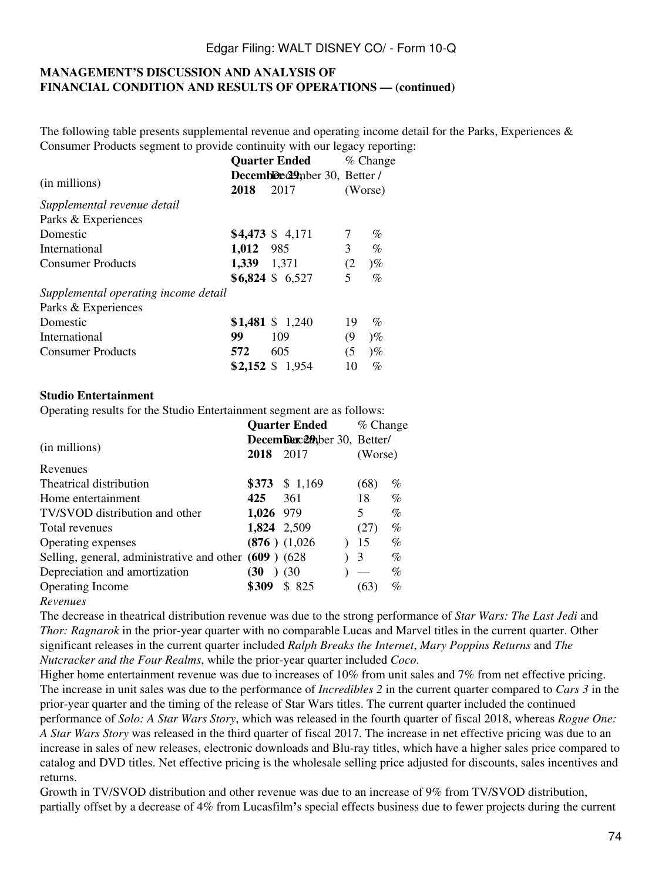### **MANAGEMENT'S DISCUSSION AND ANALYSIS OF FINANCIAL CONDITION AND RESULTS OF OPERATIONS — (continued)**

The following table presents supplemental revenue and operating income detail for the Parks, Experiences  $\&$ Consumer Products segment to provide continuity with our legacy reporting:

|                                      | <b>Quarter Ended</b>          |                   |     | $\%$ Change                 |  |  |
|--------------------------------------|-------------------------------|-------------------|-----|-----------------------------|--|--|
|                                      | Decemble e29mber 30, Better / |                   |     |                             |  |  |
| (in millions)                        | 2018                          | 2017              |     | (Worse)                     |  |  |
| Supplemental revenue detail          |                               |                   |     |                             |  |  |
| Parks & Experiences                  |                               |                   |     |                             |  |  |
| Domestic                             |                               | $$4,473$ \$ 4,171 |     | $\%$                        |  |  |
| International                        | 1,012 985                     |                   | 3   | $\%$                        |  |  |
| <b>Consumer Products</b>             | 1,339 1,371                   |                   | (2) | $\mathcal{O}_{\mathcal{O}}$ |  |  |
|                                      |                               | $$6,824$ \$ 6,527 | 5   | $\%$                        |  |  |
| Supplemental operating income detail |                               |                   |     |                             |  |  |
| Parks & Experiences                  |                               |                   |     |                             |  |  |
| Domestic                             |                               | $$1,481$ \$ 1,240 | 19  | $\%$                        |  |  |
| International                        | 99                            | 109               | (9  | $\mathcal{C}_{\infty}$      |  |  |
| <b>Consumer Products</b>             | 572                           | 605               | (5) | $)\%$                       |  |  |
|                                      |                               | $$2,152$ \$ 1,954 | 10  | $\%$                        |  |  |

#### **Studio Entertainment**

Operating results for the Studio Entertainment segment are as follows:

|                                                        | <b>Quarter Ended</b> | % Change                    |         |      |
|--------------------------------------------------------|----------------------|-----------------------------|---------|------|
|                                                        |                      | Decemberc20pber 30, Better/ |         |      |
| (in millions)                                          |                      | 2018 2017                   | (Worse) |      |
| Revenues                                               |                      |                             |         |      |
| Theatrical distribution                                |                      | $$373 \$1,169$              | (68)    | $\%$ |
| Home entertainment                                     | 425                  | 361                         | 18      | $\%$ |
| TV/SVOD distribution and other                         | 1,026 979            |                             | 5.      | $\%$ |
| Total revenues                                         |                      | 1,824 2,509                 | (27)    | $\%$ |
| Operating expenses                                     |                      | $(876)$ $(1,026)$           | 15      | $\%$ |
| Selling, general, administrative and other (609) (628) |                      |                             | 3       | $\%$ |
| Depreciation and amortization                          | (30                  | (30)                        |         | $\%$ |
| <b>Operating Income</b>                                | \$309                | \$825                       | (63)    | $\%$ |
| $\mathbf{n}$ and $\mathbf{n}$                          |                      |                             |         |      |

#### *Revenues*

The decrease in theatrical distribution revenue was due to the strong performance of *Star Wars: The Last Jedi* and *Thor: Ragnarok* in the prior-year quarter with no comparable Lucas and Marvel titles in the current quarter. Other significant releases in the current quarter included *Ralph Breaks the Internet*, *Mary Poppins Returns* and *The Nutcracker and the Four Realms*, while the prior-year quarter included *Coco*.

Higher home entertainment revenue was due to increases of 10% from unit sales and 7% from net effective pricing. The increase in unit sales was due to the performance of *Incredibles 2* in the current quarter compared to *Cars 3* in the prior-year quarter and the timing of the release of Star Wars titles. The current quarter included the continued performance of *Solo: A Star Wars Story*, which was released in the fourth quarter of fiscal 2018, whereas *Rogue One: A Star Wars Story* was released in the third quarter of fiscal 2017. The increase in net effective pricing was due to an increase in sales of new releases, electronic downloads and Blu-ray titles, which have a higher sales price compared to catalog and DVD titles. Net effective pricing is the wholesale selling price adjusted for discounts, sales incentives and returns.

Growth in TV/SVOD distribution and other revenue was due to an increase of 9% from TV/SVOD distribution, partially offset by a decrease of 4% from Lucasfilm**'**s special effects business due to fewer projects during the current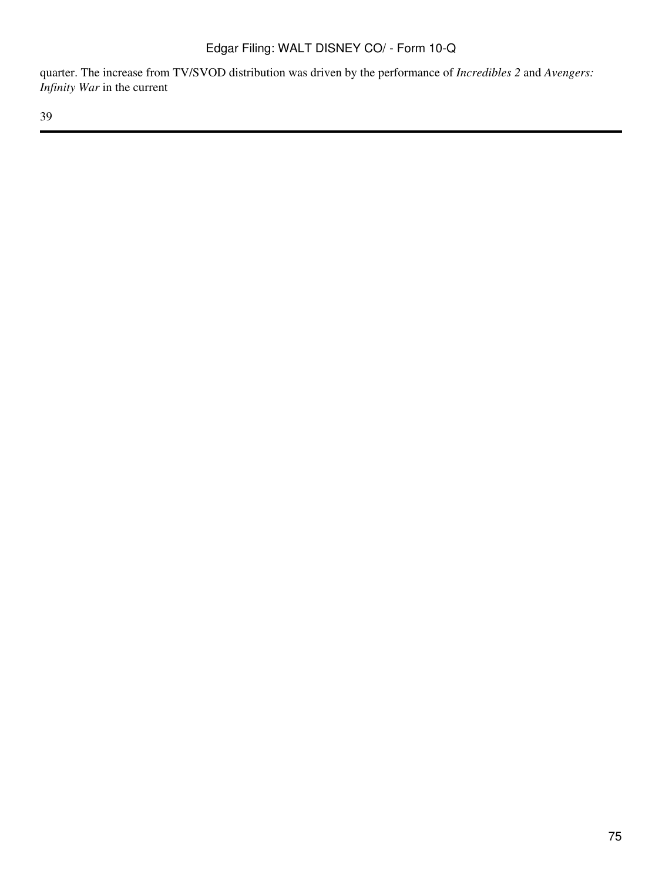quarter. The increase from TV/SVOD distribution was driven by the performance of *Incredibles 2* and *Avengers: Infinity War* in the current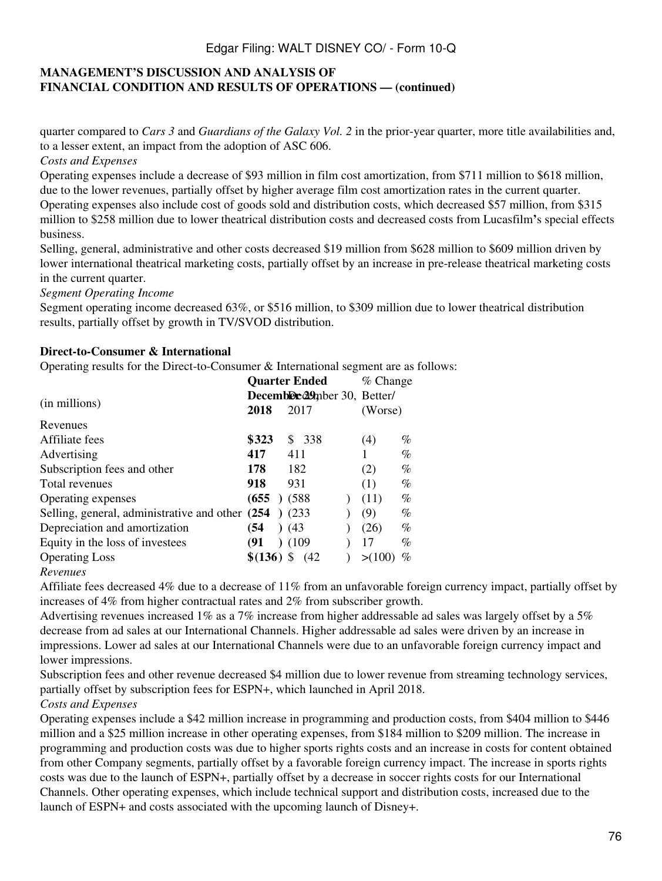## **MANAGEMENT'S DISCUSSION AND ANALYSIS OF FINANCIAL CONDITION AND RESULTS OF OPERATIONS — (continued)**

quarter compared to *Cars 3* and *Guardians of the Galaxy Vol. 2* in the prior-year quarter, more title availabilities and, to a lesser extent, an impact from the adoption of ASC 606.

*Costs and Expenses*

Operating expenses include a decrease of \$93 million in film cost amortization, from \$711 million to \$618 million, due to the lower revenues, partially offset by higher average film cost amortization rates in the current quarter. Operating expenses also include cost of goods sold and distribution costs, which decreased \$57 million, from \$315 million to \$258 million due to lower theatrical distribution costs and decreased costs from Lucasfilm**'**s special effects business.

Selling, general, administrative and other costs decreased \$19 million from \$628 million to \$609 million driven by lower international theatrical marketing costs, partially offset by an increase in pre-release theatrical marketing costs in the current quarter.

*Segment Operating Income*

Segment operating income decreased 63%, or \$516 million, to \$309 million due to lower theatrical distribution results, partially offset by growth in TV/SVOD distribution.

### **Direct-to-Consumer & International**

Operating results for the Direct-to-Consumer & International segment are as follows:

|                                                  |             |  |                             | <b>Quarter Ended</b> | $%$ Change |      |
|--------------------------------------------------|-------------|--|-----------------------------|----------------------|------------|------|
|                                                  |             |  | Decemble 29mber 30, Better/ |                      |            |      |
| (in millions)                                    |             |  | 2017                        |                      | (Worse)    |      |
| Revenues                                         |             |  |                             |                      |            |      |
| Affiliate fees                                   | \$323       |  |                             | \$ 338               | (4)        | $\%$ |
| Advertising                                      | 417         |  | 411                         |                      |            | %    |
| Subscription fees and other                      | 178         |  | 182                         |                      | (2)        | $\%$ |
| Total revenues                                   | 918         |  | 931                         |                      | (1)        | $\%$ |
| Operating expenses                               | (655)       |  | (588)                       |                      | (11)       | $\%$ |
| Selling, general, administrative and other (254) |             |  | (233)                       |                      | (9)        | $\%$ |
| Depreciation and amortization                    | (54         |  | (43)                        |                      | (26)       | %    |
| Equity in the loss of investees                  | (91         |  | (109)                       |                      | 17         | %    |
| <b>Operating Loss</b>                            | $$(136)$ \$ |  |                             | (42)                 | >0100      | %    |
|                                                  |             |  |                             |                      |            |      |

*Revenues*

Affiliate fees decreased 4% due to a decrease of 11% from an unfavorable foreign currency impact, partially offset by increases of 4% from higher contractual rates and 2% from subscriber growth.

Advertising revenues increased 1% as a 7% increase from higher addressable ad sales was largely offset by a 5% decrease from ad sales at our International Channels. Higher addressable ad sales were driven by an increase in impressions. Lower ad sales at our International Channels were due to an unfavorable foreign currency impact and lower impressions.

Subscription fees and other revenue decreased \$4 million due to lower revenue from streaming technology services, partially offset by subscription fees for ESPN+, which launched in April 2018.

#### *Costs and Expenses*

Operating expenses include a \$42 million increase in programming and production costs, from \$404 million to \$446 million and a \$25 million increase in other operating expenses, from \$184 million to \$209 million. The increase in programming and production costs was due to higher sports rights costs and an increase in costs for content obtained from other Company segments, partially offset by a favorable foreign currency impact. The increase in sports rights costs was due to the launch of ESPN+, partially offset by a decrease in soccer rights costs for our International Channels. Other operating expenses, which include technical support and distribution costs, increased due to the launch of ESPN+ and costs associated with the upcoming launch of Disney+.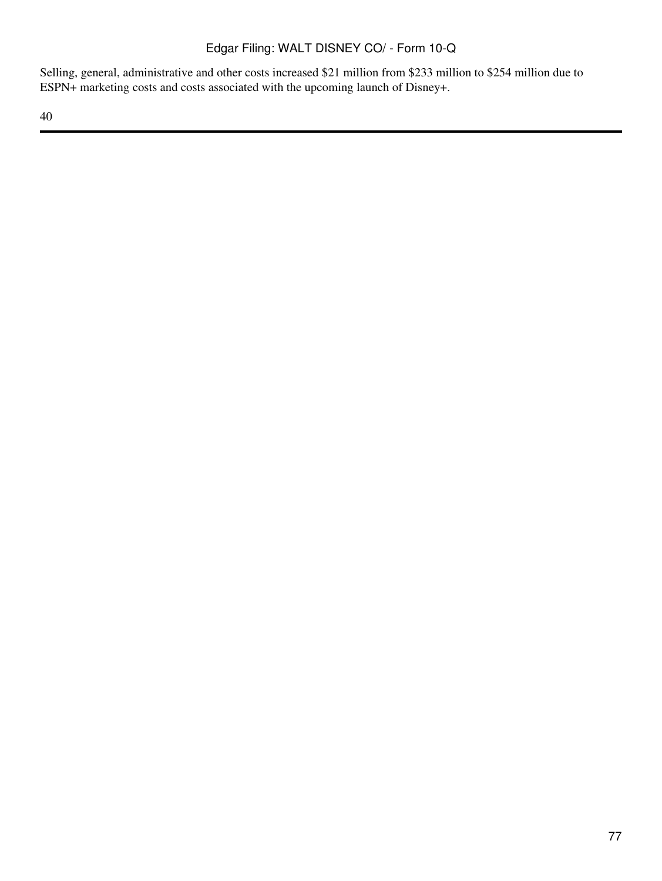Selling, general, administrative and other costs increased \$21 million from \$233 million to \$254 million due to ESPN+ marketing costs and costs associated with the upcoming launch of Disney+.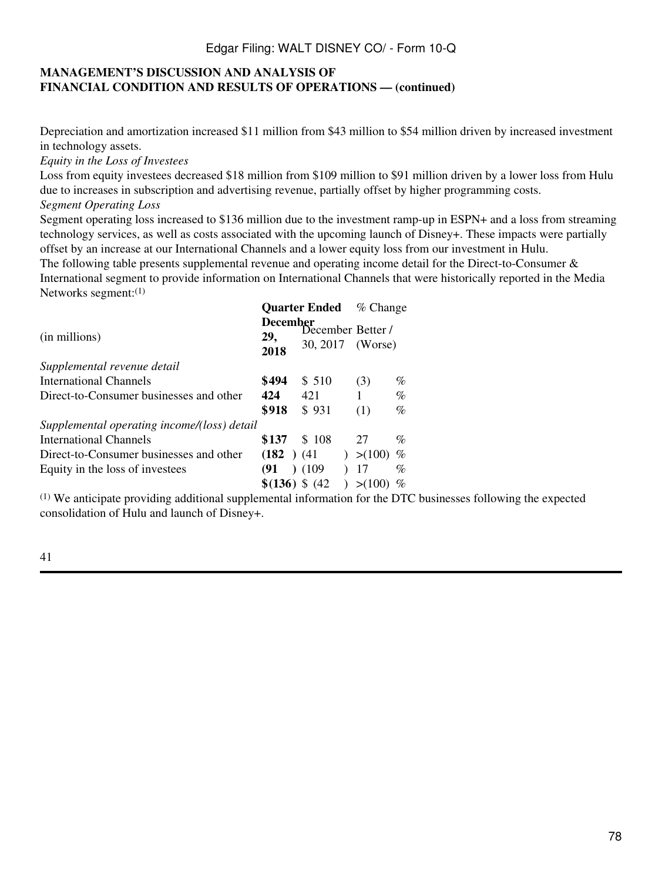### **MANAGEMENT'S DISCUSSION AND ANALYSIS OF FINANCIAL CONDITION AND RESULTS OF OPERATIONS — (continued)**

Depreciation and amortization increased \$11 million from \$43 million to \$54 million driven by increased investment in technology assets.

*Equity in the Loss of Investees*

Loss from equity investees decreased \$18 million from \$109 million to \$91 million driven by a lower loss from Hulu due to increases in subscription and advertising revenue, partially offset by higher programming costs. *Segment Operating Loss*

Segment operating loss increased to \$136 million due to the investment ramp-up in ESPN+ and a loss from streaming technology services, as well as costs associated with the upcoming launch of Disney+. These impacts were partially offset by an increase at our International Channels and a lower equity loss from our investment in Hulu.

The following table presents supplemental revenue and operating income detail for the Direct-to-Consumer  $\&$ International segment to provide information on International Channels that were historically reported in the Media Networks segment:(1)

|                                             |                                | <b>Quarter Ended</b>                  | $%$ Change |      |
|---------------------------------------------|--------------------------------|---------------------------------------|------------|------|
| (in millions)                               | <b>December</b><br>29,<br>2018 | December Better /<br>30, 2017 (Worse) |            |      |
| Supplemental revenue detail                 |                                |                                       |            |      |
| <b>International Channels</b>               | \$494                          | \$ 510                                | (3)        | $\%$ |
| Direct-to-Consumer businesses and other     | 424                            | 421                                   |            | $\%$ |
|                                             | \$918                          | \$931                                 | (1)        | $\%$ |
| Supplemental operating income/(loss) detail |                                |                                       |            |      |
| International Channels                      | \$137                          | \$108                                 | 27         | $\%$ |
| Direct-to-Consumer businesses and other     | $(182)$ $(41)$                 | $\mathcal{L}$                         | > (100)    | %    |
| Equity in the loss of investees             | (91)                           | (109)                                 | 17         | $\%$ |
|                                             | $$(136) \$ (42)$               |                                       | > (100)    |      |

(1) We anticipate providing additional supplemental information for the DTC businesses following the expected consolidation of Hulu and launch of Disney+.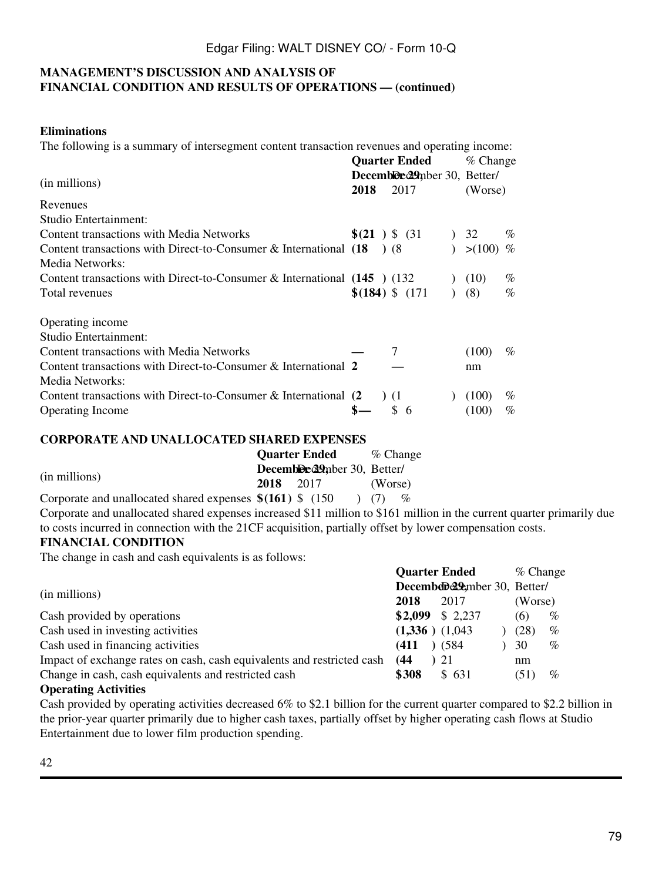#### **MANAGEMENT'S DISCUSSION AND ANALYSIS OF FINANCIAL CONDITION AND RESULTS OF OPERATIONS — (continued)**

### **Eliminations**

The following is a summary of intersegment content transaction revenues and operating income:

|                                                                            |      | <b>Quarter Ended</b>         | % Change |      |
|----------------------------------------------------------------------------|------|------------------------------|----------|------|
|                                                                            |      | Decembled 29mber 30, Better/ |          |      |
| (in millions)                                                              | 2018 | 2017                         | (Worse)  |      |
| Revenues                                                                   |      |                              |          |      |
| Studio Entertainment:                                                      |      |                              |          |      |
| Content transactions with Media Networks                                   |      | $\S(21)$ \$ (31)             | 32       | $\%$ |
| Content transactions with Direct-to-Consumer $\&$ International (18)       |      | (8)                          | > (100)  | $\%$ |
| Media Networks:                                                            |      |                              |          |      |
| Content transactions with Direct-to-Consumer & International $(145)$ (132) |      |                              | (10)     | $\%$ |
| Total revenues                                                             |      | $$(184)$ \$ $(171)$          | (8)      | $\%$ |
|                                                                            |      |                              |          |      |
| Operating income                                                           |      |                              |          |      |
| Studio Entertainment:                                                      |      |                              |          |      |
| Content transactions with Media Networks                                   |      | 7                            | (100)    | $\%$ |
| Content transactions with Direct-to-Consumer & International 2             |      |                              | nm       |      |
| Media Networks:                                                            |      |                              |          |      |
| Content transactions with Direct-to-Consumer & International (2)           |      | (1)                          | (100)    | $\%$ |
| <b>Operating Income</b>                                                    |      | \$.<br>-6                    | (100)    | $\%$ |

#### **CORPORATE AND UNALLOCATED SHARED EXPENSES**

|                                                             |      | <b>Quarter Ended</b>        | $\%$ Change |                                                                                                                        |  |  |  |
|-------------------------------------------------------------|------|-----------------------------|-------------|------------------------------------------------------------------------------------------------------------------------|--|--|--|
|                                                             |      | Decemble 29mber 30, Better/ |             |                                                                                                                        |  |  |  |
| (in millions)                                               | 2018 | 2017                        | (Worse)     |                                                                                                                        |  |  |  |
| Corporate and unallocated shared expenses $$(161)$ \; (150) |      |                             |             | $\mathcal{O}_0$                                                                                                        |  |  |  |
|                                                             |      |                             |             | Corporate and unallocated shared expenses increased \$11 million to \$161 million in the current quarter primarily due |  |  |  |

to costs incurred in connection with the 21CF acquisition, partially offset by lower compensation costs.

#### **FINANCIAL CONDITION**

The change in cash and cash equivalents is as follows:

|                                                                        |       | <b>Quarter Ended</b> | $%$ Change |      |
|------------------------------------------------------------------------|-------|----------------------|------------|------|
| (in millions)<br>2018                                                  |       | December 20, Better/ |            |      |
|                                                                        |       | 2017                 | (Worse)    |      |
| Cash provided by operations                                            |       | $$2,099$ \$ 2,237    | (6)        | $\%$ |
| Cash used in investing activities                                      |       | $(1,336)$ $(1,043)$  | (28)       | $\%$ |
| Cash used in financing activities                                      | (411  | (584)                | 30         | $\%$ |
| Impact of exchange rates on cash, cash equivalents and restricted cash | (44)  | 21                   | nm         |      |
| Change in cash, cash equivalents and restricted cash                   | \$308 | \$631                | (51)       | $\%$ |
| <b>Operating Activities</b>                                            |       |                      |            |      |

Cash provided by operating activities decreased 6% to \$2.1 billion for the current quarter compared to \$2.2 billion in the prior-year quarter primarily due to higher cash taxes, partially offset by higher operating cash flows at Studio Entertainment due to lower film production spending.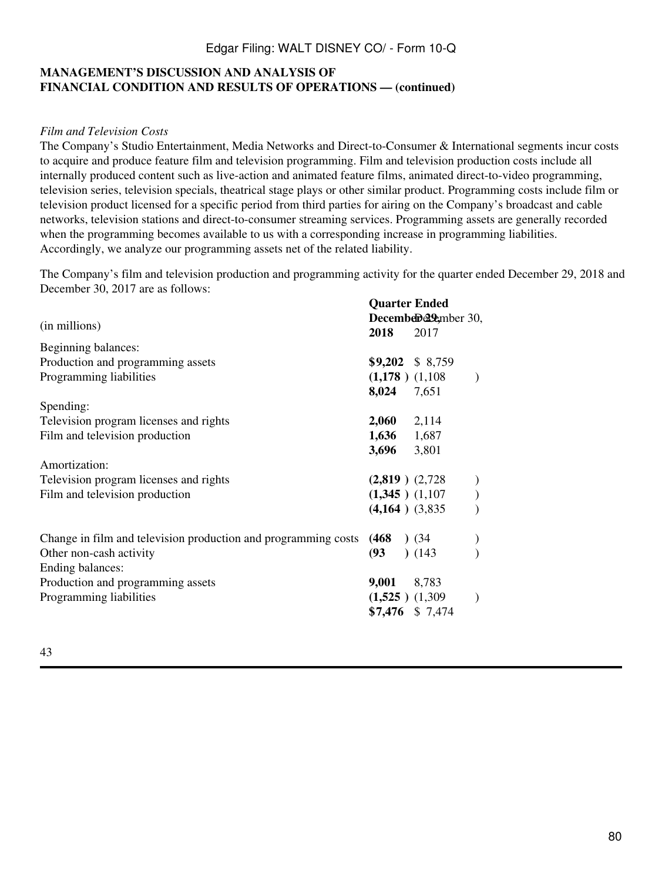### **MANAGEMENT'S DISCUSSION AND ANALYSIS OF FINANCIAL CONDITION AND RESULTS OF OPERATIONS — (continued)**

#### *Film and Television Costs*

The Company's Studio Entertainment, Media Networks and Direct-to-Consumer & International segments incur costs to acquire and produce feature film and television programming. Film and television production costs include all internally produced content such as live-action and animated feature films, animated direct-to-video programming, television series, television specials, theatrical stage plays or other similar product. Programming costs include film or television product licensed for a specific period from third parties for airing on the Company's broadcast and cable networks, television stations and direct-to-consumer streaming services. Programming assets are generally recorded when the programming becomes available to us with a corresponding increase in programming liabilities. Accordingly, we analyze our programming assets net of the related liability.

The Company's film and television production and programming activity for the quarter ended December 29, 2018 and December 30, 2017 are as follows:

|                                                                | <b>Quarter Ended</b> |                        |               |  |  |  |  |
|----------------------------------------------------------------|----------------------|------------------------|---------------|--|--|--|--|
|                                                                |                      | December 29 appear 30, |               |  |  |  |  |
| (in millions)                                                  | 2018                 | 2017                   |               |  |  |  |  |
| Beginning balances:                                            |                      |                        |               |  |  |  |  |
| Production and programming assets                              |                      | $$9,202 \$8,759$       |               |  |  |  |  |
| Programming liabilities                                        | $(1,178)$ $(1,108)$  |                        | $\mathcal{E}$ |  |  |  |  |
|                                                                | 8,024 7,651          |                        |               |  |  |  |  |
| Spending:                                                      |                      |                        |               |  |  |  |  |
| Television program licenses and rights                         | $2,060$ $2,114$      |                        |               |  |  |  |  |
| Film and television production                                 | $1,636$ 1,687        |                        |               |  |  |  |  |
|                                                                | 3,696 3,801          |                        |               |  |  |  |  |
| Amortization:                                                  |                      |                        |               |  |  |  |  |
| Television program licenses and rights                         |                      | $(2,819)$ $(2,728)$    |               |  |  |  |  |
| Film and television production                                 |                      | $(1,345)$ $(1,107)$    |               |  |  |  |  |
|                                                                |                      | $(4,164)$ $(3,835)$    |               |  |  |  |  |
| Change in film and television production and programming costs | $(468)$ $(34)$       |                        |               |  |  |  |  |
| Other non-cash activity                                        | (93)                 | (143)                  |               |  |  |  |  |
| Ending balances:                                               |                      |                        |               |  |  |  |  |
| Production and programming assets                              | 9,001 8,783          |                        |               |  |  |  |  |
| Programming liabilities                                        |                      | $(1,525)$ $(1,309)$    | $\mathcal{E}$ |  |  |  |  |
|                                                                |                      | $$7,476$ \$ 7,474      |               |  |  |  |  |
|                                                                |                      |                        |               |  |  |  |  |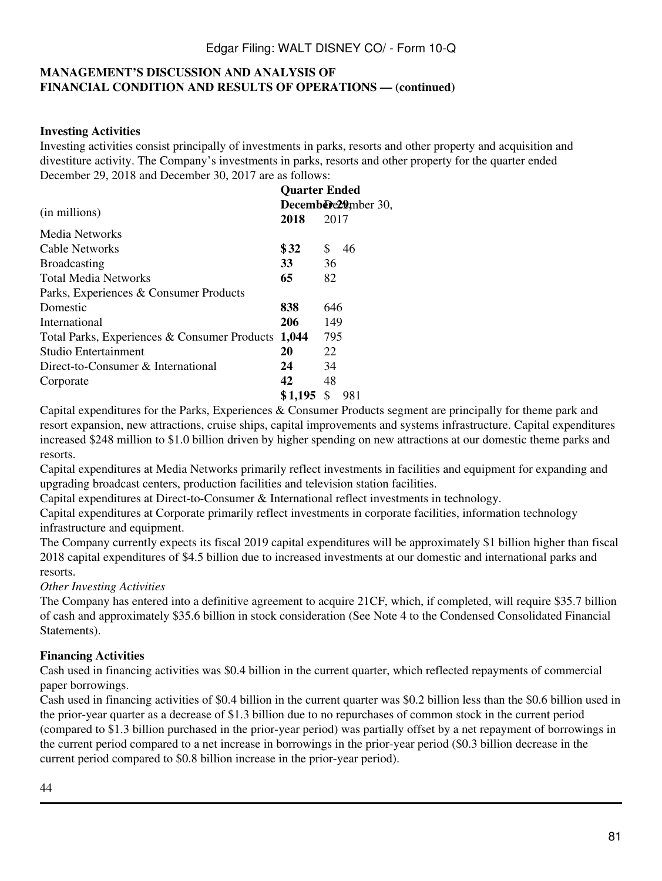## **MANAGEMENT'S DISCUSSION AND ANALYSIS OF FINANCIAL CONDITION AND RESULTS OF OPERATIONS — (continued)**

#### **Investing Activities**

Investing activities consist principally of investments in parks, resorts and other property and acquisition and divestiture activity. The Company's investments in parks, resorts and other property for the quarter ended December 29, 2018 and December 30, 2017 are as follows:

|                                              | <b>Quarter Ended</b> |                     |  |  |  |  |
|----------------------------------------------|----------------------|---------------------|--|--|--|--|
|                                              |                      | Decembere29mber 30, |  |  |  |  |
| (in millions)                                | 2018                 | 2017                |  |  |  |  |
| Media Networks                               |                      |                     |  |  |  |  |
| Cable Networks                               | \$32                 | S<br>46             |  |  |  |  |
| <b>Broadcasting</b>                          | 33                   | 36                  |  |  |  |  |
| <b>Total Media Networks</b>                  | 65                   | 82                  |  |  |  |  |
| Parks, Experiences & Consumer Products       |                      |                     |  |  |  |  |
| Domestic                                     | 838                  | 646                 |  |  |  |  |
| International                                | 206                  | 149                 |  |  |  |  |
| Total Parks, Experiences & Consumer Products | 1,044                | 795                 |  |  |  |  |
| Studio Entertainment                         | 20                   | 22                  |  |  |  |  |
| Direct-to-Consumer & International           | 24                   | 34                  |  |  |  |  |
| Corporate                                    | 42                   | 48                  |  |  |  |  |
|                                              | \$1,195              | S<br>981            |  |  |  |  |

Capital expenditures for the Parks, Experiences & Consumer Products segment are principally for theme park and resort expansion, new attractions, cruise ships, capital improvements and systems infrastructure. Capital expenditures increased \$248 million to \$1.0 billion driven by higher spending on new attractions at our domestic theme parks and resorts.

Capital expenditures at Media Networks primarily reflect investments in facilities and equipment for expanding and upgrading broadcast centers, production facilities and television station facilities.

Capital expenditures at Direct-to-Consumer & International reflect investments in technology.

Capital expenditures at Corporate primarily reflect investments in corporate facilities, information technology infrastructure and equipment.

The Company currently expects its fiscal 2019 capital expenditures will be approximately \$1 billion higher than fiscal 2018 capital expenditures of \$4.5 billion due to increased investments at our domestic and international parks and resorts.

*Other Investing Activities*

The Company has entered into a definitive agreement to acquire 21CF, which, if completed, will require \$35.7 billion of cash and approximately \$35.6 billion in stock consideration (See Note 4 to the Condensed Consolidated Financial Statements).

### **Financing Activities**

Cash used in financing activities was \$0.4 billion in the current quarter, which reflected repayments of commercial paper borrowings.

Cash used in financing activities of \$0.4 billion in the current quarter was \$0.2 billion less than the \$0.6 billion used in the prior-year quarter as a decrease of \$1.3 billion due to no repurchases of common stock in the current period (compared to \$1.3 billion purchased in the prior-year period) was partially offset by a net repayment of borrowings in the current period compared to a net increase in borrowings in the prior-year period (\$0.3 billion decrease in the current period compared to \$0.8 billion increase in the prior-year period).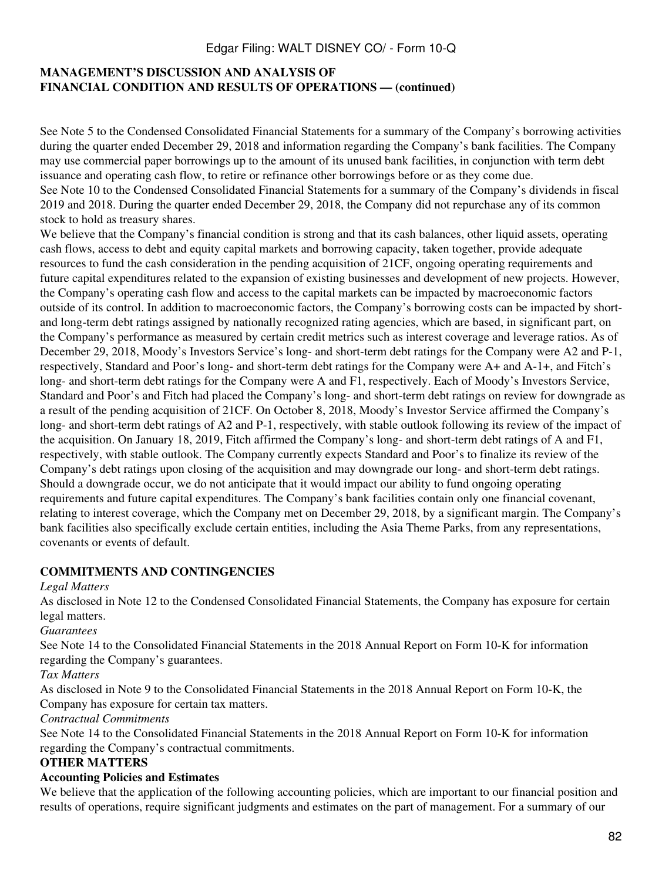## **MANAGEMENT'S DISCUSSION AND ANALYSIS OF FINANCIAL CONDITION AND RESULTS OF OPERATIONS — (continued)**

See Note 5 to the Condensed Consolidated Financial Statements for a summary of the Company's borrowing activities during the quarter ended December 29, 2018 and information regarding the Company's bank facilities. The Company may use commercial paper borrowings up to the amount of its unused bank facilities, in conjunction with term debt issuance and operating cash flow, to retire or refinance other borrowings before or as they come due. See Note 10 to the Condensed Consolidated Financial Statements for a summary of the Company's dividends in fiscal 2019 and 2018. During the quarter ended December 29, 2018, the Company did not repurchase any of its common stock to hold as treasury shares.

We believe that the Company's financial condition is strong and that its cash balances, other liquid assets, operating cash flows, access to debt and equity capital markets and borrowing capacity, taken together, provide adequate resources to fund the cash consideration in the pending acquisition of 21CF, ongoing operating requirements and future capital expenditures related to the expansion of existing businesses and development of new projects. However, the Company's operating cash flow and access to the capital markets can be impacted by macroeconomic factors outside of its control. In addition to macroeconomic factors, the Company's borrowing costs can be impacted by shortand long-term debt ratings assigned by nationally recognized rating agencies, which are based, in significant part, on the Company's performance as measured by certain credit metrics such as interest coverage and leverage ratios. As of December 29, 2018, Moody's Investors Service's long- and short-term debt ratings for the Company were A2 and P-1, respectively, Standard and Poor's long- and short-term debt ratings for the Company were A+ and A-1+, and Fitch's long- and short-term debt ratings for the Company were A and F1, respectively. Each of Moody's Investors Service, Standard and Poor's and Fitch had placed the Company's long- and short-term debt ratings on review for downgrade as a result of the pending acquisition of 21CF. On October 8, 2018, Moody's Investor Service affirmed the Company's long- and short-term debt ratings of A2 and P-1, respectively, with stable outlook following its review of the impact of the acquisition. On January 18, 2019, Fitch affirmed the Company's long- and short-term debt ratings of A and F1, respectively, with stable outlook. The Company currently expects Standard and Poor's to finalize its review of the Company's debt ratings upon closing of the acquisition and may downgrade our long- and short-term debt ratings. Should a downgrade occur, we do not anticipate that it would impact our ability to fund ongoing operating requirements and future capital expenditures. The Company's bank facilities contain only one financial covenant, relating to interest coverage, which the Company met on December 29, 2018, by a significant margin. The Company's bank facilities also specifically exclude certain entities, including the Asia Theme Parks, from any representations, covenants or events of default.

## **COMMITMENTS AND CONTINGENCIES**

*Legal Matters*

As disclosed in Note 12 to the Condensed Consolidated Financial Statements, the Company has exposure for certain legal matters.

*Guarantees*

See Note 14 to the Consolidated Financial Statements in the 2018 Annual Report on Form 10-K for information regarding the Company's guarantees.

*Tax Matters*

As disclosed in Note 9 to the Consolidated Financial Statements in the 2018 Annual Report on Form 10-K, the Company has exposure for certain tax matters.

*Contractual Commitments*

See Note 14 to the Consolidated Financial Statements in the 2018 Annual Report on Form 10-K for information regarding the Company's contractual commitments.

## **OTHER MATTERS**

### **Accounting Policies and Estimates**

We believe that the application of the following accounting policies, which are important to our financial position and results of operations, require significant judgments and estimates on the part of management. For a summary of our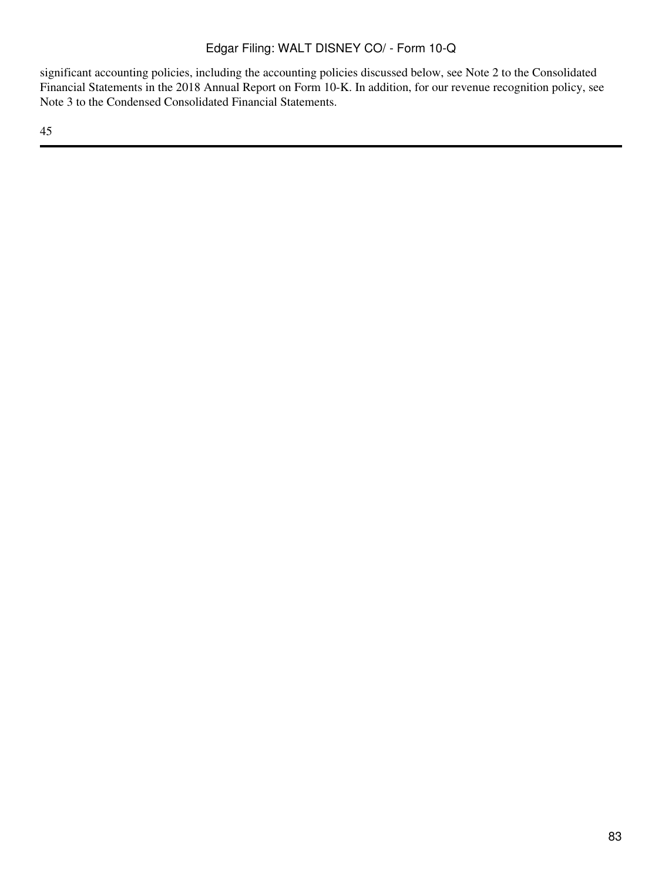significant accounting policies, including the accounting policies discussed below, see Note 2 to the Consolidated Financial Statements in the 2018 Annual Report on Form 10-K. In addition, for our revenue recognition policy, see Note 3 to the Condensed Consolidated Financial Statements.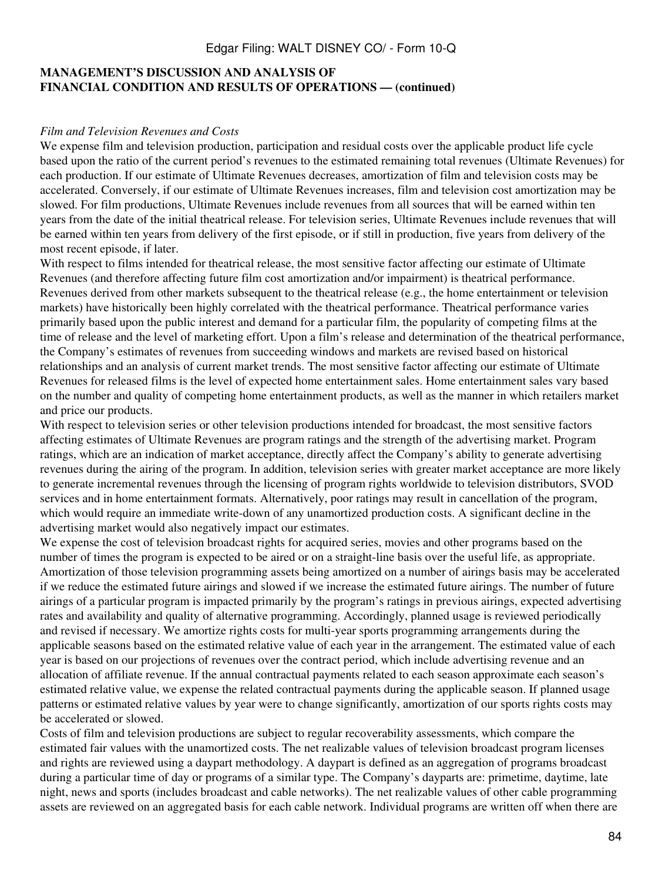### **MANAGEMENT'S DISCUSSION AND ANALYSIS OF FINANCIAL CONDITION AND RESULTS OF OPERATIONS — (continued)**

#### *Film and Television Revenues and Costs*

We expense film and television production, participation and residual costs over the applicable product life cycle based upon the ratio of the current period's revenues to the estimated remaining total revenues (Ultimate Revenues) for each production. If our estimate of Ultimate Revenues decreases, amortization of film and television costs may be accelerated. Conversely, if our estimate of Ultimate Revenues increases, film and television cost amortization may be slowed. For film productions, Ultimate Revenues include revenues from all sources that will be earned within ten years from the date of the initial theatrical release. For television series, Ultimate Revenues include revenues that will be earned within ten years from delivery of the first episode, or if still in production, five years from delivery of the most recent episode, if later.

With respect to films intended for theatrical release, the most sensitive factor affecting our estimate of Ultimate Revenues (and therefore affecting future film cost amortization and/or impairment) is theatrical performance. Revenues derived from other markets subsequent to the theatrical release (e.g., the home entertainment or television markets) have historically been highly correlated with the theatrical performance. Theatrical performance varies primarily based upon the public interest and demand for a particular film, the popularity of competing films at the time of release and the level of marketing effort. Upon a film's release and determination of the theatrical performance, the Company's estimates of revenues from succeeding windows and markets are revised based on historical relationships and an analysis of current market trends. The most sensitive factor affecting our estimate of Ultimate Revenues for released films is the level of expected home entertainment sales. Home entertainment sales vary based on the number and quality of competing home entertainment products, as well as the manner in which retailers market and price our products.

With respect to television series or other television productions intended for broadcast, the most sensitive factors affecting estimates of Ultimate Revenues are program ratings and the strength of the advertising market. Program ratings, which are an indication of market acceptance, directly affect the Company's ability to generate advertising revenues during the airing of the program. In addition, television series with greater market acceptance are more likely to generate incremental revenues through the licensing of program rights worldwide to television distributors, SVOD services and in home entertainment formats. Alternatively, poor ratings may result in cancellation of the program, which would require an immediate write-down of any unamortized production costs. A significant decline in the advertising market would also negatively impact our estimates.

We expense the cost of television broadcast rights for acquired series, movies and other programs based on the number of times the program is expected to be aired or on a straight-line basis over the useful life, as appropriate. Amortization of those television programming assets being amortized on a number of airings basis may be accelerated if we reduce the estimated future airings and slowed if we increase the estimated future airings. The number of future airings of a particular program is impacted primarily by the program's ratings in previous airings, expected advertising rates and availability and quality of alternative programming. Accordingly, planned usage is reviewed periodically and revised if necessary. We amortize rights costs for multi-year sports programming arrangements during the applicable seasons based on the estimated relative value of each year in the arrangement. The estimated value of each year is based on our projections of revenues over the contract period, which include advertising revenue and an allocation of affiliate revenue. If the annual contractual payments related to each season approximate each season's estimated relative value, we expense the related contractual payments during the applicable season. If planned usage patterns or estimated relative values by year were to change significantly, amortization of our sports rights costs may be accelerated or slowed.

Costs of film and television productions are subject to regular recoverability assessments, which compare the estimated fair values with the unamortized costs. The net realizable values of television broadcast program licenses and rights are reviewed using a daypart methodology. A daypart is defined as an aggregation of programs broadcast during a particular time of day or programs of a similar type. The Company's dayparts are: primetime, daytime, late night, news and sports (includes broadcast and cable networks). The net realizable values of other cable programming assets are reviewed on an aggregated basis for each cable network. Individual programs are written off when there are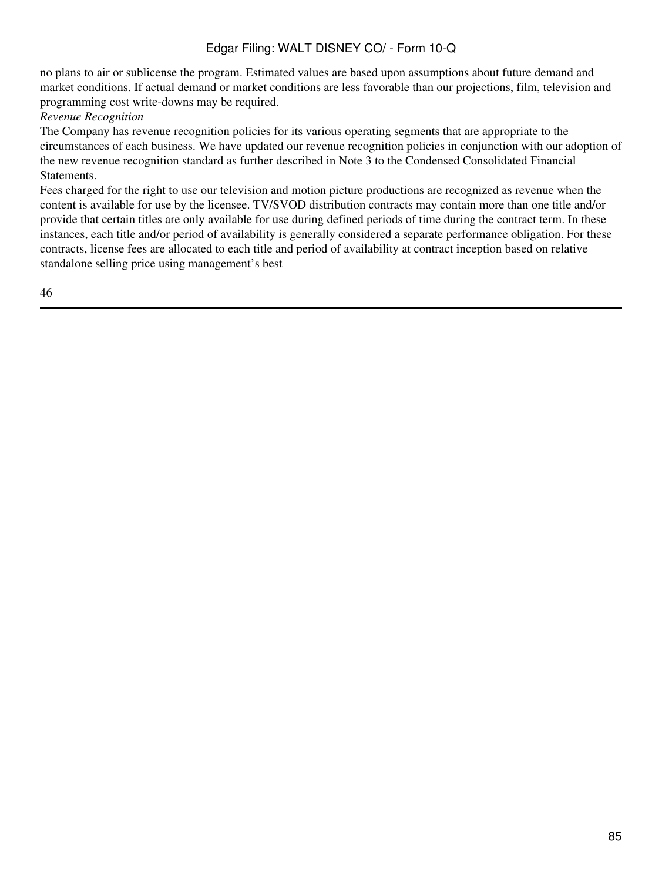no plans to air or sublicense the program. Estimated values are based upon assumptions about future demand and market conditions. If actual demand or market conditions are less favorable than our projections, film, television and programming cost write-downs may be required.

#### *Revenue Recognition*

The Company has revenue recognition policies for its various operating segments that are appropriate to the circumstances of each business. We have updated our revenue recognition policies in conjunction with our adoption of the new revenue recognition standard as further described in Note 3 to the Condensed Consolidated Financial Statements.

Fees charged for the right to use our television and motion picture productions are recognized as revenue when the content is available for use by the licensee. TV/SVOD distribution contracts may contain more than one title and/or provide that certain titles are only available for use during defined periods of time during the contract term. In these instances, each title and/or period of availability is generally considered a separate performance obligation. For these contracts, license fees are allocated to each title and period of availability at contract inception based on relative standalone selling price using management's best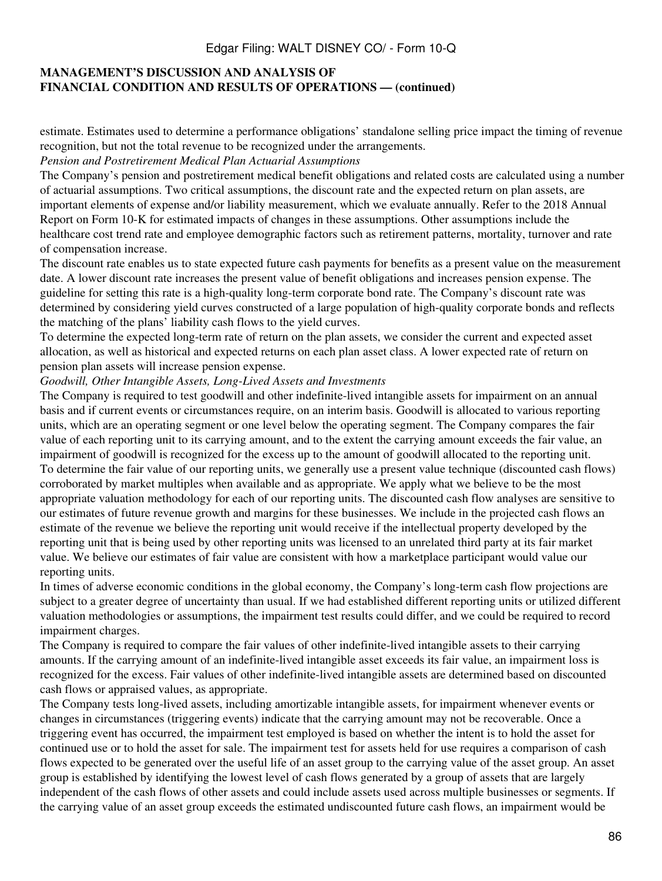## **MANAGEMENT'S DISCUSSION AND ANALYSIS OF FINANCIAL CONDITION AND RESULTS OF OPERATIONS — (continued)**

estimate. Estimates used to determine a performance obligations' standalone selling price impact the timing of revenue recognition, but not the total revenue to be recognized under the arrangements.

#### *Pension and Postretirement Medical Plan Actuarial Assumptions*

The Company's pension and postretirement medical benefit obligations and related costs are calculated using a number of actuarial assumptions. Two critical assumptions, the discount rate and the expected return on plan assets, are important elements of expense and/or liability measurement, which we evaluate annually. Refer to the 2018 Annual Report on Form 10-K for estimated impacts of changes in these assumptions. Other assumptions include the healthcare cost trend rate and employee demographic factors such as retirement patterns, mortality, turnover and rate of compensation increase.

The discount rate enables us to state expected future cash payments for benefits as a present value on the measurement date. A lower discount rate increases the present value of benefit obligations and increases pension expense. The guideline for setting this rate is a high-quality long-term corporate bond rate. The Company's discount rate was determined by considering yield curves constructed of a large population of high-quality corporate bonds and reflects the matching of the plans' liability cash flows to the yield curves.

To determine the expected long-term rate of return on the plan assets, we consider the current and expected asset allocation, as well as historical and expected returns on each plan asset class. A lower expected rate of return on pension plan assets will increase pension expense.

#### *Goodwill, Other Intangible Assets, Long-Lived Assets and Investments*

The Company is required to test goodwill and other indefinite-lived intangible assets for impairment on an annual basis and if current events or circumstances require, on an interim basis. Goodwill is allocated to various reporting units, which are an operating segment or one level below the operating segment. The Company compares the fair value of each reporting unit to its carrying amount, and to the extent the carrying amount exceeds the fair value, an impairment of goodwill is recognized for the excess up to the amount of goodwill allocated to the reporting unit. To determine the fair value of our reporting units, we generally use a present value technique (discounted cash flows) corroborated by market multiples when available and as appropriate. We apply what we believe to be the most appropriate valuation methodology for each of our reporting units. The discounted cash flow analyses are sensitive to our estimates of future revenue growth and margins for these businesses. We include in the projected cash flows an estimate of the revenue we believe the reporting unit would receive if the intellectual property developed by the reporting unit that is being used by other reporting units was licensed to an unrelated third party at its fair market value. We believe our estimates of fair value are consistent with how a marketplace participant would value our reporting units.

In times of adverse economic conditions in the global economy, the Company's long-term cash flow projections are subject to a greater degree of uncertainty than usual. If we had established different reporting units or utilized different valuation methodologies or assumptions, the impairment test results could differ, and we could be required to record impairment charges.

The Company is required to compare the fair values of other indefinite-lived intangible assets to their carrying amounts. If the carrying amount of an indefinite-lived intangible asset exceeds its fair value, an impairment loss is recognized for the excess. Fair values of other indefinite-lived intangible assets are determined based on discounted cash flows or appraised values, as appropriate.

The Company tests long-lived assets, including amortizable intangible assets, for impairment whenever events or changes in circumstances (triggering events) indicate that the carrying amount may not be recoverable. Once a triggering event has occurred, the impairment test employed is based on whether the intent is to hold the asset for continued use or to hold the asset for sale. The impairment test for assets held for use requires a comparison of cash flows expected to be generated over the useful life of an asset group to the carrying value of the asset group. An asset group is established by identifying the lowest level of cash flows generated by a group of assets that are largely independent of the cash flows of other assets and could include assets used across multiple businesses or segments. If the carrying value of an asset group exceeds the estimated undiscounted future cash flows, an impairment would be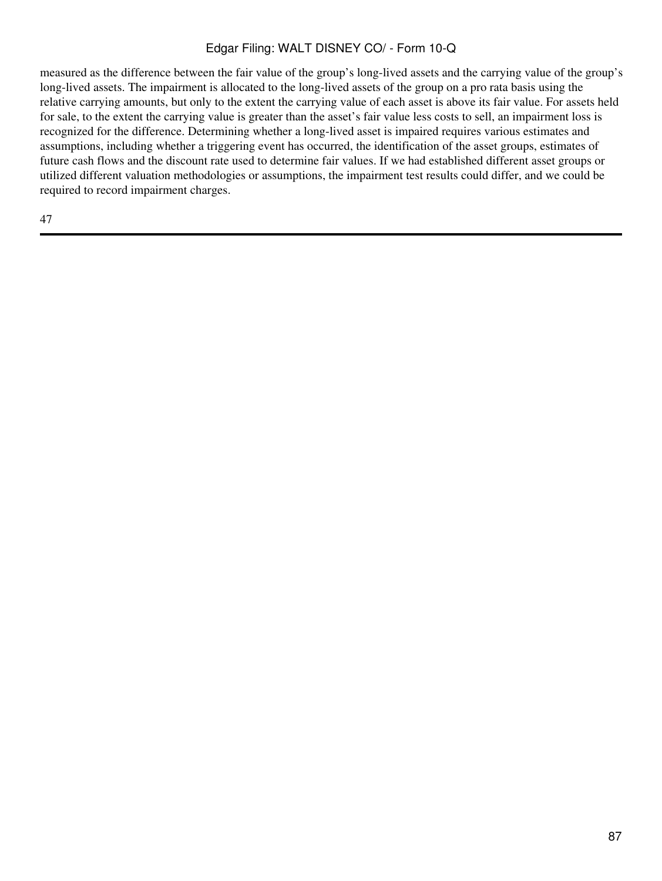measured as the difference between the fair value of the group's long-lived assets and the carrying value of the group's long-lived assets. The impairment is allocated to the long-lived assets of the group on a pro rata basis using the relative carrying amounts, but only to the extent the carrying value of each asset is above its fair value. For assets held for sale, to the extent the carrying value is greater than the asset's fair value less costs to sell, an impairment loss is recognized for the difference. Determining whether a long-lived asset is impaired requires various estimates and assumptions, including whether a triggering event has occurred, the identification of the asset groups, estimates of future cash flows and the discount rate used to determine fair values. If we had established different asset groups or utilized different valuation methodologies or assumptions, the impairment test results could differ, and we could be required to record impairment charges.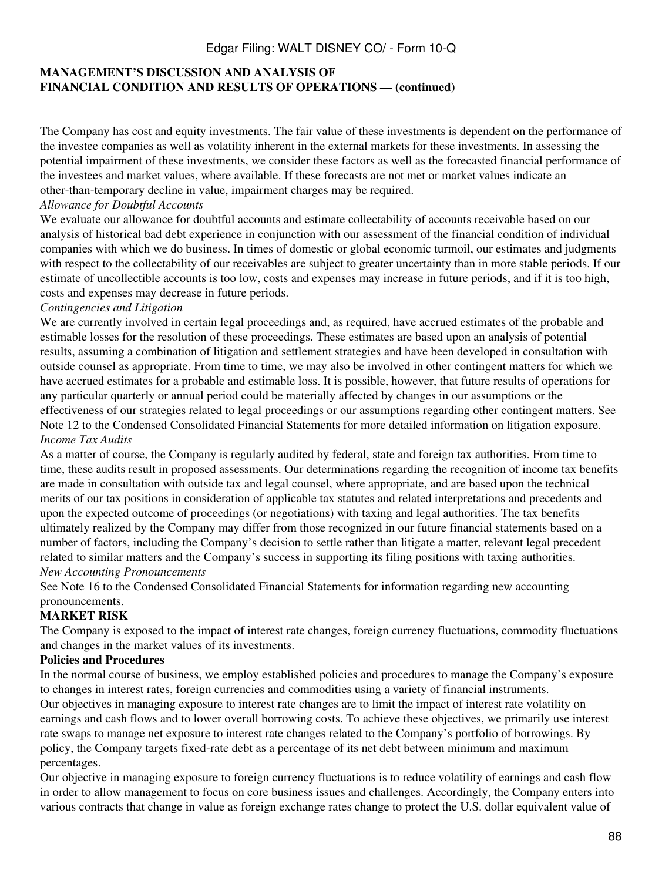## **MANAGEMENT'S DISCUSSION AND ANALYSIS OF FINANCIAL CONDITION AND RESULTS OF OPERATIONS — (continued)**

The Company has cost and equity investments. The fair value of these investments is dependent on the performance of the investee companies as well as volatility inherent in the external markets for these investments. In assessing the potential impairment of these investments, we consider these factors as well as the forecasted financial performance of the investees and market values, where available. If these forecasts are not met or market values indicate an other-than-temporary decline in value, impairment charges may be required.

#### *Allowance for Doubtful Accounts*

We evaluate our allowance for doubtful accounts and estimate collectability of accounts receivable based on our analysis of historical bad debt experience in conjunction with our assessment of the financial condition of individual companies with which we do business. In times of domestic or global economic turmoil, our estimates and judgments with respect to the collectability of our receivables are subject to greater uncertainty than in more stable periods. If our estimate of uncollectible accounts is too low, costs and expenses may increase in future periods, and if it is too high, costs and expenses may decrease in future periods.

#### *Contingencies and Litigation*

We are currently involved in certain legal proceedings and, as required, have accrued estimates of the probable and estimable losses for the resolution of these proceedings. These estimates are based upon an analysis of potential results, assuming a combination of litigation and settlement strategies and have been developed in consultation with outside counsel as appropriate. From time to time, we may also be involved in other contingent matters for which we have accrued estimates for a probable and estimable loss. It is possible, however, that future results of operations for any particular quarterly or annual period could be materially affected by changes in our assumptions or the effectiveness of our strategies related to legal proceedings or our assumptions regarding other contingent matters. See Note 12 to the Condensed Consolidated Financial Statements for more detailed information on litigation exposure. *Income Tax Audits*

As a matter of course, the Company is regularly audited by federal, state and foreign tax authorities. From time to time, these audits result in proposed assessments. Our determinations regarding the recognition of income tax benefits are made in consultation with outside tax and legal counsel, where appropriate, and are based upon the technical merits of our tax positions in consideration of applicable tax statutes and related interpretations and precedents and upon the expected outcome of proceedings (or negotiations) with taxing and legal authorities. The tax benefits ultimately realized by the Company may differ from those recognized in our future financial statements based on a number of factors, including the Company's decision to settle rather than litigate a matter, relevant legal precedent related to similar matters and the Company's success in supporting its filing positions with taxing authorities. *New Accounting Pronouncements*

See Note 16 to the Condensed Consolidated Financial Statements for information regarding new accounting pronouncements.

### **MARKET RISK**

The Company is exposed to the impact of interest rate changes, foreign currency fluctuations, commodity fluctuations and changes in the market values of its investments.

#### **Policies and Procedures**

In the normal course of business, we employ established policies and procedures to manage the Company's exposure to changes in interest rates, foreign currencies and commodities using a variety of financial instruments. Our objectives in managing exposure to interest rate changes are to limit the impact of interest rate volatility on earnings and cash flows and to lower overall borrowing costs. To achieve these objectives, we primarily use interest rate swaps to manage net exposure to interest rate changes related to the Company's portfolio of borrowings. By policy, the Company targets fixed-rate debt as a percentage of its net debt between minimum and maximum percentages.

Our objective in managing exposure to foreign currency fluctuations is to reduce volatility of earnings and cash flow in order to allow management to focus on core business issues and challenges. Accordingly, the Company enters into various contracts that change in value as foreign exchange rates change to protect the U.S. dollar equivalent value of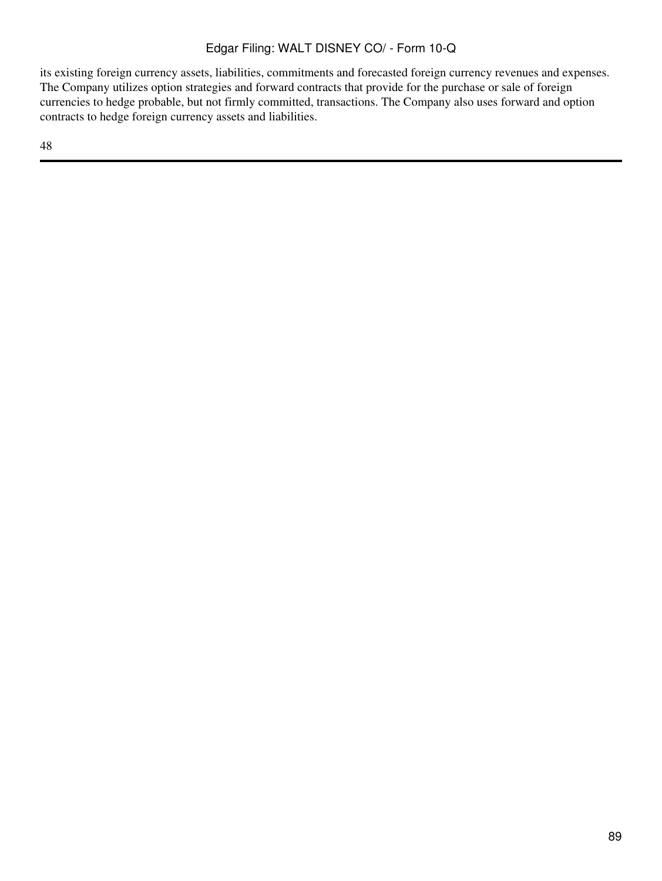its existing foreign currency assets, liabilities, commitments and forecasted foreign currency revenues and expenses. The Company utilizes option strategies and forward contracts that provide for the purchase or sale of foreign currencies to hedge probable, but not firmly committed, transactions. The Company also uses forward and option contracts to hedge foreign currency assets and liabilities.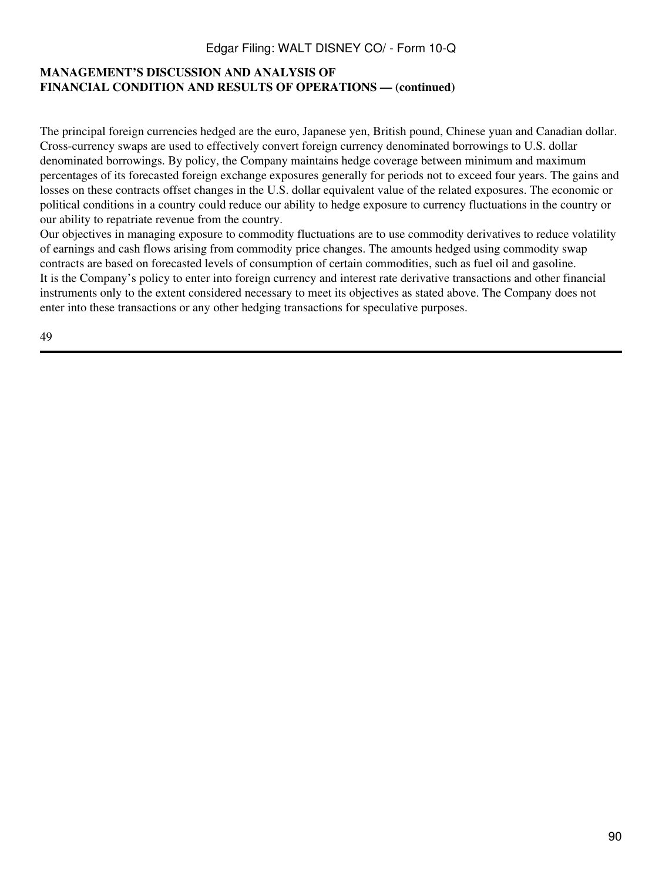### **MANAGEMENT'S DISCUSSION AND ANALYSIS OF FINANCIAL CONDITION AND RESULTS OF OPERATIONS — (continued)**

The principal foreign currencies hedged are the euro, Japanese yen, British pound, Chinese yuan and Canadian dollar. Cross-currency swaps are used to effectively convert foreign currency denominated borrowings to U.S. dollar denominated borrowings. By policy, the Company maintains hedge coverage between minimum and maximum percentages of its forecasted foreign exchange exposures generally for periods not to exceed four years. The gains and losses on these contracts offset changes in the U.S. dollar equivalent value of the related exposures. The economic or political conditions in a country could reduce our ability to hedge exposure to currency fluctuations in the country or our ability to repatriate revenue from the country.

Our objectives in managing exposure to commodity fluctuations are to use commodity derivatives to reduce volatility of earnings and cash flows arising from commodity price changes. The amounts hedged using commodity swap contracts are based on forecasted levels of consumption of certain commodities, such as fuel oil and gasoline. It is the Company's policy to enter into foreign currency and interest rate derivative transactions and other financial instruments only to the extent considered necessary to meet its objectives as stated above. The Company does not enter into these transactions or any other hedging transactions for speculative purposes.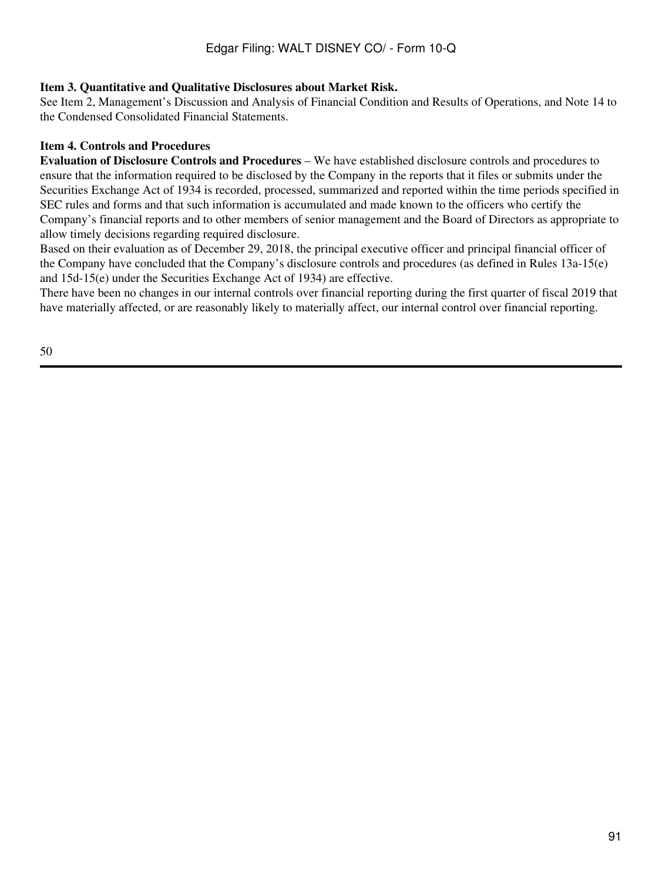#### **Item 3. Quantitative and Qualitative Disclosures about Market Risk.**

See Item 2, Management's Discussion and Analysis of Financial Condition and Results of Operations, and Note 14 to the Condensed Consolidated Financial Statements.

#### **Item 4. Controls and Procedures**

**Evaluation of Disclosure Controls and Procedures** – We have established disclosure controls and procedures to ensure that the information required to be disclosed by the Company in the reports that it files or submits under the Securities Exchange Act of 1934 is recorded, processed, summarized and reported within the time periods specified in SEC rules and forms and that such information is accumulated and made known to the officers who certify the Company's financial reports and to other members of senior management and the Board of Directors as appropriate to allow timely decisions regarding required disclosure.

Based on their evaluation as of December 29, 2018, the principal executive officer and principal financial officer of the Company have concluded that the Company's disclosure controls and procedures (as defined in Rules 13a-15(e) and 15d-15(e) under the Securities Exchange Act of 1934) are effective.

There have been no changes in our internal controls over financial reporting during the first quarter of fiscal 2019 that have materially affected, or are reasonably likely to materially affect, our internal control over financial reporting.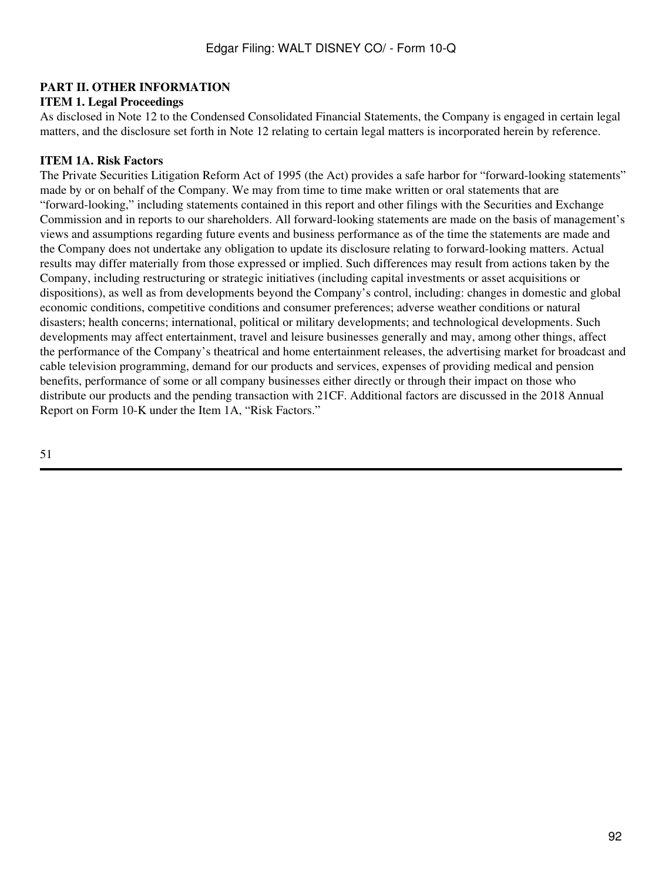## **PART II. OTHER INFORMATION**

#### **ITEM 1. Legal Proceedings**

As disclosed in Note 12 to the Condensed Consolidated Financial Statements, the Company is engaged in certain legal matters, and the disclosure set forth in Note 12 relating to certain legal matters is incorporated herein by reference.

#### **ITEM 1A. Risk Factors**

The Private Securities Litigation Reform Act of 1995 (the Act) provides a safe harbor for "forward-looking statements" made by or on behalf of the Company. We may from time to time make written or oral statements that are "forward-looking," including statements contained in this report and other filings with the Securities and Exchange Commission and in reports to our shareholders. All forward-looking statements are made on the basis of management's views and assumptions regarding future events and business performance as of the time the statements are made and the Company does not undertake any obligation to update its disclosure relating to forward-looking matters. Actual results may differ materially from those expressed or implied. Such differences may result from actions taken by the Company, including restructuring or strategic initiatives (including capital investments or asset acquisitions or dispositions), as well as from developments beyond the Company's control, including: changes in domestic and global economic conditions, competitive conditions and consumer preferences; adverse weather conditions or natural disasters; health concerns; international, political or military developments; and technological developments. Such developments may affect entertainment, travel and leisure businesses generally and may, among other things, affect the performance of the Company's theatrical and home entertainment releases, the advertising market for broadcast and cable television programming, demand for our products and services, expenses of providing medical and pension benefits, performance of some or all company businesses either directly or through their impact on those who distribute our products and the pending transaction with 21CF. Additional factors are discussed in the 2018 Annual Report on Form 10-K under the Item 1A, "Risk Factors."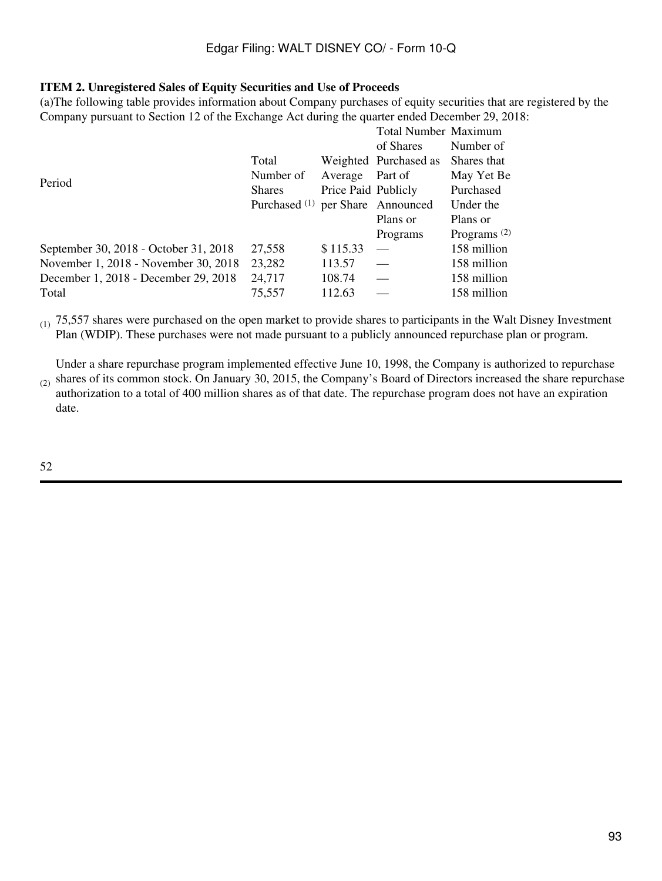#### **ITEM 2. Unregistered Sales of Equity Securities and Use of Proceeds**

(a)The following table provides information about Company purchases of equity securities that are registered by the Company pursuant to Section 12 of the Exchange Act during the quarter ended December 29, 2018:

|                                       |                                              |                     | <b>Total Number Maximum</b>               |                |  |
|---------------------------------------|----------------------------------------------|---------------------|-------------------------------------------|----------------|--|
|                                       |                                              |                     | of Shares                                 | Number of      |  |
|                                       | Total                                        |                     | Weighted Purchased as                     | Shares that    |  |
| Period                                | Number of                                    | Average             | Part of                                   | May Yet Be     |  |
|                                       | <b>Shares</b>                                | Price Paid Publicly |                                           | Purchased      |  |
|                                       | Purchased <sup>(1)</sup> per Share Announced |                     |                                           | Under the      |  |
|                                       |                                              |                     | Plans or                                  | Plans or       |  |
|                                       |                                              |                     | Programs                                  | Programs $(2)$ |  |
| September 30, 2018 - October 31, 2018 | 27,558                                       | \$115.33            |                                           | 158 million    |  |
| November 1, 2018 - November 30, 2018  | 23,282                                       | 113.57              | $\qquad \qquad \overline{\qquad \qquad }$ | 158 million    |  |
| December 1, 2018 - December 29, 2018  | 24,717                                       | 108.74              |                                           | 158 million    |  |
| Total                                 | 75,557                                       | 112.63              |                                           | 158 million    |  |

 $(1)$  75,557 shares were purchased on the open market to provide shares to participants in the Walt Disney Investment Plan (WDIP). These purchases were not made pursuant to a publicly announced repurchase plan or program.

Under a share repurchase program implemented effective June 10, 1998, the Company is authorized to repurchase shares of its common stock. On January 30, 2015, the Company's Board of Directors increased the share repurchase

 $(2)$ authorization to a total of 400 million shares as of that date. The repurchase program does not have an expiration date.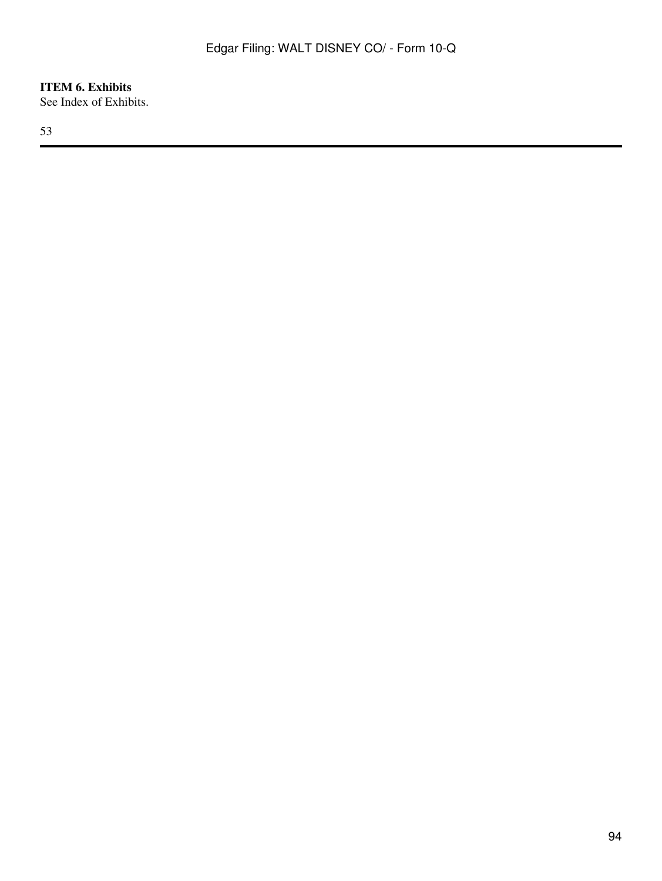**ITEM 6. Exhibits** See Index of Exhibits.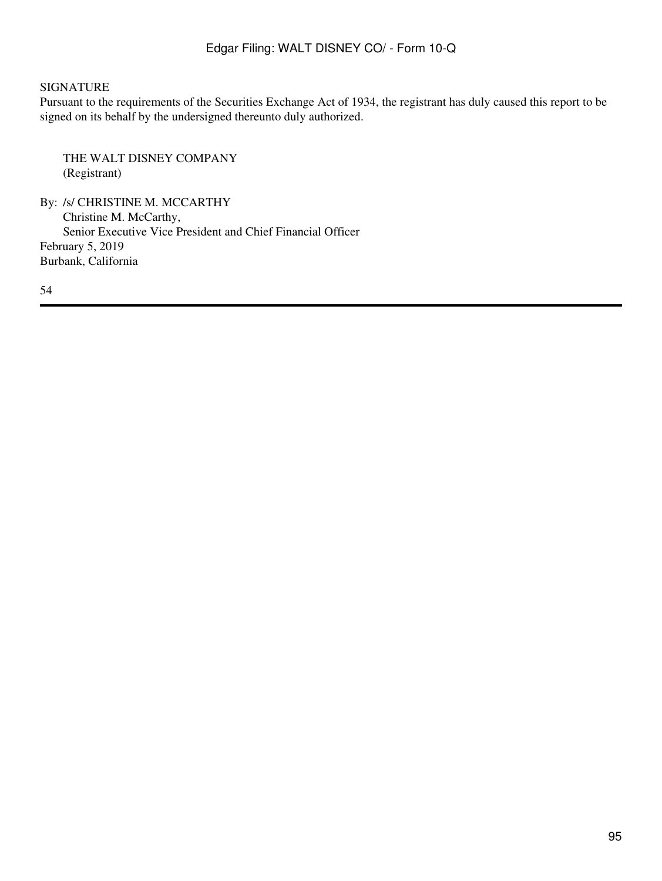### SIGNATURE

Pursuant to the requirements of the Securities Exchange Act of 1934, the registrant has duly caused this report to be signed on its behalf by the undersigned thereunto duly authorized.

THE WALT DISNEY COMPANY (Registrant)

By: /s/ CHRISTINE M. MCCARTHY Christine M. McCarthy, Senior Executive Vice President and Chief Financial Officer February 5, 2019 Burbank, California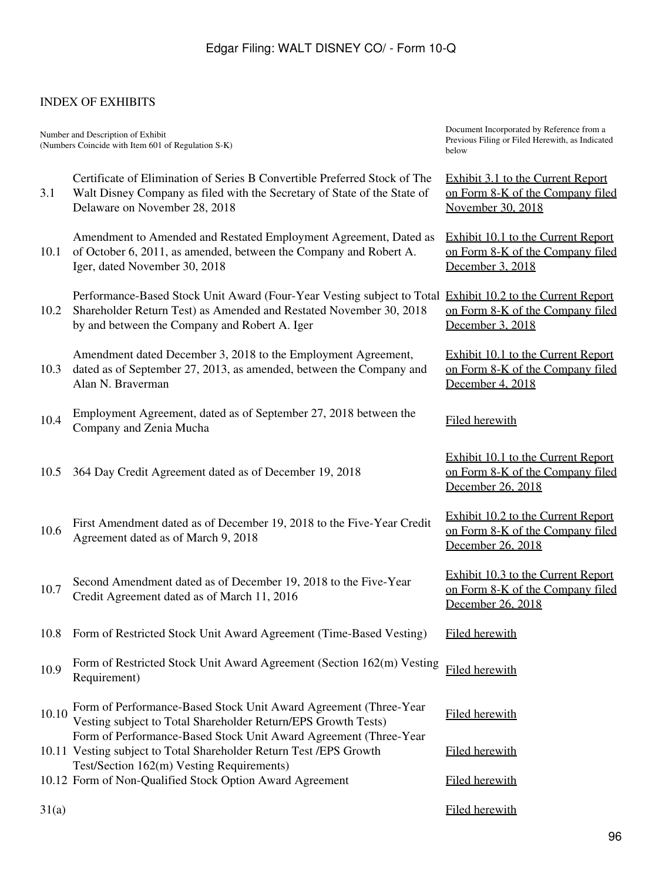## INDEX OF EXHIBITS

Number and Description of Exhibit (Numbers Coincide with Item 601 of Regulation S-K)

3.1 Certificate of Elimination of Series B Convertible Preferred Stock of The Walt Disney Company as filed with the Secretary of State of the State of Delaware on November 28, 2018

10.1 of October 6, 2011, as amended, between the Company and Robert A. Amendment to Amended and Restated Employment Agreement, Dated as Iger, dated November 30, 2018

10.2 Shareholder Return Test) as Amended and Restated November 30, 2018 Performance-Based Stock Unit Award (Four-Year Vesting subject to Total [Exhibit 10.2 to the Current Report](http://www.sec.gov/Archives/edgar/data/1001039/000100103918000210/fy2019_q1x8kxigeramendxex102.htm) by and between the Company and Robert A. Iger

10.3 dated as of September 27, 2013, as amended, between the Company and Amendment dated December 3, 2018 to the Employment Agreement, Alan N. Braverman

10.4 Employment Agreement, dated as of September 27, 2018 between the Emproyment Agreement, dated as or September 27, 2010 between the Filed herewith

10.5 364 Day Credit Agreement dated as of December 19, 2018

10.6 First Amendment dated as of December 19, 2018 to the Five-Year Credit 10.6 Agreement dated as of March 9, 2018

10.7 Second Amendment dated as of December 19, 2018 to the Five-Year Credit Agreement dated as of March 11, 2016

- 10.8 Form of Restricted Stock Unit Award Agreement (Time-Based Vesting) Filed herewith
- 10.9 Form of Restricted Stock Unit Award Agreement (Section 162(m) Vesting Filed herewith<br>Requirement)
- 10.10 Form of Performance-Based Stock Unit Award Agreement (Three-Year Filed herewith Vesting subject to Total Shareholder Return/EPS Growth Tests) Form of Performance-Based Stock Unit Award Agreement (Three-Year
- 10.11 Vesting subject to Total Shareholder Return Test /EPS Growth Test/Section 162(m) Vesting Requirements)
- 10.12 Form of Non-Qualified Stock Option Award Agreement Filed herewith

Document Incorporated by Reference from a Previous Filing or Filed Herewith, as Indicated below

[Exhibit 3.1 to the Current Report](http://www.sec.gov/Archives/edgar/data/1001039/000100103918000208/fy2019_q1x8kxcertofelimxex31.htm) [on Form 8-K of the Company filed](http://www.sec.gov/Archives/edgar/data/1001039/000100103918000208/fy2019_q1x8kxcertofelimxex31.htm) [November 30, 2018](http://www.sec.gov/Archives/edgar/data/1001039/000100103918000208/fy2019_q1x8kxcertofelimxex31.htm)

[Exhibit 10.1 to the Current Report](http://www.sec.gov/Archives/edgar/data/1001039/000100103918000210/fy2019_q1x8kxigeramendxex101.htm) [on Form 8-K of the Company filed](http://www.sec.gov/Archives/edgar/data/1001039/000100103918000210/fy2019_q1x8kxigeramendxex101.htm) [December 3, 2018](http://www.sec.gov/Archives/edgar/data/1001039/000100103918000210/fy2019_q1x8kxigeramendxex101.htm)

[on Form 8-K of the Company filed](http://www.sec.gov/Archives/edgar/data/1001039/000100103918000210/fy2019_q1x8kxigeramendxex102.htm) [December 3, 2018](http://www.sec.gov/Archives/edgar/data/1001039/000100103918000210/fy2019_q1x8kxigeramendxex102.htm)

[Exhibit 10.1 to the Current Report](http://www.sec.gov/Archives/edgar/data/1001039/000100103918000213/fy2019_q1x8kxbravermanamen.htm) [on Form 8-K of the Company filed](http://www.sec.gov/Archives/edgar/data/1001039/000100103918000213/fy2019_q1x8kxbravermanamen.htm) [December 4, 2018](http://www.sec.gov/Archives/edgar/data/1001039/000100103918000213/fy2019_q1x8kxbravermanamen.htm)

[Exhibit 10.1 to the Current Report](http://www.sec.gov/Archives/edgar/data/1001039/000119312518357289/d679415dex101.htm) [on Form 8-K of the Company filed](http://www.sec.gov/Archives/edgar/data/1001039/000119312518357289/d679415dex101.htm) [December 26, 2018](http://www.sec.gov/Archives/edgar/data/1001039/000119312518357289/d679415dex101.htm)

[Exhibit 10.2 to the Current Report](http://www.sec.gov/Archives/edgar/data/1001039/000119312518357289/d679415dex102.htm) [on Form 8-K of the Company filed](http://www.sec.gov/Archives/edgar/data/1001039/000119312518357289/d679415dex102.htm) [December 26, 2018](http://www.sec.gov/Archives/edgar/data/1001039/000119312518357289/d679415dex102.htm)

[Exhibit 10.3 to the Current Report](http://www.sec.gov/Archives/edgar/data/1001039/000119312518357289/d679415dex103.htm) [on Form 8-K of the Company filed](http://www.sec.gov/Archives/edgar/data/1001039/000119312518357289/d679415dex103.htm) [December 26, 2018](http://www.sec.gov/Archives/edgar/data/1001039/000119312518357289/d679415dex103.htm)

Filed herewith

31(a) Filed herewith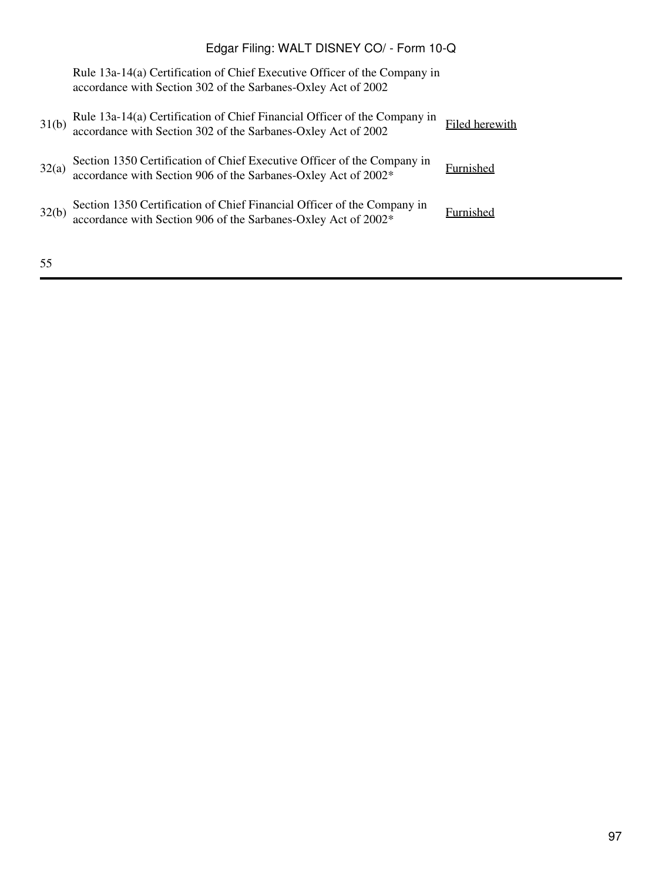Rule 13a-14(a) Certification of Chief Executive Officer of the Company in accordance with Section 302 of the Sarbanes-Oxley Act of 2002

| 31(b) | Rule 13a-14(a) Certification of Chief Financial Officer of the Company in accordance with Section 302 of the Sarbanes-Oxley Act of 2002 | Filed herewith |
|-------|-----------------------------------------------------------------------------------------------------------------------------------------|----------------|
| 32(a) | Section 1350 Certification of Chief Executive Officer of the Company in accordance with Section 906 of the Sarbanes-Oxley Act of 2002*  | Furnished      |
| 32(b) | Section 1350 Certification of Chief Financial Officer of the Company in accordance with Section 906 of the Sarbanes-Oxley Act of 2002*  | Furnished      |